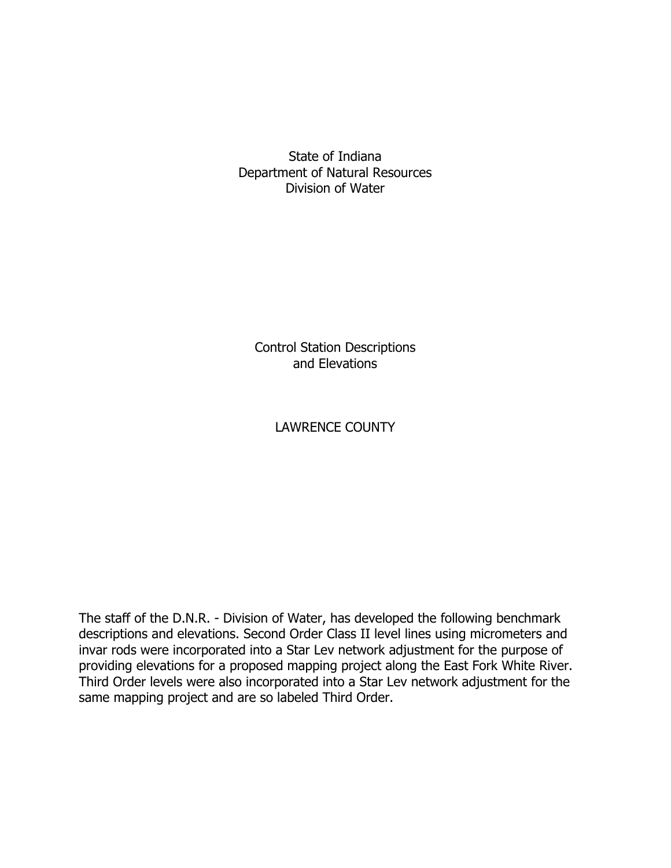State of Indiana Department of Natural Resources Division of Water

Control Station Descriptions and Elevations

# LAWRENCE COUNTY

The staff of the D.N.R. - Division of Water, has developed the following benchmark descriptions and elevations. Second Order Class II level lines using micrometers and invar rods were incorporated into a Star Lev network adjustment for the purpose of providing elevations for a proposed mapping project along the East Fork White River. Third Order levels were also incorporated into a Star Lev network adjustment for the same mapping project and are so labeled Third Order.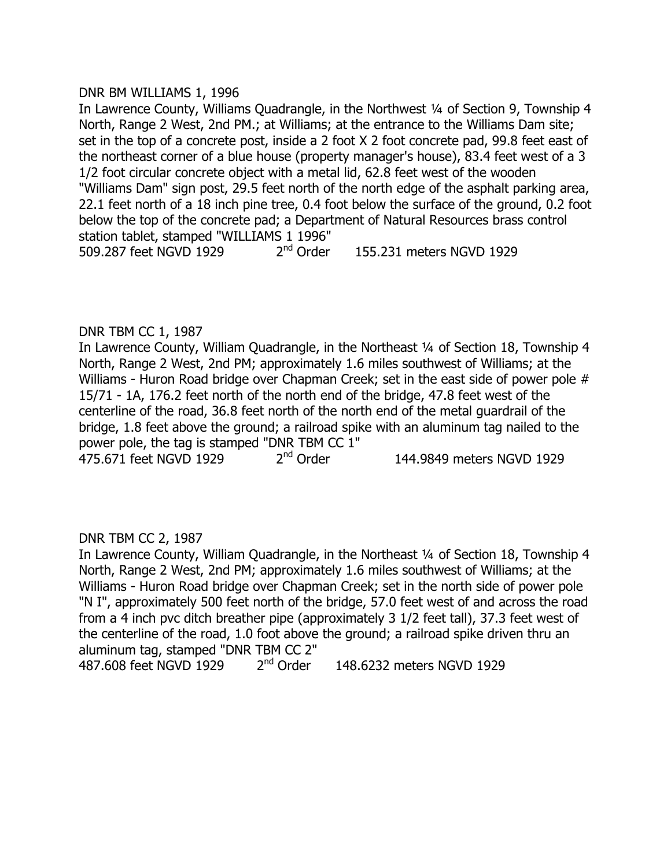# DNR BM WILLIAMS 1, 1996

In Lawrence County, Williams Quadrangle, in the Northwest 1/4 of Section 9, Township 4 North, Range 2 West, 2nd PM.; at Williams; at the entrance to the Williams Dam site; set in the top of a concrete post, inside a 2 foot X 2 foot concrete pad, 99.8 feet east of the northeast corner of a blue house (property manager's house), 83.4 feet west of a 3 1/2 foot circular concrete object with a metal lid, 62.8 feet west of the wooden "Williams Dam" sign post, 29.5 feet north of the north edge of the asphalt parking area, 22.1 feet north of a 18 inch pine tree, 0.4 foot below the surface of the ground, 0.2 foot below the top of the concrete pad; a Department of Natural Resources brass control station tablet, stamped "WILLIAMS 1 1996" 509.287 feet NGVD 1929 2<sup>nd</sup> Order 155.231 meters NGVD 1929

# DNR TBM CC 1, 1987

In Lawrence County, William Quadrangle, in the Northeast 1/4 of Section 18, Township 4 North, Range 2 West, 2nd PM; approximately 1.6 miles southwest of Williams; at the Williams - Huron Road bridge over Chapman Creek; set in the east side of power pole # 15/71 - 1A, 176.2 feet north of the north end of the bridge, 47.8 feet west of the centerline of the road, 36.8 feet north of the north end of the metal guardrail of the bridge, 1.8 feet above the ground; a railroad spike with an aluminum tag nailed to the power pole, the tag is stamped "DNR TBM CC 1" 475.671 feet NGVD 1929 2<sup>nd</sup> Order 144.9849 meters NGVD 1929

# DNR TBM CC 2, 1987

In Lawrence County, William Quadrangle, in the Northeast 1/4 of Section 18, Township 4 North, Range 2 West, 2nd PM; approximately 1.6 miles southwest of Williams; at the Williams - Huron Road bridge over Chapman Creek; set in the north side of power pole "N I", approximately 500 feet north of the bridge, 57.0 feet west of and across the road from a 4 inch pvc ditch breather pipe (approximately 3 1/2 feet tall), 37.3 feet west of the centerline of the road, 1.0 foot above the ground; a railroad spike driven thru an aluminum tag, stamped "DNR TBM CC 2" 487.608 feet NGVD 1929 2nd Order 148.6232 meters NGVD 1929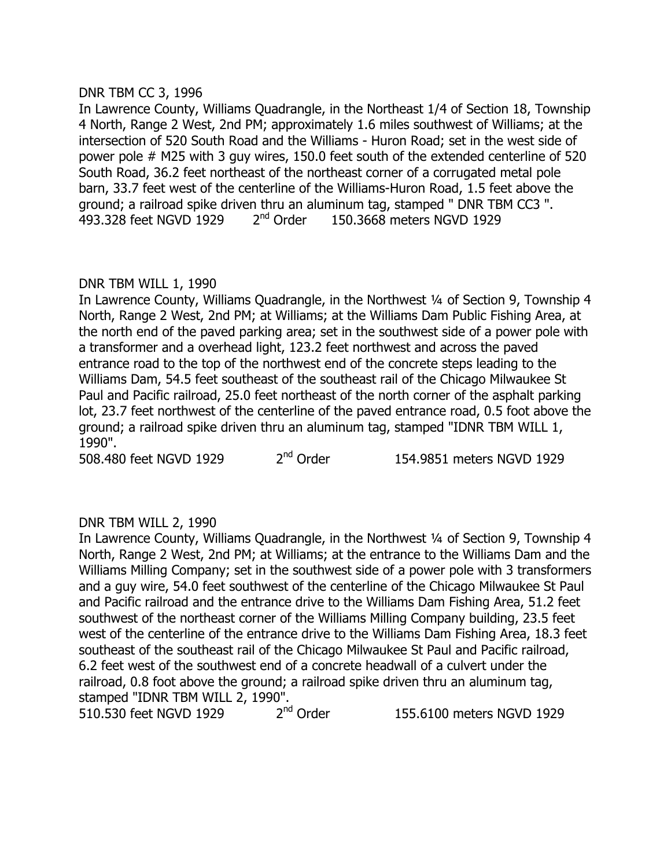# DNR TBM CC 3, 1996

In Lawrence County, Williams Quadrangle, in the Northeast 1/4 of Section 18, Township 4 North, Range 2 West, 2nd PM; approximately 1.6 miles southwest of Williams; at the intersection of 520 South Road and the Williams - Huron Road; set in the west side of power pole # M25 with 3 guy wires, 150.0 feet south of the extended centerline of 520 South Road, 36.2 feet northeast of the northeast corner of a corrugated metal pole barn, 33.7 feet west of the centerline of the Williams-Huron Road, 1.5 feet above the ground; a railroad spike driven thru an aluminum tag, stamped " DNR TBM CC3 ". 493.328 feet NGVD 1929 2<sup>nd</sup> Order 150.3668 meters NGVD 1929

# DNR TBM WILL 1, 1990

In Lawrence County, Williams Quadrangle, in the Northwest 1/4 of Section 9, Township 4 North, Range 2 West, 2nd PM; at Williams; at the Williams Dam Public Fishing Area, at the north end of the paved parking area; set in the southwest side of a power pole with a transformer and a overhead light, 123.2 feet northwest and across the paved entrance road to the top of the northwest end of the concrete steps leading to the Williams Dam, 54.5 feet southeast of the southeast rail of the Chicago Milwaukee St Paul and Pacific railroad, 25.0 feet northeast of the north corner of the asphalt parking lot, 23.7 feet northwest of the centerline of the paved entrance road, 0.5 foot above the ground; a railroad spike driven thru an aluminum tag, stamped "IDNR TBM WILL 1, 1990".

508.480 feet NGVD 1929 2<sup>nd</sup> Order 154.9851 meters NGVD 1929

# DNR TBM WILL 2, 1990

In Lawrence County, Williams Quadrangle, in the Northwest 1/4 of Section 9, Township 4 North, Range 2 West, 2nd PM; at Williams; at the entrance to the Williams Dam and the Williams Milling Company; set in the southwest side of a power pole with 3 transformers and a guy wire, 54.0 feet southwest of the centerline of the Chicago Milwaukee St Paul and Pacific railroad and the entrance drive to the Williams Dam Fishing Area, 51.2 feet southwest of the northeast corner of the Williams Milling Company building, 23.5 feet west of the centerline of the entrance drive to the Williams Dam Fishing Area, 18.3 feet southeast of the southeast rail of the Chicago Milwaukee St Paul and Pacific railroad, 6.2 feet west of the southwest end of a concrete headwall of a culvert under the railroad, 0.8 foot above the ground; a railroad spike driven thru an aluminum tag, stamped "IDNR TBM WILL 2, 1990".<br>510.530 feet NGVD 1929 2<sup>nd</sup> Order

510.530 feet NGVD 1929 2<sup>nd</sup> Order 155.6100 meters NGVD 1929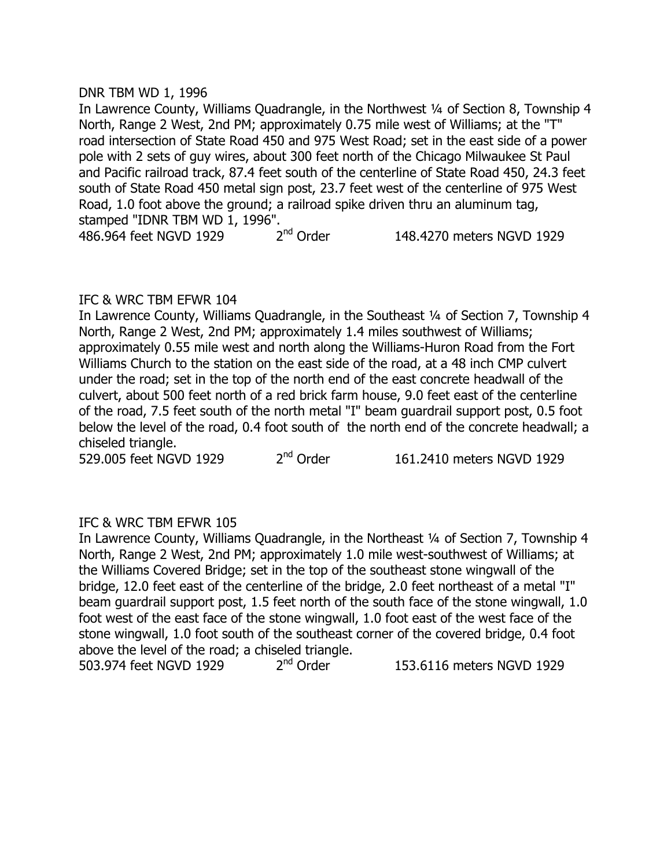# DNR TBM WD 1, 1996

In Lawrence County, Williams Quadrangle, in the Northwest 1/4 of Section 8, Township 4 North, Range 2 West, 2nd PM; approximately 0.75 mile west of Williams; at the "T" road intersection of State Road 450 and 975 West Road; set in the east side of a power pole with 2 sets of guy wires, about 300 feet north of the Chicago Milwaukee St Paul and Pacific railroad track, 87.4 feet south of the centerline of State Road 450, 24.3 feet south of State Road 450 metal sign post, 23.7 feet west of the centerline of 975 West Road, 1.0 foot above the ground; a railroad spike driven thru an aluminum tag, stamped "IDNR TBM WD 1, 1996".<br>486.964 feet NGVD 1929 2<sup>nd</sup> Order

486.964 feet NGVD 1929 2<sup>nd</sup> Order 148.4270 meters NGVD 1929

# IFC & WRC TBM EFWR 104

In Lawrence County, Williams Quadrangle, in the Southeast <sup>1/4</sup> of Section 7, Township 4 North, Range 2 West, 2nd PM; approximately 1.4 miles southwest of Williams; approximately 0.55 mile west and north along the Williams-Huron Road from the Fort Williams Church to the station on the east side of the road, at a 48 inch CMP culvert under the road; set in the top of the north end of the east concrete headwall of the culvert, about 500 feet north of a red brick farm house, 9.0 feet east of the centerline of the road, 7.5 feet south of the north metal "I" beam guardrail support post, 0.5 foot below the level of the road, 0.4 foot south of the north end of the concrete headwall; a chiseled triangle.

529.005 feet NGVD 1929 2<sup>nd</sup> Order 161.2410 meters NGVD 1929

# IFC & WRC TBM EFWR 105

In Lawrence County, Williams Quadrangle, in the Northeast 1/4 of Section 7, Township 4 North, Range 2 West, 2nd PM; approximately 1.0 mile west-southwest of Williams; at the Williams Covered Bridge; set in the top of the southeast stone wingwall of the bridge, 12.0 feet east of the centerline of the bridge, 2.0 feet northeast of a metal "I" beam guardrail support post, 1.5 feet north of the south face of the stone wingwall, 1.0 foot west of the east face of the stone wingwall, 1.0 foot east of the west face of the stone wingwall, 1.0 foot south of the southeast corner of the covered bridge, 0.4 foot above the level of the road; a chiseled triangle.

503.974 feet NGVD 1929 2<sup>nd</sup> Order 153.6116 meters NGVD 1929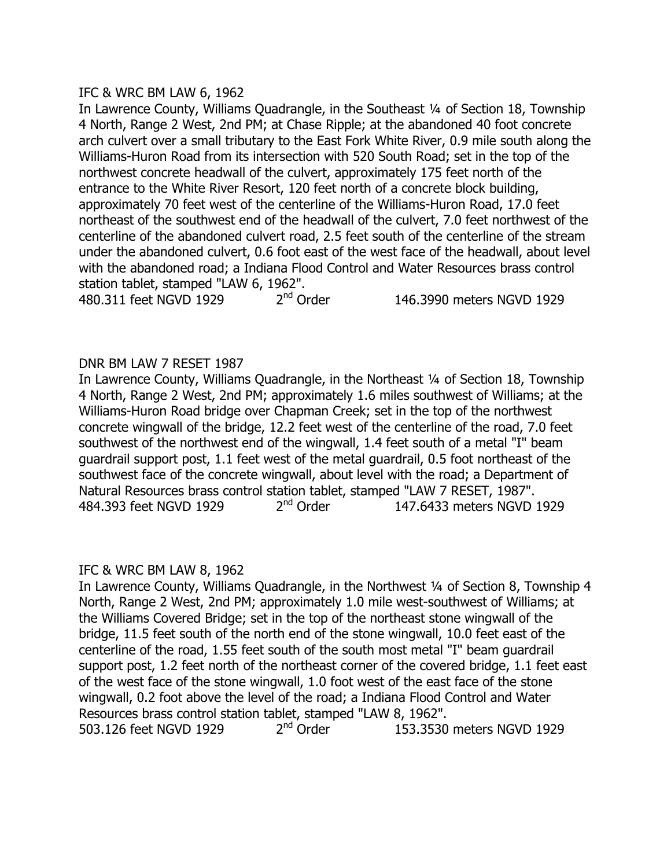# IFC & WRC BM LAW 6, 1962

In Lawrence County, Williams Quadrangle, in the Southeast 1/4 of Section 18, Township 4 North, Range 2 West, 2nd PM; at Chase Ripple; at the abandoned 40 foot concrete arch culvert over a small tributary to the East Fork White River, 0.9 mile south along the Williams-Huron Road from its intersection with 520 South Road; set in the top of the northwest concrete headwall of the culvert, approximately 175 feet north of the entrance to the White River Resort, 120 feet north of a concrete block building, approximately 70 feet west of the centerline of the Williams-Huron Road, 17.0 feet northeast of the southwest end of the headwall of the culvert, 7.0 feet northwest of the centerline of the abandoned culvert road, 2.5 feet south of the centerline of the stream under the abandoned culvert, 0.6 foot east of the west face of the headwall, about level with the abandoned road; a Indiana Flood Control and Water Resources brass control station tablet, stamped "LAW 6, 1962".

480.311 feet NGVD 1929 2<sup>nd</sup> Order 146.3990 meters NGVD 1929

# DNR BM LAW 7 RESET 1987

In Lawrence County, Williams Quadrangle, in the Northeast 1/4 of Section 18, Township 4 North, Range 2 West, 2nd PM; approximately 1.6 miles southwest of Williams; at the Williams-Huron Road bridge over Chapman Creek; set in the top of the northwest concrete wingwall of the bridge, 12.2 feet west of the centerline of the road, 7.0 feet southwest of the northwest end of the wingwall, 1.4 feet south of a metal "I" beam guardrail support post, 1.1 feet west of the metal guardrail, 0.5 foot northeast of the southwest face of the concrete wingwall, about level with the road; a Department of Natural Resources brass control station tablet, stamped "LAW 7 RESET, 1987". 484.393 feet NGVD 1929 2<sup>nd</sup> Order 147.6433 meters NGVD 1929

# IFC & WRC BM LAW 8, 1962

In Lawrence County, Williams Quadrangle, in the Northwest 1/4 of Section 8, Township 4 North, Range 2 West, 2nd PM; approximately 1.0 mile west-southwest of Williams; at the Williams Covered Bridge; set in the top of the northeast stone wingwall of the bridge, 11.5 feet south of the north end of the stone wingwall, 10.0 feet east of the centerline of the road, 1.55 feet south of the south most metal "I" beam guardrail support post, 1.2 feet north of the northeast corner of the covered bridge, 1.1 feet east of the west face of the stone wingwall, 1.0 foot west of the east face of the stone wingwall, 0.2 foot above the level of the road; a Indiana Flood Control and Water Resources brass control station tablet, stamped "LAW 8, 1962". 503.126 feet NGVD 1929 2<sup>nd</sup> Order 153.3530 meters NGVD 1929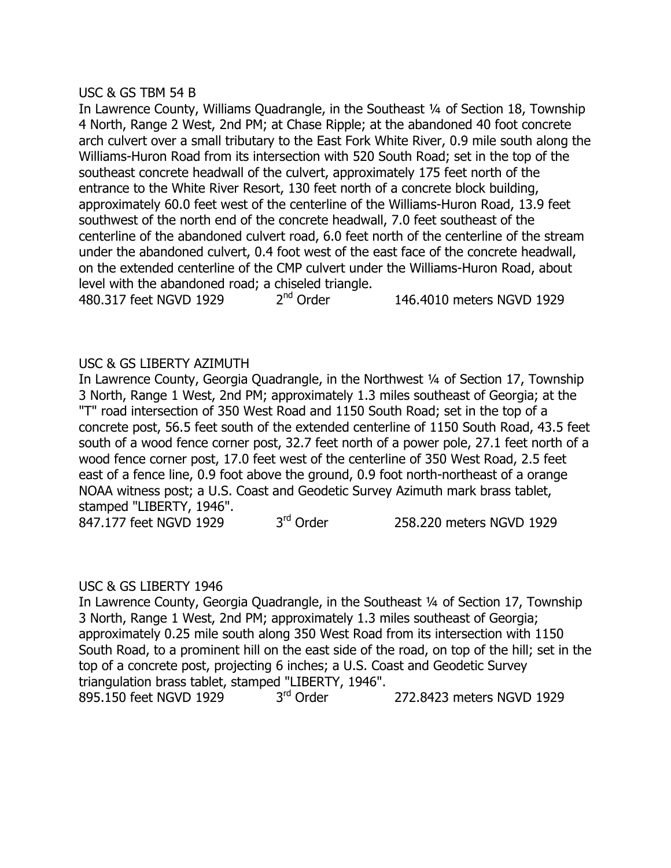### USC & GS TBM 54 B

In Lawrence County, Williams Quadrangle, in the Southeast 1/4 of Section 18, Township 4 North, Range 2 West, 2nd PM; at Chase Ripple; at the abandoned 40 foot concrete arch culvert over a small tributary to the East Fork White River, 0.9 mile south along the Williams-Huron Road from its intersection with 520 South Road; set in the top of the southeast concrete headwall of the culvert, approximately 175 feet north of the entrance to the White River Resort, 130 feet north of a concrete block building, approximately 60.0 feet west of the centerline of the Williams-Huron Road, 13.9 feet southwest of the north end of the concrete headwall, 7.0 feet southeast of the centerline of the abandoned culvert road, 6.0 feet north of the centerline of the stream under the abandoned culvert, 0.4 foot west of the east face of the concrete headwall, on the extended centerline of the CMP culvert under the Williams-Huron Road, about level with the abandoned road; a chiseled triangle.

480.317 feet NGVD 1929 2<sup>nd</sup> Order 146.4010 meters NGVD 1929

# USC & GS LIBERTY AZIMUTH

In Lawrence County, Georgia Quadrangle, in the Northwest 1/4 of Section 17, Township 3 North, Range 1 West, 2nd PM; approximately 1.3 miles southeast of Georgia; at the "T" road intersection of 350 West Road and 1150 South Road; set in the top of a concrete post, 56.5 feet south of the extended centerline of 1150 South Road, 43.5 feet south of a wood fence corner post, 32.7 feet north of a power pole, 27.1 feet north of a wood fence corner post, 17.0 feet west of the centerline of 350 West Road, 2.5 feet east of a fence line, 0.9 foot above the ground, 0.9 foot north-northeast of a orange NOAA witness post; a U.S. Coast and Geodetic Survey Azimuth mark brass tablet, stamped "LIBERTY, 1946". 847.177 feet NGVD 1929 3<sup>rd</sup> Order 258.220 meters NGVD 1929

# USC & GS LIBERTY 1946

In Lawrence County, Georgia Quadrangle, in the Southeast 1/4 of Section 17, Township 3 North, Range 1 West, 2nd PM; approximately 1.3 miles southeast of Georgia; approximately 0.25 mile south along 350 West Road from its intersection with 1150 South Road, to a prominent hill on the east side of the road, on top of the hill; set in the top of a concrete post, projecting 6 inches; a U.S. Coast and Geodetic Survey triangulation brass tablet, stamped "LIBERTY, 1946". 895.150 feet NGVD 1929 3<sup>rd</sup> Order 272.8423 meters NGVD 1929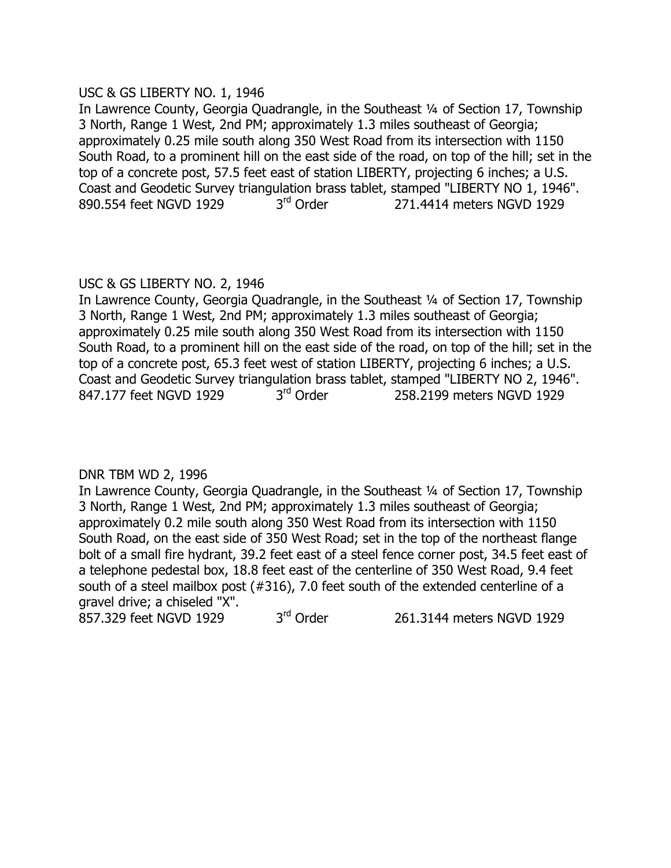# USC & GS LIBERTY NO. 1, 1946

In Lawrence County, Georgia Quadrangle, in the Southeast 1/4 of Section 17, Township 3 North, Range 1 West, 2nd PM; approximately 1.3 miles southeast of Georgia; approximately 0.25 mile south along 350 West Road from its intersection with 1150 South Road, to a prominent hill on the east side of the road, on top of the hill; set in the top of a concrete post, 57.5 feet east of station LIBERTY, projecting 6 inches; a U.S. Coast and Geodetic Survey triangulation brass tablet, stamped "LIBERTY NO 1, 1946". 890.554 feet NGVD 1929 3<sup>rd</sup> Order 271.4414 meters NGVD 1929

# USC & GS LIBERTY NO. 2, 1946

In Lawrence County, Georgia Quadrangle, in the Southeast 1/4 of Section 17, Township 3 North, Range 1 West, 2nd PM; approximately 1.3 miles southeast of Georgia; approximately 0.25 mile south along 350 West Road from its intersection with 1150 South Road, to a prominent hill on the east side of the road, on top of the hill; set in the top of a concrete post, 65.3 feet west of station LIBERTY, projecting 6 inches; a U.S. Coast and Geodetic Survey triangulation brass tablet, stamped "LIBERTY NO 2, 1946". 847.177 feet NGVD 1929 3<sup>rd</sup> Order 258.2199 meters NGVD 1929

# DNR TBM WD 2, 1996

In Lawrence County, Georgia Quadrangle, in the Southeast 1/4 of Section 17, Township 3 North, Range 1 West, 2nd PM; approximately 1.3 miles southeast of Georgia; approximately 0.2 mile south along 350 West Road from its intersection with 1150 South Road, on the east side of 350 West Road; set in the top of the northeast flange bolt of a small fire hydrant, 39.2 feet east of a steel fence corner post, 34.5 feet east of a telephone pedestal box, 18.8 feet east of the centerline of 350 West Road, 9.4 feet south of a steel mailbox post (#316), 7.0 feet south of the extended centerline of a gravel drive; a chiseled "X".

857.329 feet NGVD 1929 3rd Order 261.3144 meters NGVD 1929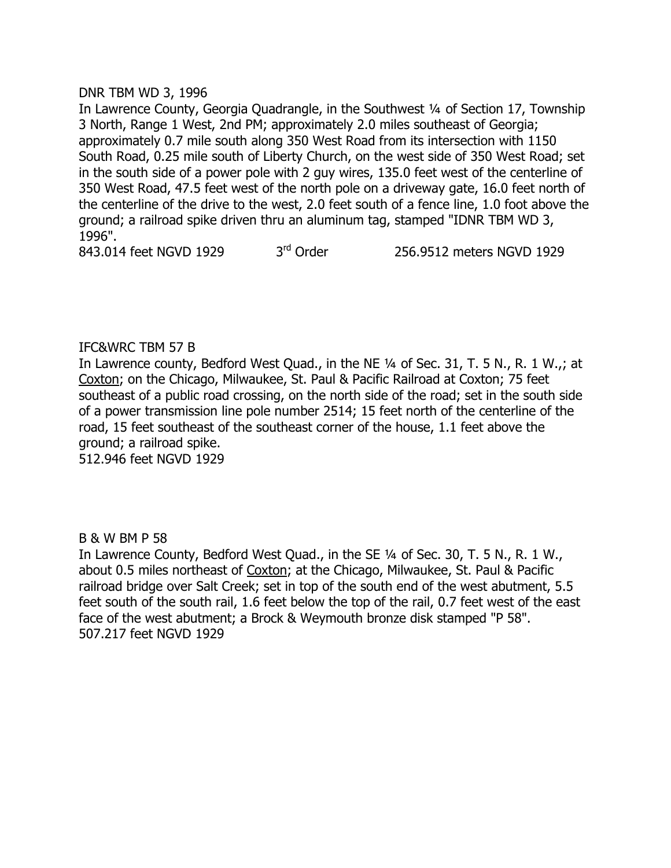# DNR TBM WD 3, 1996

In Lawrence County, Georgia Quadrangle, in the Southwest 1/4 of Section 17, Township 3 North, Range 1 West, 2nd PM; approximately 2.0 miles southeast of Georgia; approximately 0.7 mile south along 350 West Road from its intersection with 1150 South Road, 0.25 mile south of Liberty Church, on the west side of 350 West Road; set in the south side of a power pole with 2 guy wires, 135.0 feet west of the centerline of 350 West Road, 47.5 feet west of the north pole on a driveway gate, 16.0 feet north of the centerline of the drive to the west, 2.0 feet south of a fence line, 1.0 foot above the ground; a railroad spike driven thru an aluminum tag, stamped "IDNR TBM WD 3, 1996".

843.014 feet NGVD 1929 3<sup>rd</sup> Order 256.9512 meters NGVD 1929

# IFC&WRC TBM 57 B

In Lawrence county, Bedford West Quad., in the NE 1/4 of Sec. 31, T. 5 N., R. 1 W.,; at Coxton; on the Chicago, Milwaukee, St. Paul & Pacific Railroad at Coxton; 75 feet southeast of a public road crossing, on the north side of the road; set in the south side of a power transmission line pole number 2514; 15 feet north of the centerline of the road, 15 feet southeast of the southeast corner of the house, 1.1 feet above the ground; a railroad spike.

512.946 feet NGVD 1929

# B & W BM P 58

In Lawrence County, Bedford West Quad., in the SE 1/4 of Sec. 30, T. 5 N., R. 1 W., about 0.5 miles northeast of Coxton; at the Chicago, Milwaukee, St. Paul & Pacific railroad bridge over Salt Creek; set in top of the south end of the west abutment, 5.5 feet south of the south rail, 1.6 feet below the top of the rail, 0.7 feet west of the east face of the west abutment; a Brock & Weymouth bronze disk stamped "P 58". 507.217 feet NGVD 1929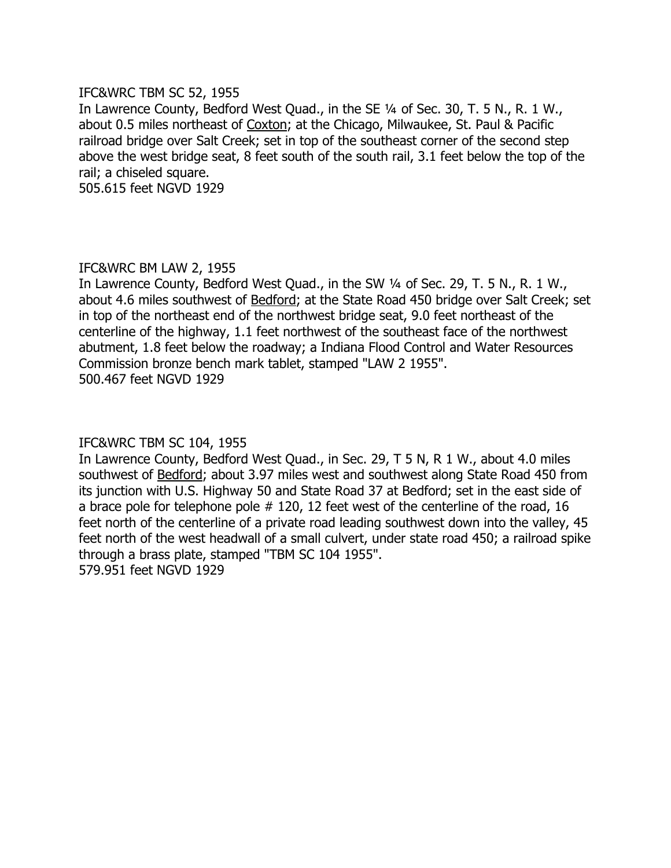### IFC&WRC TBM SC 52, 1955

In Lawrence County, Bedford West Quad., in the SE 1/4 of Sec. 30, T. 5 N., R. 1 W., about 0.5 miles northeast of Coxton; at the Chicago, Milwaukee, St. Paul & Pacific railroad bridge over Salt Creek; set in top of the southeast corner of the second step above the west bridge seat, 8 feet south of the south rail, 3.1 feet below the top of the rail; a chiseled square.

505.615 feet NGVD 1929

### IFC&WRC BM LAW 2, 1955

In Lawrence County, Bedford West Quad., in the SW 1/4 of Sec. 29, T. 5 N., R. 1 W., about 4.6 miles southwest of Bedford; at the State Road 450 bridge over Salt Creek; set in top of the northeast end of the northwest bridge seat, 9.0 feet northeast of the centerline of the highway, 1.1 feet northwest of the southeast face of the northwest abutment, 1.8 feet below the roadway; a Indiana Flood Control and Water Resources Commission bronze bench mark tablet, stamped "LAW 2 1955". 500.467 feet NGVD 1929

# IFC&WRC TBM SC 104, 1955

In Lawrence County, Bedford West Quad., in Sec. 29, T 5 N, R 1 W., about 4.0 miles southwest of **Bedford**; about 3.97 miles west and southwest along State Road 450 from its junction with U.S. Highway 50 and State Road 37 at Bedford; set in the east side of a brace pole for telephone pole # 120, 12 feet west of the centerline of the road, 16 feet north of the centerline of a private road leading southwest down into the valley, 45 feet north of the west headwall of a small culvert, under state road 450; a railroad spike through a brass plate, stamped "TBM SC 104 1955". 579.951 feet NGVD 1929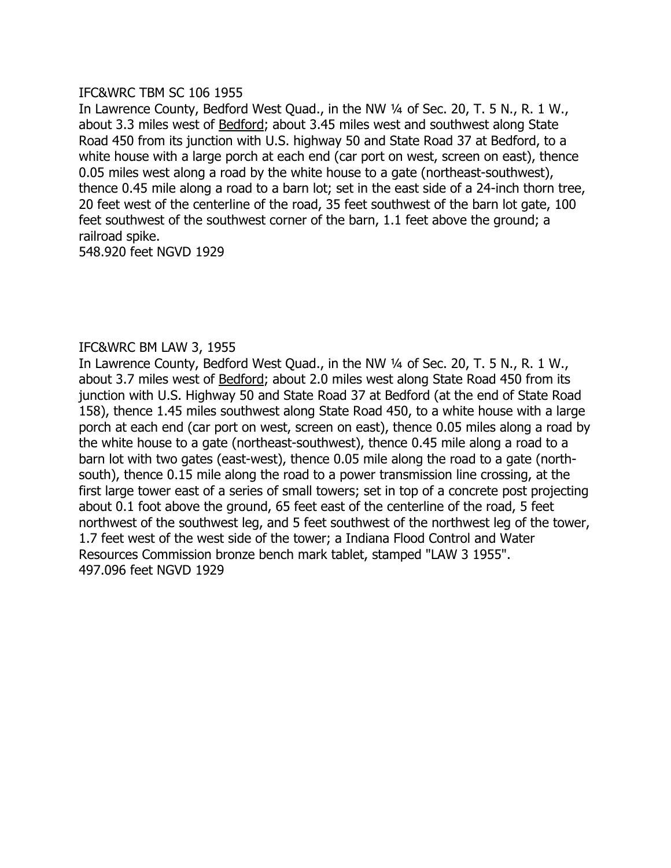### IFC&WRC TBM SC 106 1955

In Lawrence County, Bedford West Quad., in the NW 1/4 of Sec. 20, T. 5 N., R. 1 W., about 3.3 miles west of **Bedford**; about 3.45 miles west and southwest along State Road 450 from its junction with U.S. highway 50 and State Road 37 at Bedford, to a white house with a large porch at each end (car port on west, screen on east), thence 0.05 miles west along a road by the white house to a gate (northeast-southwest), thence 0.45 mile along a road to a barn lot; set in the east side of a 24-inch thorn tree, 20 feet west of the centerline of the road, 35 feet southwest of the barn lot gate, 100 feet southwest of the southwest corner of the barn, 1.1 feet above the ground; a railroad spike.

548.920 feet NGVD 1929

# IFC&WRC BM LAW 3, 1955

In Lawrence County, Bedford West Quad., in the NW 1/4 of Sec. 20, T. 5 N., R. 1 W., about 3.7 miles west of Bedford; about 2.0 miles west along State Road 450 from its junction with U.S. Highway 50 and State Road 37 at Bedford (at the end of State Road 158), thence 1.45 miles southwest along State Road 450, to a white house with a large porch at each end (car port on west, screen on east), thence 0.05 miles along a road by the white house to a gate (northeast-southwest), thence 0.45 mile along a road to a barn lot with two gates (east-west), thence 0.05 mile along the road to a gate (northsouth), thence 0.15 mile along the road to a power transmission line crossing, at the first large tower east of a series of small towers; set in top of a concrete post projecting about 0.1 foot above the ground, 65 feet east of the centerline of the road, 5 feet northwest of the southwest leg, and 5 feet southwest of the northwest leg of the tower, 1.7 feet west of the west side of the tower; a Indiana Flood Control and Water Resources Commission bronze bench mark tablet, stamped "LAW 3 1955". 497.096 feet NGVD 1929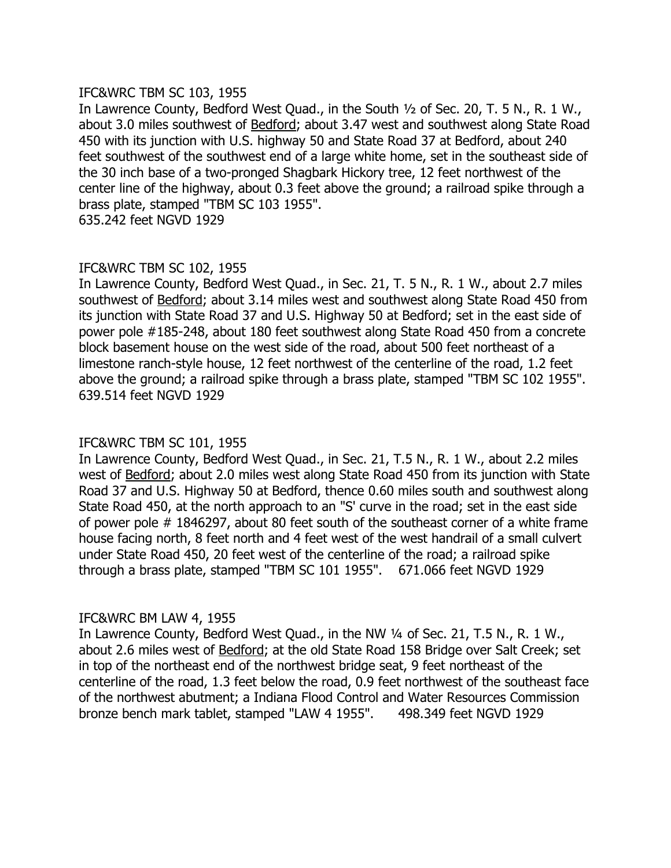### IFC&WRC TBM SC 103, 1955

In Lawrence County, Bedford West Quad., in the South  $\frac{1}{2}$  of Sec. 20, T. 5 N., R. 1 W., about 3.0 miles southwest of **Bedford**; about 3.47 west and southwest along State Road 450 with its junction with U.S. highway 50 and State Road 37 at Bedford, about 240 feet southwest of the southwest end of a large white home, set in the southeast side of the 30 inch base of a two-pronged Shagbark Hickory tree, 12 feet northwest of the center line of the highway, about 0.3 feet above the ground; a railroad spike through a brass plate, stamped "TBM SC 103 1955".

635.242 feet NGVD 1929

# IFC&WRC TBM SC 102, 1955

In Lawrence County, Bedford West Quad., in Sec. 21, T. 5 N., R. 1 W., about 2.7 miles southwest of Bedford; about 3.14 miles west and southwest along State Road 450 from its junction with State Road 37 and U.S. Highway 50 at Bedford; set in the east side of power pole #185-248, about 180 feet southwest along State Road 450 from a concrete block basement house on the west side of the road, about 500 feet northeast of a limestone ranch-style house, 12 feet northwest of the centerline of the road, 1.2 feet above the ground; a railroad spike through a brass plate, stamped "TBM SC 102 1955". 639.514 feet NGVD 1929

# IFC&WRC TBM SC 101, 1955

In Lawrence County, Bedford West Quad., in Sec. 21, T.5 N., R. 1 W., about 2.2 miles west of Bedford; about 2.0 miles west along State Road 450 from its junction with State Road 37 and U.S. Highway 50 at Bedford, thence 0.60 miles south and southwest along State Road 450, at the north approach to an "S' curve in the road; set in the east side of power pole # 1846297, about 80 feet south of the southeast corner of a white frame house facing north, 8 feet north and 4 feet west of the west handrail of a small culvert under State Road 450, 20 feet west of the centerline of the road; a railroad spike through a brass plate, stamped "TBM SC 101 1955". 671.066 feet NGVD 1929

# IFC&WRC BM LAW 4, 1955

In Lawrence County, Bedford West Quad., in the NW 1/4 of Sec. 21, T.5 N., R. 1 W., about 2.6 miles west of Bedford; at the old State Road 158 Bridge over Salt Creek; set in top of the northeast end of the northwest bridge seat, 9 feet northeast of the centerline of the road, 1.3 feet below the road, 0.9 feet northwest of the southeast face of the northwest abutment; a Indiana Flood Control and Water Resources Commission bronze bench mark tablet, stamped "LAW 4 1955". 498.349 feet NGVD 1929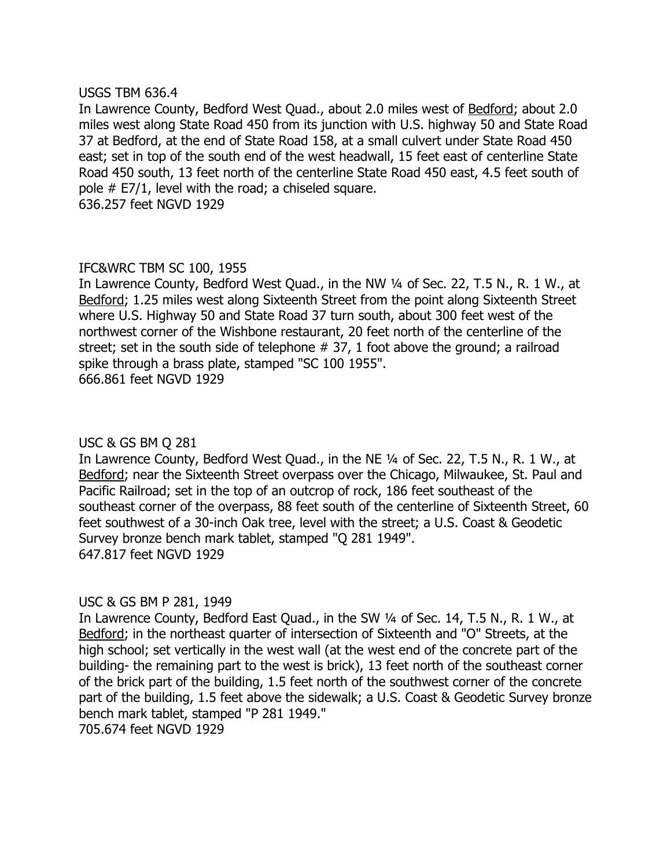#### USGS TBM 636.4

In Lawrence County, Bedford West Quad., about 2.0 miles west of Bedford; about 2.0 miles west along State Road 450 from its junction with U.S. highway 50 and State Road 37 at Bedford, at the end of State Road 158, at a small culvert under State Road 450 east; set in top of the south end of the west headwall, 15 feet east of centerline State Road 450 south, 13 feet north of the centerline State Road 450 east, 4.5 feet south of pole # E7/1, level with the road; a chiseled square. 636.257 feet NGVD 1929

# IFC&WRC TBM SC 100, 1955

In Lawrence County, Bedford West Quad., in the NW 1/4 of Sec. 22, T.5 N., R. 1 W., at Bedford; 1.25 miles west along Sixteenth Street from the point along Sixteenth Street where U.S. Highway 50 and State Road 37 turn south, about 300 feet west of the northwest corner of the Wishbone restaurant, 20 feet north of the centerline of the street; set in the south side of telephone # 37, 1 foot above the ground; a railroad spike through a brass plate, stamped "SC 100 1955". 666.861 feet NGVD 1929

# USC & GS BM Q 281

In Lawrence County, Bedford West Quad., in the NE 1/4 of Sec. 22, T.5 N., R. 1 W., at Bedford; near the Sixteenth Street overpass over the Chicago, Milwaukee, St. Paul and Pacific Railroad; set in the top of an outcrop of rock, 186 feet southeast of the southeast corner of the overpass, 88 feet south of the centerline of Sixteenth Street, 60 feet southwest of a 30-inch Oak tree, level with the street; a U.S. Coast & Geodetic Survey bronze bench mark tablet, stamped "Q 281 1949". 647.817 feet NGVD 1929

# USC & GS BM P 281, 1949

In Lawrence County, Bedford East Quad., in the SW 1/4 of Sec. 14, T.5 N., R. 1 W., at Bedford; in the northeast quarter of intersection of Sixteenth and "O" Streets, at the high school; set vertically in the west wall (at the west end of the concrete part of the building- the remaining part to the west is brick), 13 feet north of the southeast corner of the brick part of the building, 1.5 feet north of the southwest corner of the concrete part of the building, 1.5 feet above the sidewalk; a U.S. Coast & Geodetic Survey bronze bench mark tablet, stamped "P 281 1949."

705.674 feet NGVD 1929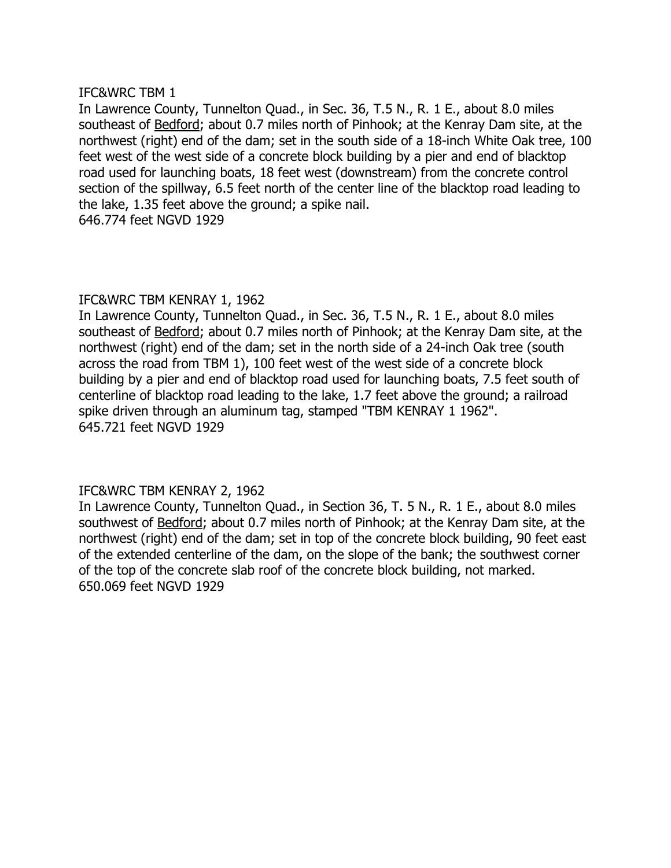# IFC&WRC TBM 1

In Lawrence County, Tunnelton Quad., in Sec. 36, T.5 N., R. 1 E., about 8.0 miles southeast of **Bedford**; about 0.7 miles north of Pinhook; at the Kenray Dam site, at the northwest (right) end of the dam; set in the south side of a 18-inch White Oak tree, 100 feet west of the west side of a concrete block building by a pier and end of blacktop road used for launching boats, 18 feet west (downstream) from the concrete control section of the spillway, 6.5 feet north of the center line of the blacktop road leading to the lake, 1.35 feet above the ground; a spike nail. 646.774 feet NGVD 1929

# IFC&WRC TBM KENRAY 1, 1962

In Lawrence County, Tunnelton Quad., in Sec. 36, T.5 N., R. 1 E., about 8.0 miles southeast of Bedford; about 0.7 miles north of Pinhook; at the Kenray Dam site, at the northwest (right) end of the dam; set in the north side of a 24-inch Oak tree (south across the road from TBM 1), 100 feet west of the west side of a concrete block building by a pier and end of blacktop road used for launching boats, 7.5 feet south of centerline of blacktop road leading to the lake, 1.7 feet above the ground; a railroad spike driven through an aluminum tag, stamped "TBM KENRAY 1 1962". 645.721 feet NGVD 1929

# IFC&WRC TBM KENRAY 2, 1962

In Lawrence County, Tunnelton Quad., in Section 36, T. 5 N., R. 1 E., about 8.0 miles southwest of Bedford; about 0.7 miles north of Pinhook; at the Kenray Dam site, at the northwest (right) end of the dam; set in top of the concrete block building, 90 feet east of the extended centerline of the dam, on the slope of the bank; the southwest corner of the top of the concrete slab roof of the concrete block building, not marked. 650.069 feet NGVD 1929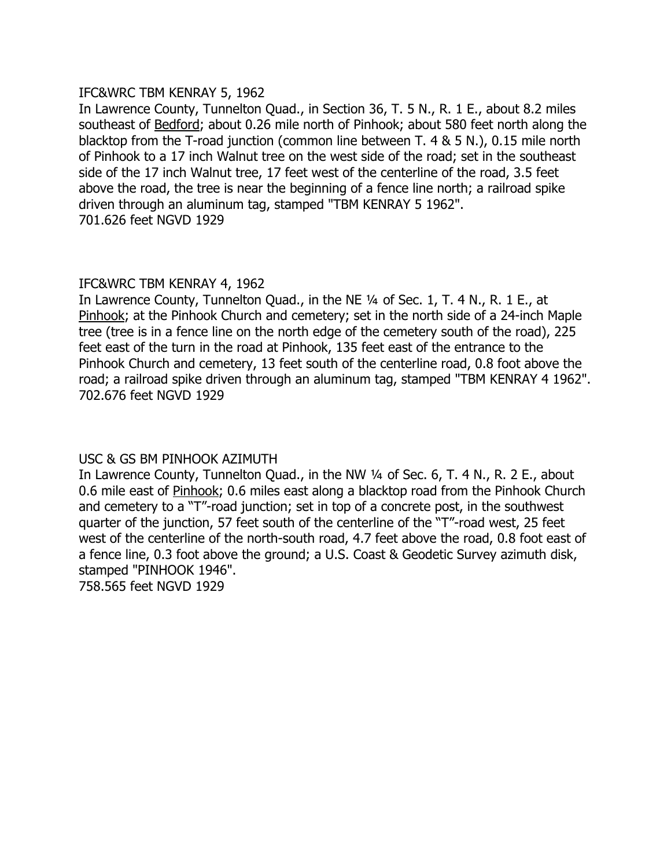### IFC&WRC TBM KENRAY 5, 1962

In Lawrence County, Tunnelton Quad., in Section 36, T. 5 N., R. 1 E., about 8.2 miles southeast of **Bedford**; about 0.26 mile north of Pinhook; about 580 feet north along the blacktop from the T-road junction (common line between T. 4 & 5 N.), 0.15 mile north of Pinhook to a 17 inch Walnut tree on the west side of the road; set in the southeast side of the 17 inch Walnut tree, 17 feet west of the centerline of the road, 3.5 feet above the road, the tree is near the beginning of a fence line north; a railroad spike driven through an aluminum tag, stamped "TBM KENRAY 5 1962". 701.626 feet NGVD 1929

# IFC&WRC TBM KENRAY 4, 1962

In Lawrence County, Tunnelton Quad., in the NE 1/4 of Sec. 1, T. 4 N., R. 1 E., at Pinhook; at the Pinhook Church and cemetery; set in the north side of a 24-inch Maple tree (tree is in a fence line on the north edge of the cemetery south of the road), 225 feet east of the turn in the road at Pinhook, 135 feet east of the entrance to the Pinhook Church and cemetery, 13 feet south of the centerline road, 0.8 foot above the road; a railroad spike driven through an aluminum tag, stamped "TBM KENRAY 4 1962". 702.676 feet NGVD 1929

# USC & GS BM PINHOOK AZIMUTH

In Lawrence County, Tunnelton Quad., in the NW 1/4 of Sec. 6, T. 4 N., R. 2 E., about 0.6 mile east of Pinhook; 0.6 miles east along a blacktop road from the Pinhook Church and cemetery to a "T"-road junction; set in top of a concrete post, in the southwest quarter of the junction, 57 feet south of the centerline of the "T"-road west, 25 feet west of the centerline of the north-south road, 4.7 feet above the road, 0.8 foot east of a fence line, 0.3 foot above the ground; a U.S. Coast & Geodetic Survey azimuth disk, stamped "PINHOOK 1946".

758.565 feet NGVD 1929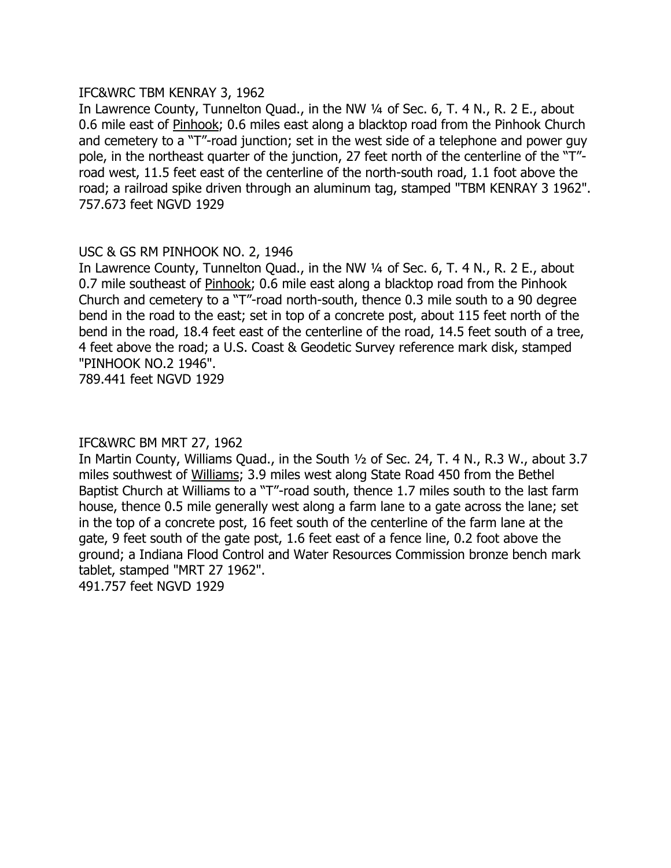### IFC&WRC TBM KENRAY 3, 1962

In Lawrence County, Tunnelton Quad., in the NW 1/4 of Sec. 6, T. 4 N., R. 2 E., about 0.6 mile east of Pinhook; 0.6 miles east along a blacktop road from the Pinhook Church and cemetery to a "T"-road junction; set in the west side of a telephone and power guy pole, in the northeast quarter of the junction, 27 feet north of the centerline of the "T"road west, 11.5 feet east of the centerline of the north-south road, 1.1 foot above the road; a railroad spike driven through an aluminum tag, stamped "TBM KENRAY 3 1962". 757.673 feet NGVD 1929

# USC & GS RM PINHOOK NO. 2, 1946

In Lawrence County, Tunnelton Quad., in the NW 1/4 of Sec. 6, T. 4 N., R. 2 E., about 0.7 mile southeast of Pinhook; 0.6 mile east along a blacktop road from the Pinhook Church and cemetery to a "T"-road north-south, thence 0.3 mile south to a 90 degree bend in the road to the east; set in top of a concrete post, about 115 feet north of the bend in the road, 18.4 feet east of the centerline of the road, 14.5 feet south of a tree, 4 feet above the road; a U.S. Coast & Geodetic Survey reference mark disk, stamped "PINHOOK NO.2 1946".

789.441 feet NGVD 1929

# IFC&WRC BM MRT 27, 1962

In Martin County, Williams Quad., in the South  $\frac{1}{2}$  of Sec. 24, T. 4 N., R.3 W., about 3.7 miles southwest of Williams; 3.9 miles west along State Road 450 from the Bethel Baptist Church at Williams to a "T"-road south, thence 1.7 miles south to the last farm house, thence 0.5 mile generally west along a farm lane to a gate across the lane; set in the top of a concrete post, 16 feet south of the centerline of the farm lane at the gate, 9 feet south of the gate post, 1.6 feet east of a fence line, 0.2 foot above the ground; a Indiana Flood Control and Water Resources Commission bronze bench mark tablet, stamped "MRT 27 1962".

491.757 feet NGVD 1929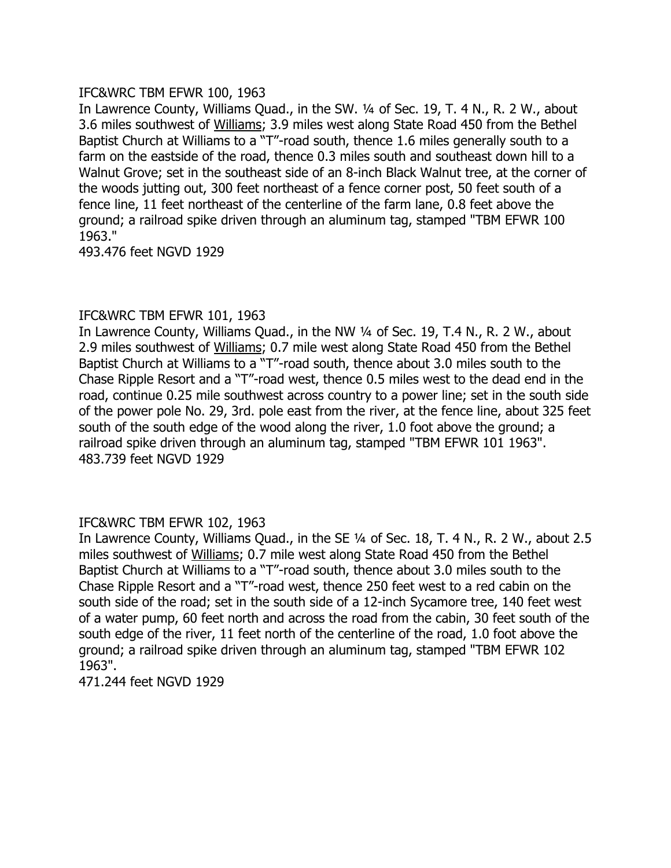# IFC&WRC TBM EFWR 100, 1963

In Lawrence County, Williams Quad., in the SW. 1/4 of Sec. 19, T. 4 N., R. 2 W., about 3.6 miles southwest of Williams; 3.9 miles west along State Road 450 from the Bethel Baptist Church at Williams to a "T"-road south, thence 1.6 miles generally south to a farm on the eastside of the road, thence 0.3 miles south and southeast down hill to a Walnut Grove; set in the southeast side of an 8-inch Black Walnut tree, at the corner of the woods jutting out, 300 feet northeast of a fence corner post, 50 feet south of a fence line, 11 feet northeast of the centerline of the farm lane, 0.8 feet above the ground; a railroad spike driven through an aluminum tag, stamped "TBM EFWR 100 1963."

493.476 feet NGVD 1929

# IFC&WRC TBM EFWR 101, 1963

In Lawrence County, Williams Quad., in the NW 1/4 of Sec. 19, T.4 N., R. 2 W., about 2.9 miles southwest of Williams; 0.7 mile west along State Road 450 from the Bethel Baptist Church at Williams to a "T"-road south, thence about 3.0 miles south to the Chase Ripple Resort and a "T"-road west, thence 0.5 miles west to the dead end in the road, continue 0.25 mile southwest across country to a power line; set in the south side of the power pole No. 29, 3rd. pole east from the river, at the fence line, about 325 feet south of the south edge of the wood along the river, 1.0 foot above the ground; a railroad spike driven through an aluminum tag, stamped "TBM EFWR 101 1963". 483.739 feet NGVD 1929

# IFC&WRC TBM EFWR 102, 1963

In Lawrence County, Williams Quad., in the SE 1/4 of Sec. 18, T. 4 N., R. 2 W., about 2.5 miles southwest of Williams; 0.7 mile west along State Road 450 from the Bethel Baptist Church at Williams to a "T"-road south, thence about 3.0 miles south to the Chase Ripple Resort and a "T"-road west, thence 250 feet west to a red cabin on the south side of the road; set in the south side of a 12-inch Sycamore tree, 140 feet west of a water pump, 60 feet north and across the road from the cabin, 30 feet south of the south edge of the river, 11 feet north of the centerline of the road, 1.0 foot above the ground; a railroad spike driven through an aluminum tag, stamped "TBM EFWR 102 1963".

471.244 feet NGVD 1929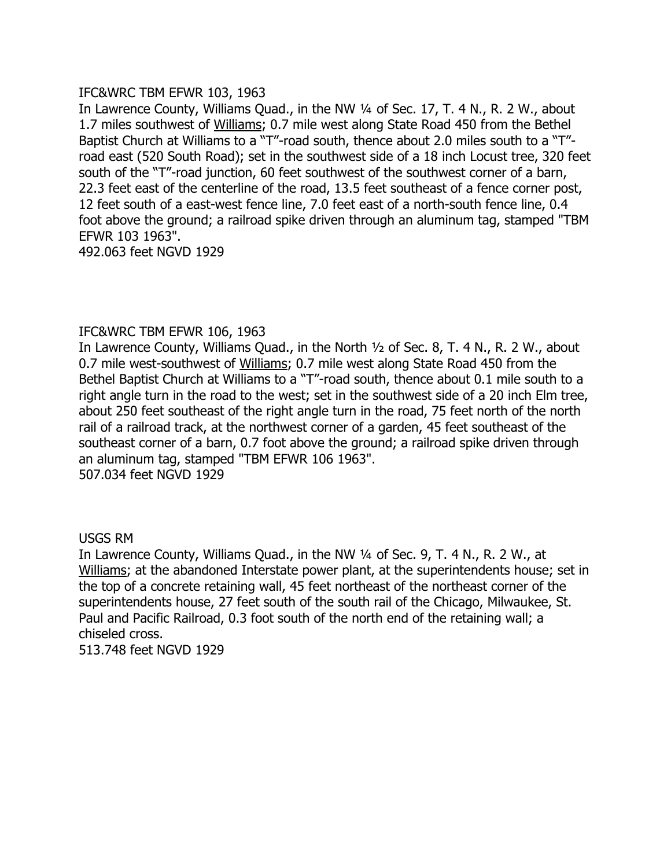# IFC&WRC TBM EFWR 103, 1963

In Lawrence County, Williams Quad., in the NW 1/4 of Sec. 17, T. 4 N., R. 2 W., about 1.7 miles southwest of Williams; 0.7 mile west along State Road 450 from the Bethel Baptist Church at Williams to a "T"-road south, thence about 2.0 miles south to a "T"road east (520 South Road); set in the southwest side of a 18 inch Locust tree, 320 feet south of the "T"-road junction, 60 feet southwest of the southwest corner of a barn, 22.3 feet east of the centerline of the road, 13.5 feet southeast of a fence corner post, 12 feet south of a east-west fence line, 7.0 feet east of a north-south fence line, 0.4 foot above the ground; a railroad spike driven through an aluminum tag, stamped "TBM EFWR 103 1963".

492.063 feet NGVD 1929

# IFC&WRC TBM EFWR 106, 1963

In Lawrence County, Williams Quad., in the North  $\frac{1}{2}$  of Sec. 8, T. 4 N., R. 2 W., about 0.7 mile west-southwest of Williams; 0.7 mile west along State Road 450 from the Bethel Baptist Church at Williams to a "T"-road south, thence about 0.1 mile south to a right angle turn in the road to the west; set in the southwest side of a 20 inch Elm tree, about 250 feet southeast of the right angle turn in the road, 75 feet north of the north rail of a railroad track, at the northwest corner of a garden, 45 feet southeast of the southeast corner of a barn, 0.7 foot above the ground; a railroad spike driven through an aluminum tag, stamped "TBM EFWR 106 1963". 507.034 feet NGVD 1929

# USGS RM

In Lawrence County, Williams Quad., in the NW 1/4 of Sec. 9, T. 4 N., R. 2 W., at Williams; at the abandoned Interstate power plant, at the superintendents house; set in the top of a concrete retaining wall, 45 feet northeast of the northeast corner of the superintendents house, 27 feet south of the south rail of the Chicago, Milwaukee, St. Paul and Pacific Railroad, 0.3 foot south of the north end of the retaining wall; a chiseled cross. 513.748 feet NGVD 1929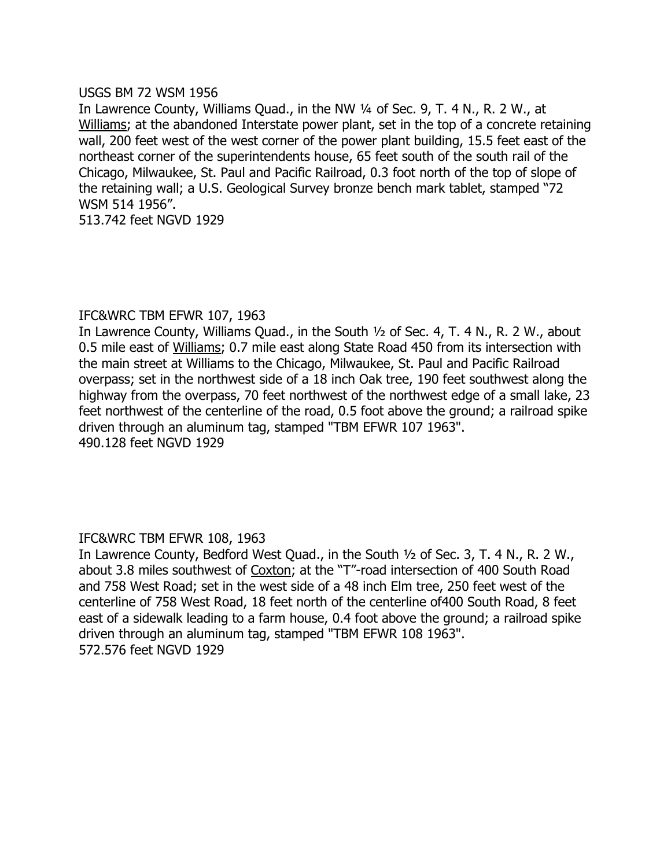### USGS BM 72 WSM 1956

In Lawrence County, Williams Quad., in the NW 1/4 of Sec. 9, T. 4 N., R. 2 W., at Williams; at the abandoned Interstate power plant, set in the top of a concrete retaining wall, 200 feet west of the west corner of the power plant building, 15.5 feet east of the northeast corner of the superintendents house, 65 feet south of the south rail of the Chicago, Milwaukee, St. Paul and Pacific Railroad, 0.3 foot north of the top of slope of the retaining wall; a U.S. Geological Survey bronze bench mark tablet, stamped "72 WSM 514 1956".

513.742 feet NGVD 1929

# IFC&WRC TBM EFWR 107, 1963

In Lawrence County, Williams Quad., in the South  $\frac{1}{2}$  of Sec. 4, T. 4 N., R. 2 W., about 0.5 mile east of Williams; 0.7 mile east along State Road 450 from its intersection with the main street at Williams to the Chicago, Milwaukee, St. Paul and Pacific Railroad overpass; set in the northwest side of a 18 inch Oak tree, 190 feet southwest along the highway from the overpass, 70 feet northwest of the northwest edge of a small lake, 23 feet northwest of the centerline of the road, 0.5 foot above the ground; a railroad spike driven through an aluminum tag, stamped "TBM EFWR 107 1963". 490.128 feet NGVD 1929

# IFC&WRC TBM EFWR 108, 1963

In Lawrence County, Bedford West Quad., in the South  $\frac{1}{2}$  of Sec. 3, T. 4 N., R. 2 W., about 3.8 miles southwest of Coxton; at the "T"-road intersection of 400 South Road and 758 West Road; set in the west side of a 48 inch Elm tree, 250 feet west of the centerline of 758 West Road, 18 feet north of the centerline of400 South Road, 8 feet east of a sidewalk leading to a farm house, 0.4 foot above the ground; a railroad spike driven through an aluminum tag, stamped "TBM EFWR 108 1963". 572.576 feet NGVD 1929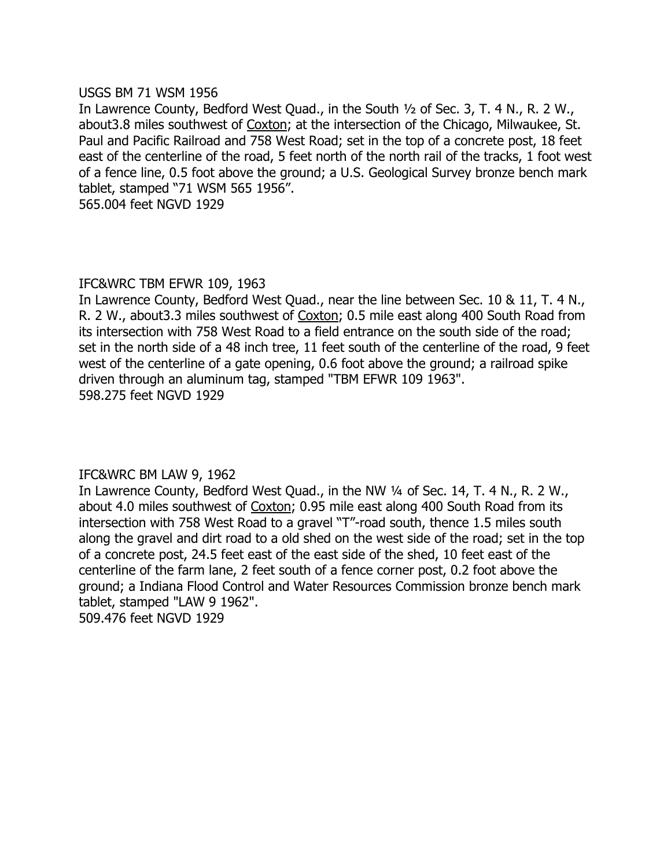### USGS BM 71 WSM 1956

In Lawrence County, Bedford West Quad., in the South 1/2 of Sec. 3, T. 4 N., R. 2 W., about3.8 miles southwest of Coxton; at the intersection of the Chicago, Milwaukee, St. Paul and Pacific Railroad and 758 West Road; set in the top of a concrete post, 18 feet east of the centerline of the road, 5 feet north of the north rail of the tracks, 1 foot west of a fence line, 0.5 foot above the ground; a U.S. Geological Survey bronze bench mark tablet, stamped "71 WSM 565 1956".

565.004 feet NGVD 1929

# IFC&WRC TBM EFWR 109, 1963

In Lawrence County, Bedford West Quad., near the line between Sec. 10 & 11, T. 4 N., R. 2 W., about3.3 miles southwest of Coxton; 0.5 mile east along 400 South Road from its intersection with 758 West Road to a field entrance on the south side of the road; set in the north side of a 48 inch tree, 11 feet south of the centerline of the road, 9 feet west of the centerline of a gate opening, 0.6 foot above the ground; a railroad spike driven through an aluminum tag, stamped "TBM EFWR 109 1963". 598.275 feet NGVD 1929

# IFC&WRC BM LAW 9, 1962

In Lawrence County, Bedford West Quad., in the NW 1/4 of Sec. 14, T. 4 N., R. 2 W., about 4.0 miles southwest of Coxton; 0.95 mile east along 400 South Road from its intersection with 758 West Road to a gravel "T"-road south, thence 1.5 miles south along the gravel and dirt road to a old shed on the west side of the road; set in the top of a concrete post, 24.5 feet east of the east side of the shed, 10 feet east of the centerline of the farm lane, 2 feet south of a fence corner post, 0.2 foot above the ground; a Indiana Flood Control and Water Resources Commission bronze bench mark tablet, stamped "LAW 9 1962".

509.476 feet NGVD 1929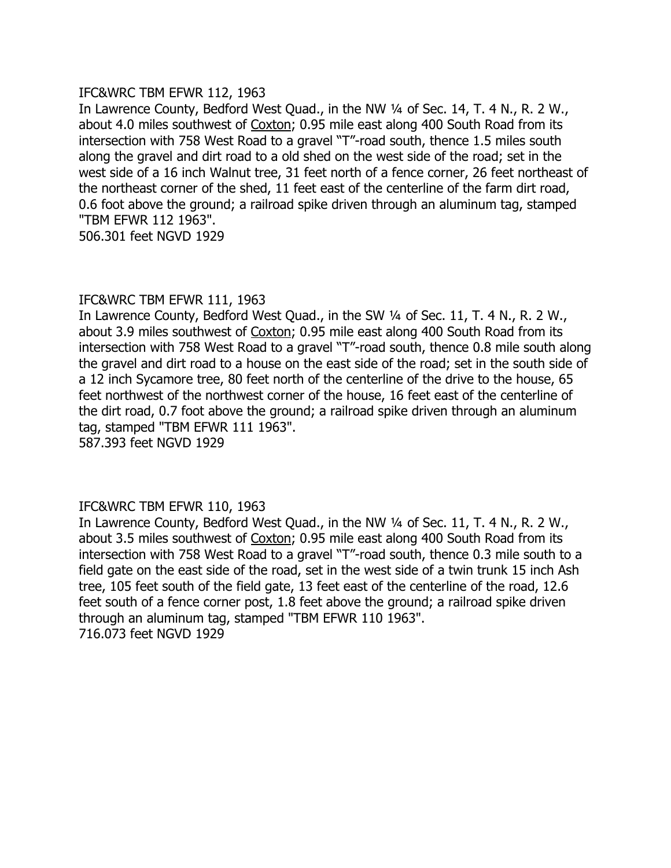### IFC&WRC TBM EFWR 112, 1963

In Lawrence County, Bedford West Quad., in the NW 1/4 of Sec. 14, T. 4 N., R. 2 W., about 4.0 miles southwest of Coxton; 0.95 mile east along 400 South Road from its intersection with 758 West Road to a gravel "T"-road south, thence 1.5 miles south along the gravel and dirt road to a old shed on the west side of the road; set in the west side of a 16 inch Walnut tree, 31 feet north of a fence corner, 26 feet northeast of the northeast corner of the shed, 11 feet east of the centerline of the farm dirt road, 0.6 foot above the ground; a railroad spike driven through an aluminum tag, stamped "TBM EFWR 112 1963". 506.301 feet NGVD 1929

# IFC&WRC TBM EFWR 111, 1963

In Lawrence County, Bedford West Quad., in the SW 1/4 of Sec. 11, T. 4 N., R. 2 W., about 3.9 miles southwest of Coxton; 0.95 mile east along 400 South Road from its intersection with 758 West Road to a gravel "T"-road south, thence 0.8 mile south along the gravel and dirt road to a house on the east side of the road; set in the south side of a 12 inch Sycamore tree, 80 feet north of the centerline of the drive to the house, 65 feet northwest of the northwest corner of the house, 16 feet east of the centerline of the dirt road, 0.7 foot above the ground; a railroad spike driven through an aluminum tag, stamped "TBM EFWR 111 1963".

587.393 feet NGVD 1929

# IFC&WRC TBM EFWR 110, 1963

In Lawrence County, Bedford West Quad., in the NW 1/4 of Sec. 11, T. 4 N., R. 2 W., about 3.5 miles southwest of Coxton; 0.95 mile east along 400 South Road from its intersection with 758 West Road to a gravel "T"-road south, thence 0.3 mile south to a field gate on the east side of the road, set in the west side of a twin trunk 15 inch Ash tree, 105 feet south of the field gate, 13 feet east of the centerline of the road, 12.6 feet south of a fence corner post, 1.8 feet above the ground; a railroad spike driven through an aluminum tag, stamped "TBM EFWR 110 1963". 716.073 feet NGVD 1929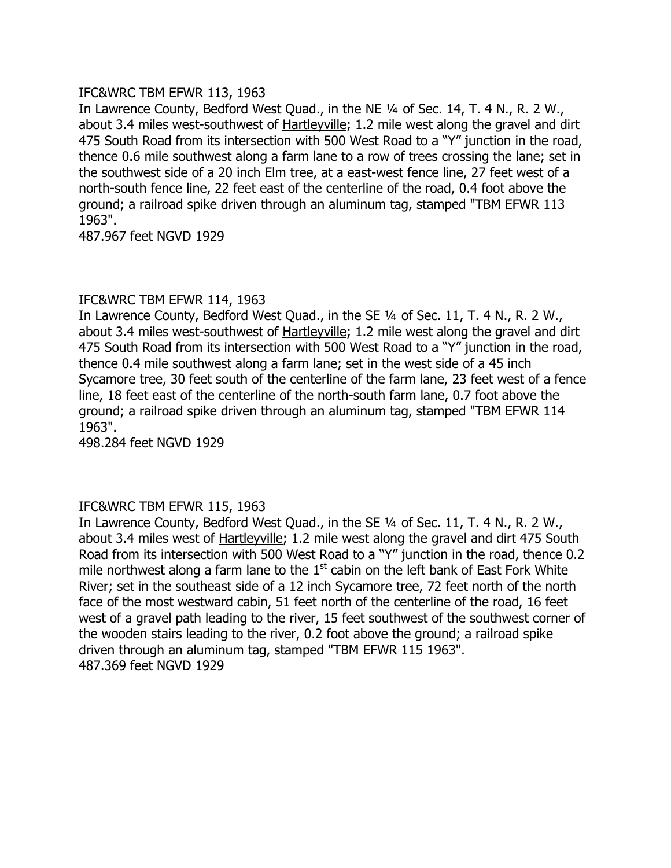# IFC&WRC TBM EFWR 113, 1963

In Lawrence County, Bedford West Quad., in the NE 1/4 of Sec. 14, T. 4 N., R. 2 W., about 3.4 miles west-southwest of **Hartleyville**; 1.2 mile west along the gravel and dirt 475 South Road from its intersection with 500 West Road to a "Y" junction in the road, thence 0.6 mile southwest along a farm lane to a row of trees crossing the lane; set in the southwest side of a 20 inch Elm tree, at a east-west fence line, 27 feet west of a north-south fence line, 22 feet east of the centerline of the road, 0.4 foot above the ground; a railroad spike driven through an aluminum tag, stamped "TBM EFWR 113 1963".

487.967 feet NGVD 1929

# IFC&WRC TBM EFWR 114, 1963

In Lawrence County, Bedford West Quad., in the SE 1/4 of Sec. 11, T. 4 N., R. 2 W., about 3.4 miles west-southwest of Hartleyville; 1.2 mile west along the gravel and dirt 475 South Road from its intersection with 500 West Road to a "Y" junction in the road, thence 0.4 mile southwest along a farm lane; set in the west side of a 45 inch Sycamore tree, 30 feet south of the centerline of the farm lane, 23 feet west of a fence line, 18 feet east of the centerline of the north-south farm lane, 0.7 foot above the ground; a railroad spike driven through an aluminum tag, stamped "TBM EFWR 114 1963".

498.284 feet NGVD 1929

# IFC&WRC TBM EFWR 115, 1963

In Lawrence County, Bedford West Quad., in the SE 1/4 of Sec. 11, T. 4 N., R. 2 W., about 3.4 miles west of Hartleyville; 1.2 mile west along the gravel and dirt 475 South Road from its intersection with 500 West Road to a "Y" junction in the road, thence 0.2 mile northwest along a farm lane to the  $1<sup>st</sup>$  cabin on the left bank of East Fork White River; set in the southeast side of a 12 inch Sycamore tree, 72 feet north of the north face of the most westward cabin, 51 feet north of the centerline of the road, 16 feet west of a gravel path leading to the river, 15 feet southwest of the southwest corner of the wooden stairs leading to the river, 0.2 foot above the ground; a railroad spike driven through an aluminum tag, stamped "TBM EFWR 115 1963". 487.369 feet NGVD 1929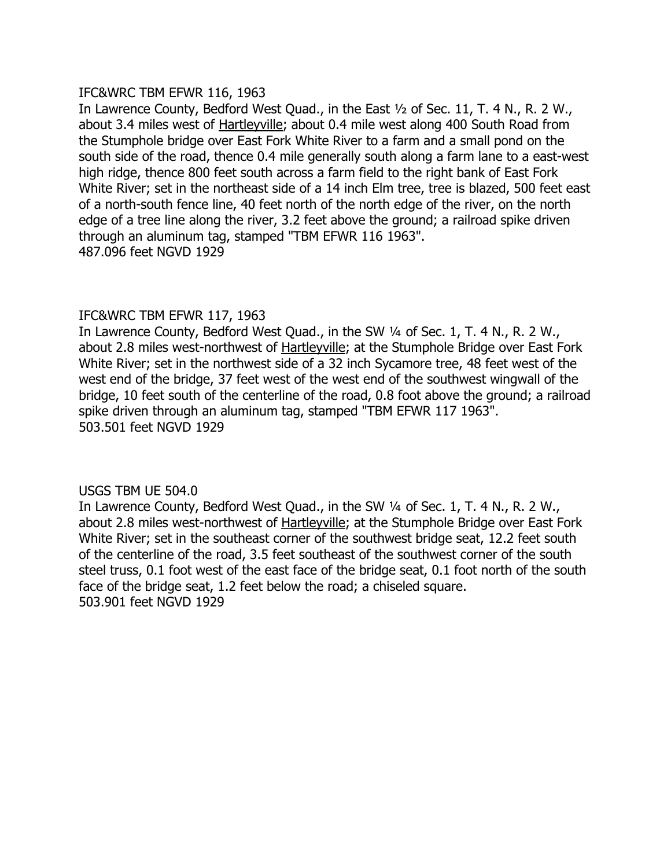# IFC&WRC TBM EFWR 116, 1963

In Lawrence County, Bedford West Quad., in the East 1/2 of Sec. 11, T. 4 N., R. 2 W., about 3.4 miles west of Hartleyville; about 0.4 mile west along 400 South Road from the Stumphole bridge over East Fork White River to a farm and a small pond on the south side of the road, thence 0.4 mile generally south along a farm lane to a east-west high ridge, thence 800 feet south across a farm field to the right bank of East Fork White River; set in the northeast side of a 14 inch Elm tree, tree is blazed, 500 feet east of a north-south fence line, 40 feet north of the north edge of the river, on the north edge of a tree line along the river, 3.2 feet above the ground; a railroad spike driven through an aluminum tag, stamped "TBM EFWR 116 1963". 487.096 feet NGVD 1929

# IFC&WRC TBM EFWR 117, 1963

In Lawrence County, Bedford West Quad., in the SW 1/4 of Sec. 1, T. 4 N., R. 2 W., about 2.8 miles west-northwest of Hartleyville; at the Stumphole Bridge over East Fork White River; set in the northwest side of a 32 inch Sycamore tree, 48 feet west of the west end of the bridge, 37 feet west of the west end of the southwest wingwall of the bridge, 10 feet south of the centerline of the road, 0.8 foot above the ground; a railroad spike driven through an aluminum tag, stamped "TBM EFWR 117 1963". 503.501 feet NGVD 1929

# USGS TBM UE 504.0

In Lawrence County, Bedford West Quad., in the SW 1/4 of Sec. 1, T. 4 N., R. 2 W., about 2.8 miles west-northwest of Hartleyville; at the Stumphole Bridge over East Fork White River; set in the southeast corner of the southwest bridge seat, 12.2 feet south of the centerline of the road, 3.5 feet southeast of the southwest corner of the south steel truss, 0.1 foot west of the east face of the bridge seat, 0.1 foot north of the south face of the bridge seat, 1.2 feet below the road; a chiseled square. 503.901 feet NGVD 1929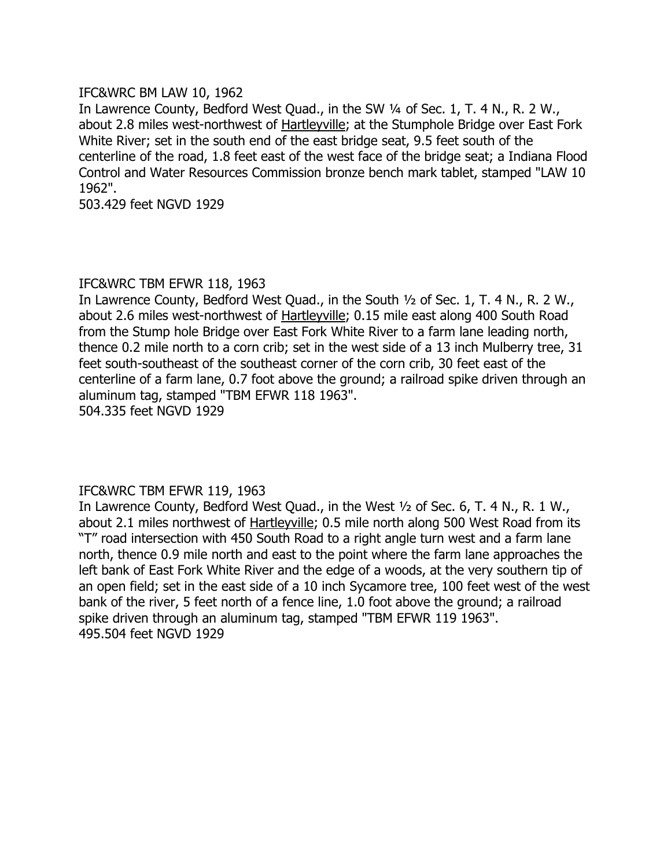# IFC&WRC BM LAW 10, 1962

In Lawrence County, Bedford West Quad., in the SW 1/4 of Sec. 1, T. 4 N., R. 2 W., about 2.8 miles west-northwest of Hartleyville; at the Stumphole Bridge over East Fork White River; set in the south end of the east bridge seat, 9.5 feet south of the centerline of the road, 1.8 feet east of the west face of the bridge seat; a Indiana Flood Control and Water Resources Commission bronze bench mark tablet, stamped "LAW 10 1962".

503.429 feet NGVD 1929

### IFC&WRC TBM EFWR 118, 1963

In Lawrence County, Bedford West Quad., in the South 1/2 of Sec. 1, T. 4 N., R. 2 W., about 2.6 miles west-northwest of Hartleyville; 0.15 mile east along 400 South Road from the Stump hole Bridge over East Fork White River to a farm lane leading north, thence 0.2 mile north to a corn crib; set in the west side of a 13 inch Mulberry tree, 31 feet south-southeast of the southeast corner of the corn crib, 30 feet east of the centerline of a farm lane, 0.7 foot above the ground; a railroad spike driven through an aluminum tag, stamped "TBM EFWR 118 1963". 504.335 feet NGVD 1929

# IFC&WRC TBM EFWR 119, 1963

In Lawrence County, Bedford West Quad., in the West 1/2 of Sec. 6, T. 4 N., R. 1 W., about 2.1 miles northwest of Hartleyville; 0.5 mile north along 500 West Road from its "T" road intersection with 450 South Road to a right angle turn west and a farm lane north, thence 0.9 mile north and east to the point where the farm lane approaches the left bank of East Fork White River and the edge of a woods, at the very southern tip of an open field; set in the east side of a 10 inch Sycamore tree, 100 feet west of the west bank of the river, 5 feet north of a fence line, 1.0 foot above the ground; a railroad spike driven through an aluminum tag, stamped "TBM EFWR 119 1963". 495.504 feet NGVD 1929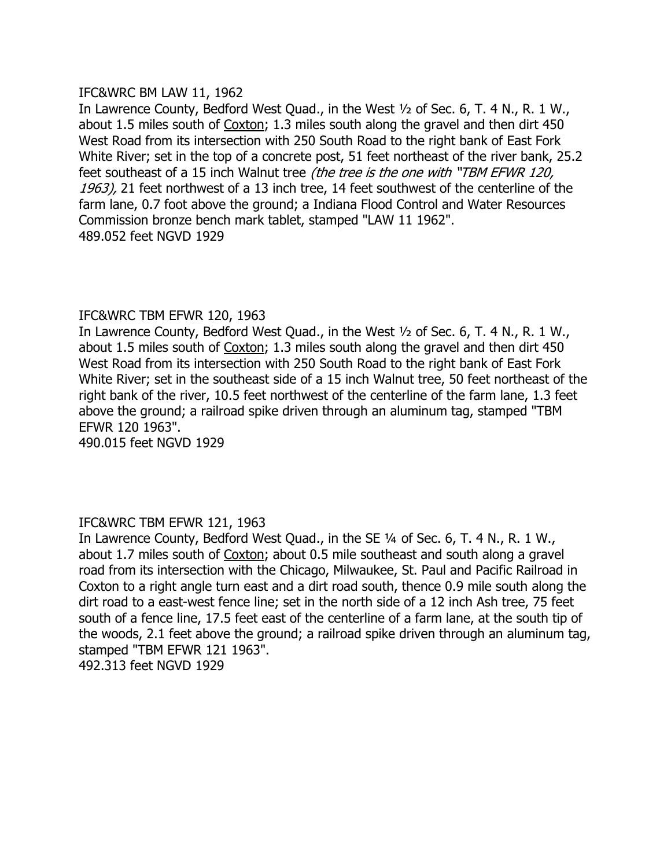# IFC&WRC BM LAW 11, 1962

feet southeast of a 15 inch Walnut tree *(the tree is the one with "TBM EFWR 120,* In Lawrence County, Bedford West Quad., in the West 1/2 of Sec. 6, T. 4 N., R. 1 W., about 1.5 miles south of Coxton; 1.3 miles south along the gravel and then dirt 450 West Road from its intersection with 250 South Road to the right bank of East Fork White River; set in the top of a concrete post, 51 feet northeast of the river bank, 25.2 1963), 21 feet northwest of a 13 inch tree, 14 feet southwest of the centerline of the farm lane, 0.7 foot above the ground; a Indiana Flood Control and Water Resources Commission bronze bench mark tablet, stamped "LAW 11 1962". 489.052 feet NGVD 1929

# IFC&WRC TBM EFWR 120, 1963

In Lawrence County, Bedford West Quad., in the West  $\frac{1}{2}$  of Sec. 6, T. 4 N., R. 1 W., about 1.5 miles south of Coxton; 1.3 miles south along the gravel and then dirt 450 West Road from its intersection with 250 South Road to the right bank of East Fork White River; set in the southeast side of a 15 inch Walnut tree, 50 feet northeast of the right bank of the river, 10.5 feet northwest of the centerline of the farm lane, 1.3 feet above the ground; a railroad spike driven through an aluminum tag, stamped "TBM EFWR 120 1963".

490.015 feet NGVD 1929

# IFC&WRC TBM EFWR 121, 1963

In Lawrence County, Bedford West Quad., in the SE 1/4 of Sec. 6, T. 4 N., R. 1 W., about 1.7 miles south of Coxton; about 0.5 mile southeast and south along a gravel road from its intersection with the Chicago, Milwaukee, St. Paul and Pacific Railroad in Coxton to a right angle turn east and a dirt road south, thence 0.9 mile south along the dirt road to a east-west fence line; set in the north side of a 12 inch Ash tree, 75 feet south of a fence line, 17.5 feet east of the centerline of a farm lane, at the south tip of the woods, 2.1 feet above the ground; a railroad spike driven through an aluminum tag, stamped "TBM EFWR 121 1963". 492.313 feet NGVD 1929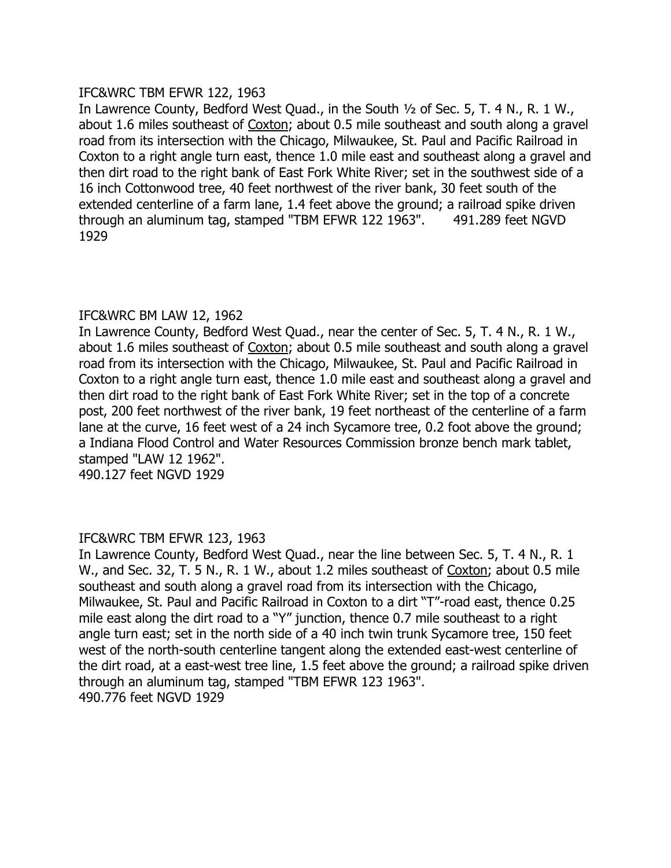# IFC&WRC TBM EFWR 122, 1963

In Lawrence County, Bedford West Quad., in the South 1/2 of Sec. 5, T. 4 N., R. 1 W., about 1.6 miles southeast of Coxton; about 0.5 mile southeast and south along a gravel road from its intersection with the Chicago, Milwaukee, St. Paul and Pacific Railroad in Coxton to a right angle turn east, thence 1.0 mile east and southeast along a gravel and then dirt road to the right bank of East Fork White River; set in the southwest side of a 16 inch Cottonwood tree, 40 feet northwest of the river bank, 30 feet south of the extended centerline of a farm lane, 1.4 feet above the ground; a railroad spike driven through an aluminum tag, stamped "TBM EFWR 122 1963". 491.289 feet NGVD 1929

# IFC&WRC BM LAW 12, 1962

In Lawrence County, Bedford West Quad., near the center of Sec. 5, T. 4 N., R. 1 W., about 1.6 miles southeast of Coxton; about 0.5 mile southeast and south along a gravel road from its intersection with the Chicago, Milwaukee, St. Paul and Pacific Railroad in Coxton to a right angle turn east, thence 1.0 mile east and southeast along a gravel and then dirt road to the right bank of East Fork White River; set in the top of a concrete post, 200 feet northwest of the river bank, 19 feet northeast of the centerline of a farm lane at the curve, 16 feet west of a 24 inch Sycamore tree, 0.2 foot above the ground; a Indiana Flood Control and Water Resources Commission bronze bench mark tablet, stamped "LAW 12 1962".

490.127 feet NGVD 1929

# IFC&WRC TBM EFWR 123, 1963

In Lawrence County, Bedford West Quad., near the line between Sec. 5, T. 4 N., R. 1 W., and Sec. 32, T. 5 N., R. 1 W., about 1.2 miles southeast of Coxton; about 0.5 mile southeast and south along a gravel road from its intersection with the Chicago, Milwaukee, St. Paul and Pacific Railroad in Coxton to a dirt "T"-road east, thence 0.25 mile east along the dirt road to a "Y" junction, thence 0.7 mile southeast to a right angle turn east; set in the north side of a 40 inch twin trunk Sycamore tree, 150 feet west of the north-south centerline tangent along the extended east-west centerline of the dirt road, at a east-west tree line, 1.5 feet above the ground; a railroad spike driven through an aluminum tag, stamped "TBM EFWR 123 1963". 490.776 feet NGVD 1929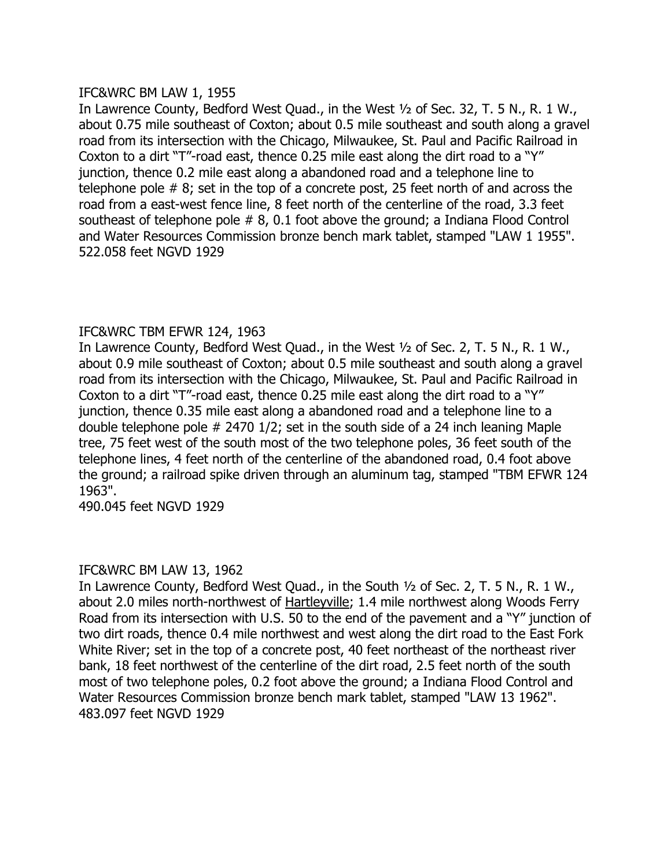# IFC&WRC BM LAW 1, 1955

In Lawrence County, Bedford West Quad., in the West 1/2 of Sec. 32, T. 5 N., R. 1 W., about 0.75 mile southeast of Coxton; about 0.5 mile southeast and south along a gravel road from its intersection with the Chicago, Milwaukee, St. Paul and Pacific Railroad in Coxton to a dirt "T"-road east, thence 0.25 mile east along the dirt road to a "Y" junction, thence 0.2 mile east along a abandoned road and a telephone line to telephone pole # 8; set in the top of a concrete post, 25 feet north of and across the road from a east-west fence line, 8 feet north of the centerline of the road, 3.3 feet southeast of telephone pole # 8, 0.1 foot above the ground; a Indiana Flood Control and Water Resources Commission bronze bench mark tablet, stamped "LAW 1 1955". 522.058 feet NGVD 1929

# IFC&WRC TBM EFWR 124, 1963

In Lawrence County, Bedford West Quad., in the West 1/2 of Sec. 2, T. 5 N., R. 1 W., about 0.9 mile southeast of Coxton; about 0.5 mile southeast and south along a gravel road from its intersection with the Chicago, Milwaukee, St. Paul and Pacific Railroad in Coxton to a dirt "T"-road east, thence  $0.25$  mile east along the dirt road to a "Y" junction, thence 0.35 mile east along a abandoned road and a telephone line to a double telephone pole # 2470 1/2; set in the south side of a 24 inch leaning Maple tree, 75 feet west of the south most of the two telephone poles, 36 feet south of the telephone lines, 4 feet north of the centerline of the abandoned road, 0.4 foot above the ground; a railroad spike driven through an aluminum tag, stamped "TBM EFWR 124 1963".

490.045 feet NGVD 1929

# IFC&WRC BM LAW 13, 1962

In Lawrence County, Bedford West Quad., in the South 1/2 of Sec. 2, T. 5 N., R. 1 W., about 2.0 miles north-northwest of Hartleyville; 1.4 mile northwest along Woods Ferry Road from its intersection with U.S. 50 to the end of the pavement and a "Y" junction of two dirt roads, thence 0.4 mile northwest and west along the dirt road to the East Fork White River; set in the top of a concrete post, 40 feet northeast of the northeast river bank, 18 feet northwest of the centerline of the dirt road, 2.5 feet north of the south most of two telephone poles, 0.2 foot above the ground; a Indiana Flood Control and Water Resources Commission bronze bench mark tablet, stamped "LAW 13 1962". 483.097 feet NGVD 1929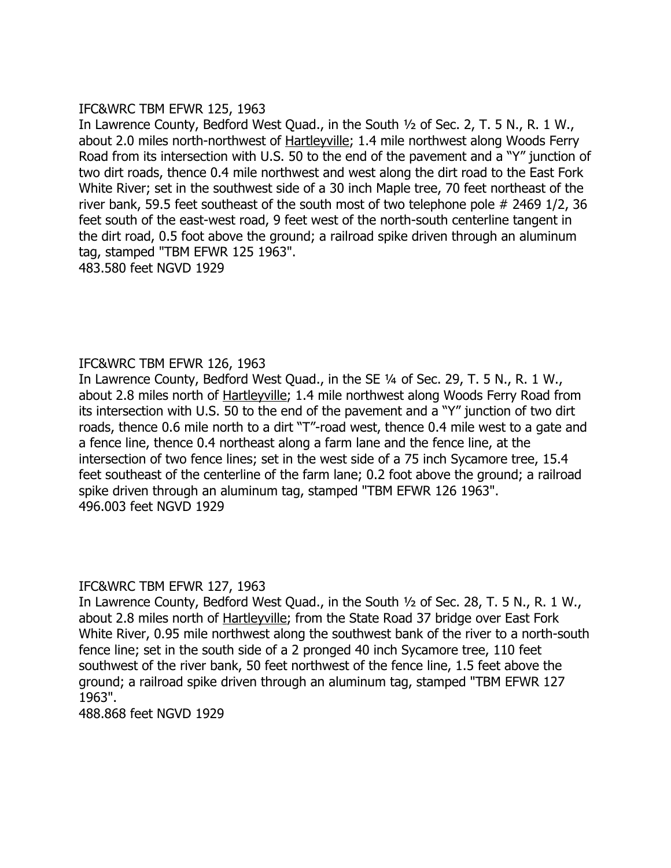# IFC&WRC TBM EFWR 125, 1963

In Lawrence County, Bedford West Quad., in the South 1/2 of Sec. 2, T. 5 N., R. 1 W., about 2.0 miles north-northwest of Hartleyville; 1.4 mile northwest along Woods Ferry Road from its intersection with U.S. 50 to the end of the pavement and a "Y" junction of two dirt roads, thence 0.4 mile northwest and west along the dirt road to the East Fork White River; set in the southwest side of a 30 inch Maple tree, 70 feet northeast of the river bank, 59.5 feet southeast of the south most of two telephone pole # 2469 1/2, 36 feet south of the east-west road, 9 feet west of the north-south centerline tangent in the dirt road, 0.5 foot above the ground; a railroad spike driven through an aluminum tag, stamped "TBM EFWR 125 1963". 483.580 feet NGVD 1929

# IFC&WRC TBM EFWR 126, 1963

In Lawrence County, Bedford West Quad., in the SE 1/4 of Sec. 29, T. 5 N., R. 1 W., about 2.8 miles north of Hartleyville; 1.4 mile northwest along Woods Ferry Road from its intersection with U.S. 50 to the end of the pavement and a "Y" junction of two dirt roads, thence 0.6 mile north to a dirt "T"-road west, thence 0.4 mile west to a gate and a fence line, thence 0.4 northeast along a farm lane and the fence line, at the intersection of two fence lines; set in the west side of a 75 inch Sycamore tree, 15.4 feet southeast of the centerline of the farm lane; 0.2 foot above the ground; a railroad spike driven through an aluminum tag, stamped "TBM EFWR 126 1963". 496.003 feet NGVD 1929

# IFC&WRC TBM EFWR 127, 1963

In Lawrence County, Bedford West Quad., in the South  $\frac{1}{2}$  of Sec. 28, T. 5 N., R. 1 W., about 2.8 miles north of Hartleyville; from the State Road 37 bridge over East Fork White River, 0.95 mile northwest along the southwest bank of the river to a north-south fence line; set in the south side of a 2 pronged 40 inch Sycamore tree, 110 feet southwest of the river bank, 50 feet northwest of the fence line, 1.5 feet above the ground; a railroad spike driven through an aluminum tag, stamped "TBM EFWR 127 1963".

488.868 feet NGVD 1929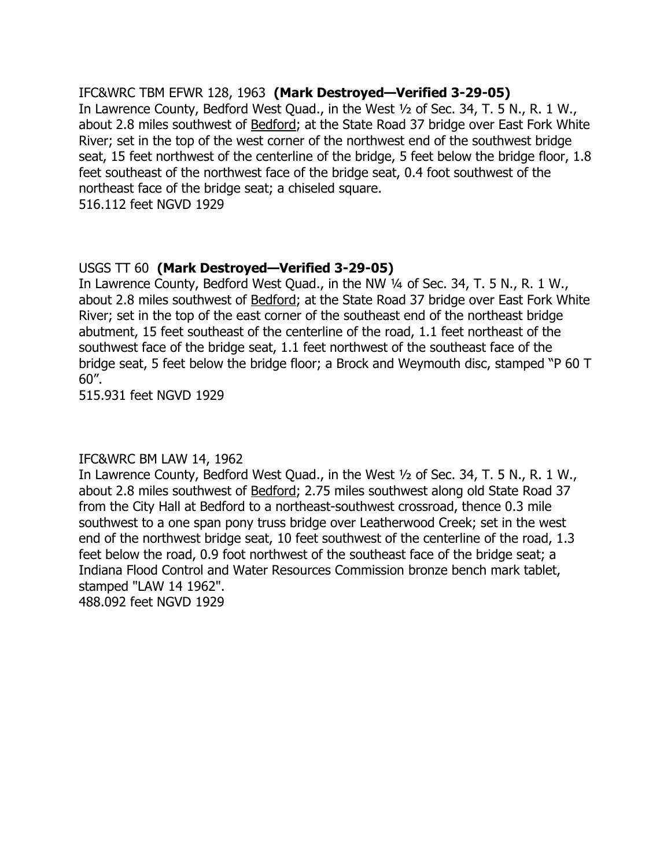IFC&WRC TBM EFWR 128, 1963 **(Mark Destroyed–Verified 3-29-05)** In Lawrence County, Bedford West Quad., in the West 1/2 of Sec. 34, T. 5 N., R. 1 W., about 2.8 miles southwest of **Bedford**; at the State Road 37 bridge over East Fork White River; set in the top of the west corner of the northwest end of the southwest bridge seat, 15 feet northwest of the centerline of the bridge, 5 feet below the bridge floor, 1.8 feet southeast of the northwest face of the bridge seat, 0.4 foot southwest of the northeast face of the bridge seat; a chiseled square. 516.112 feet NGVD 1929

# USGS TT 60 **(Mark Destroyed–Verified 3-29-05)**

In Lawrence County, Bedford West Quad., in the NW 1/4 of Sec. 34, T. 5 N., R. 1 W., about 2.8 miles southwest of **Bedford**; at the State Road 37 bridge over East Fork White River; set in the top of the east corner of the southeast end of the northeast bridge abutment, 15 feet southeast of the centerline of the road, 1.1 feet northeast of the southwest face of the bridge seat, 1.1 feet northwest of the southeast face of the bridge seat, 5 feet below the bridge floor; a Brock and Weymouth disc, stamped "P 60 T 60".

515.931 feet NGVD 1929

# IFC&WRC BM LAW 14, 1962

In Lawrence County, Bedford West Quad., in the West 1/2 of Sec. 34, T. 5 N., R. 1 W., about 2.8 miles southwest of Bedford; 2.75 miles southwest along old State Road 37 from the City Hall at Bedford to a northeast-southwest crossroad, thence 0.3 mile southwest to a one span pony truss bridge over Leatherwood Creek; set in the west end of the northwest bridge seat, 10 feet southwest of the centerline of the road, 1.3 feet below the road, 0.9 foot northwest of the southeast face of the bridge seat; a Indiana Flood Control and Water Resources Commission bronze bench mark tablet, stamped "LAW 14 1962". 488.092 feet NGVD 1929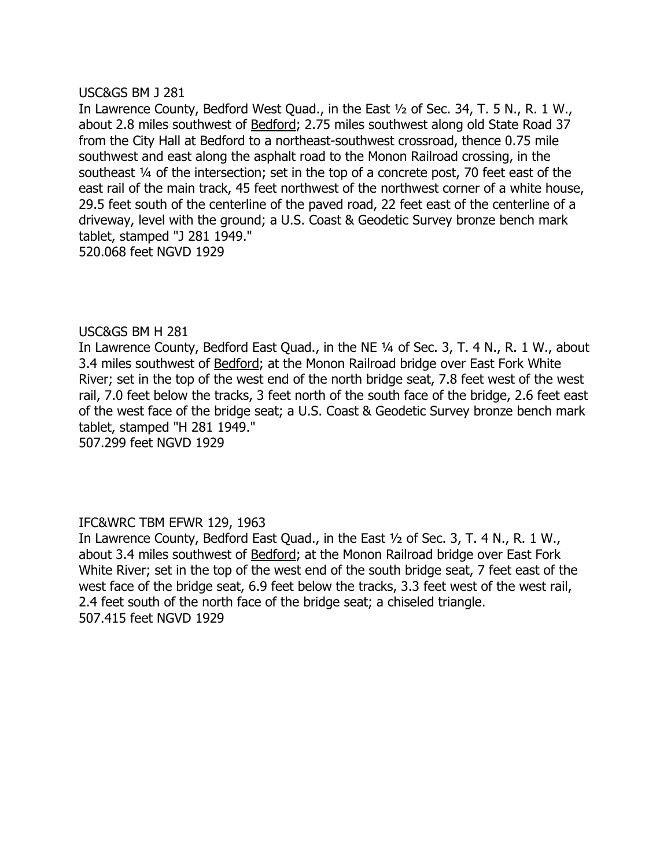### USC&GS BM J 281

In Lawrence County, Bedford West Quad., in the East 1/2 of Sec. 34, T. 5 N., R. 1 W., about 2.8 miles southwest of **Bedford**; 2.75 miles southwest along old State Road 37 from the City Hall at Bedford to a northeast-southwest crossroad, thence 0.75 mile southwest and east along the asphalt road to the Monon Railroad crossing, in the southeast 1/4 of the intersection; set in the top of a concrete post, 70 feet east of the east rail of the main track, 45 feet northwest of the northwest corner of a white house, 29.5 feet south of the centerline of the paved road, 22 feet east of the centerline of a driveway, level with the ground; a U.S. Coast & Geodetic Survey bronze bench mark tablet, stamped "J 281 1949." 520.068 feet NGVD 1929

# USC&GS BM H 281

In Lawrence County, Bedford East Quad., in the NE 1/4 of Sec. 3, T. 4 N., R. 1 W., about 3.4 miles southwest of Bedford; at the Monon Railroad bridge over East Fork White River; set in the top of the west end of the north bridge seat, 7.8 feet west of the west rail, 7.0 feet below the tracks, 3 feet north of the south face of the bridge, 2.6 feet east of the west face of the bridge seat; a U.S. Coast & Geodetic Survey bronze bench mark tablet, stamped "H 281 1949."

507.299 feet NGVD 1929

# IFC&WRC TBM EFWR 129, 1963

In Lawrence County, Bedford East Quad., in the East  $\frac{1}{2}$  of Sec. 3, T. 4 N., R. 1 W., about 3.4 miles southwest of **Bedford**; at the Monon Railroad bridge over East Fork White River; set in the top of the west end of the south bridge seat, 7 feet east of the west face of the bridge seat, 6.9 feet below the tracks, 3.3 feet west of the west rail, 2.4 feet south of the north face of the bridge seat; a chiseled triangle. 507.415 feet NGVD 1929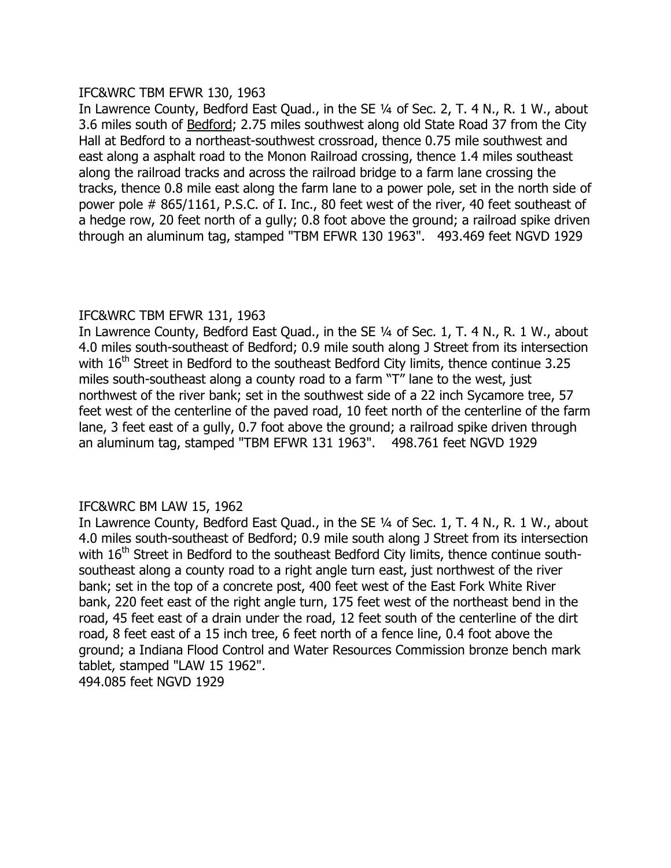# IFC&WRC TBM EFWR 130, 1963

In Lawrence County, Bedford East Quad., in the SE 1/4 of Sec. 2, T. 4 N., R. 1 W., about 3.6 miles south of Bedford; 2.75 miles southwest along old State Road 37 from the City Hall at Bedford to a northeast-southwest crossroad, thence 0.75 mile southwest and east along a asphalt road to the Monon Railroad crossing, thence 1.4 miles southeast along the railroad tracks and across the railroad bridge to a farm lane crossing the tracks, thence 0.8 mile east along the farm lane to a power pole, set in the north side of power pole # 865/1161, P.S.C. of I. Inc., 80 feet west of the river, 40 feet southeast of a hedge row, 20 feet north of a gully; 0.8 foot above the ground; a railroad spike driven through an aluminum tag, stamped "TBM EFWR 130 1963". 493.469 feet NGVD 1929

# IFC&WRC TBM EFWR 131, 1963

In Lawrence County, Bedford East Quad., in the SE 1/4 of Sec. 1, T. 4 N., R. 1 W., about 4.0 miles south-southeast of Bedford; 0.9 mile south along J Street from its intersection with 16<sup>th</sup> Street in Bedford to the southeast Bedford City limits, thence continue 3.25 miles south-southeast along a county road to a farm "T" lane to the west, just northwest of the river bank; set in the southwest side of a 22 inch Sycamore tree, 57 feet west of the centerline of the paved road, 10 feet north of the centerline of the farm lane, 3 feet east of a gully, 0.7 foot above the ground; a railroad spike driven through an aluminum tag, stamped "TBM EFWR 131 1963". 498.761 feet NGVD 1929

# IFC&WRC BM LAW 15, 1962

In Lawrence County, Bedford East Quad., in the SE 1/4 of Sec. 1, T. 4 N., R. 1 W., about 4.0 miles south-southeast of Bedford; 0.9 mile south along J Street from its intersection with 16<sup>th</sup> Street in Bedford to the southeast Bedford City limits, thence continue southsoutheast along a county road to a right angle turn east, just northwest of the river bank; set in the top of a concrete post, 400 feet west of the East Fork White River bank, 220 feet east of the right angle turn, 175 feet west of the northeast bend in the road, 45 feet east of a drain under the road, 12 feet south of the centerline of the dirt road, 8 feet east of a 15 inch tree, 6 feet north of a fence line, 0.4 foot above the ground; a Indiana Flood Control and Water Resources Commission bronze bench mark tablet, stamped "LAW 15 1962". 494.085 feet NGVD 1929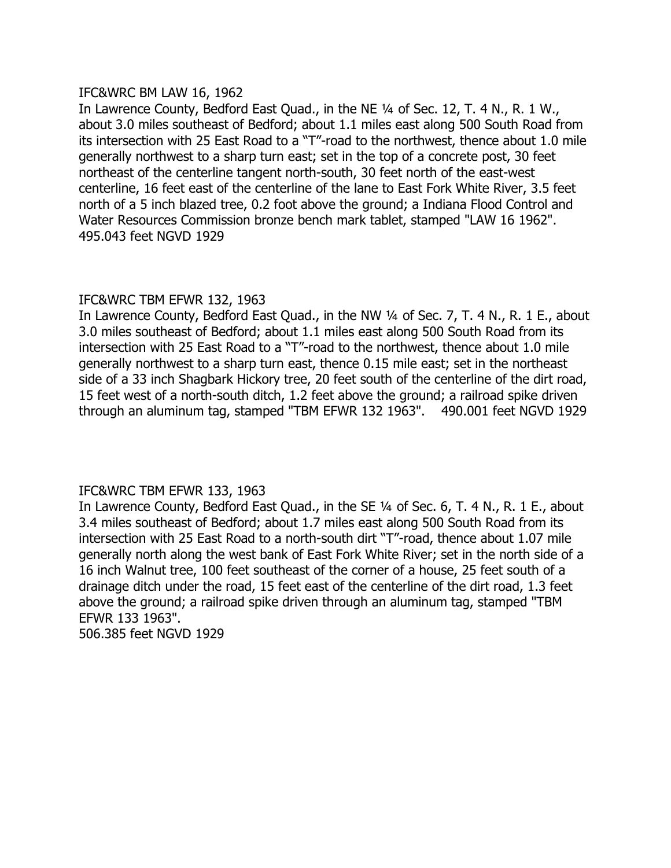# IFC&WRC BM LAW 16, 1962

In Lawrence County, Bedford East Quad., in the NE 1/4 of Sec. 12, T. 4 N., R. 1 W., about 3.0 miles southeast of Bedford; about 1.1 miles east along 500 South Road from its intersection with 25 East Road to a "T"-road to the northwest, thence about 1.0 mile generally northwest to a sharp turn east; set in the top of a concrete post, 30 feet northeast of the centerline tangent north-south, 30 feet north of the east-west centerline, 16 feet east of the centerline of the lane to East Fork White River, 3.5 feet north of a 5 inch blazed tree, 0.2 foot above the ground; a Indiana Flood Control and Water Resources Commission bronze bench mark tablet, stamped "LAW 16 1962". 495.043 feet NGVD 1929

# IFC&WRC TBM EFWR 132, 1963

In Lawrence County, Bedford East Quad., in the NW 1/4 of Sec. 7, T. 4 N., R. 1 E., about 3.0 miles southeast of Bedford; about 1.1 miles east along 500 South Road from its intersection with 25 East Road to a "T"-road to the northwest, thence about 1.0 mile generally northwest to a sharp turn east, thence 0.15 mile east; set in the northeast side of a 33 inch Shagbark Hickory tree, 20 feet south of the centerline of the dirt road, 15 feet west of a north-south ditch, 1.2 feet above the ground; a railroad spike driven through an aluminum tag, stamped "TBM EFWR 132 1963". 490.001 feet NGVD 1929

# IFC&WRC TBM EFWR 133, 1963

In Lawrence County, Bedford East Quad., in the SE 1/4 of Sec. 6, T. 4 N., R. 1 E., about 3.4 miles southeast of Bedford; about 1.7 miles east along 500 South Road from its intersection with 25 East Road to a north-south dirt "T"-road, thence about 1.07 mile generally north along the west bank of East Fork White River; set in the north side of a 16 inch Walnut tree, 100 feet southeast of the corner of a house, 25 feet south of a drainage ditch under the road, 15 feet east of the centerline of the dirt road, 1.3 feet above the ground; a railroad spike driven through an aluminum tag, stamped "TBM EFWR 133 1963". 506.385 feet NGVD 1929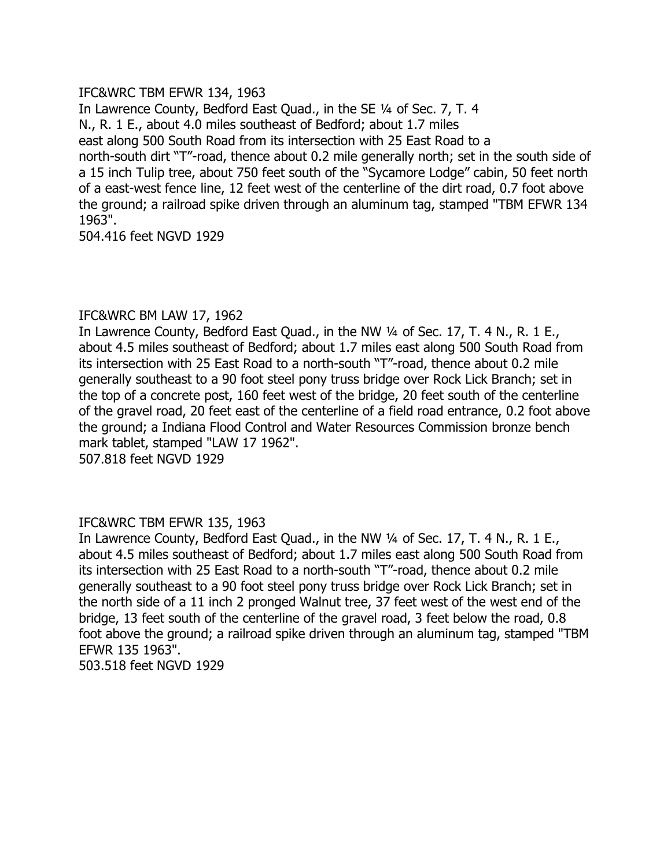# IFC&WRC TBM EFWR 134, 1963

In Lawrence County, Bedford East Quad., in the SE 1/4 of Sec. 7, T. 4 N., R. 1 E., about 4.0 miles southeast of Bedford; about 1.7 miles east along 500 South Road from its intersection with 25 East Road to a north-south dirt "T"-road, thence about 0.2 mile generally north; set in the south side of a 15 inch Tulip tree, about 750 feet south of the "Sycamore Lodge" cabin, 50 feet north of a east-west fence line, 12 feet west of the centerline of the dirt road, 0.7 foot above the ground; a railroad spike driven through an aluminum tag, stamped "TBM EFWR 134 1963".

504.416 feet NGVD 1929

# IFC&WRC BM LAW 17, 1962

In Lawrence County, Bedford East Quad., in the NW 1/4 of Sec. 17, T. 4 N., R. 1 E., about 4.5 miles southeast of Bedford; about 1.7 miles east along 500 South Road from its intersection with 25 East Road to a north-south "T"-road, thence about 0.2 mile generally southeast to a 90 foot steel pony truss bridge over Rock Lick Branch; set in the top of a concrete post, 160 feet west of the bridge, 20 feet south of the centerline of the gravel road, 20 feet east of the centerline of a field road entrance, 0.2 foot above the ground; a Indiana Flood Control and Water Resources Commission bronze bench mark tablet, stamped "LAW 17 1962".

507.818 feet NGVD 1929

# IFC&WRC TBM EFWR 135, 1963

In Lawrence County, Bedford East Quad., in the NW 1/4 of Sec. 17, T. 4 N., R. 1 E., about 4.5 miles southeast of Bedford; about 1.7 miles east along 500 South Road from its intersection with 25 East Road to a north-south "T"-road, thence about 0.2 mile generally southeast to a 90 foot steel pony truss bridge over Rock Lick Branch; set in the north side of a 11 inch 2 pronged Walnut tree, 37 feet west of the west end of the bridge, 13 feet south of the centerline of the gravel road, 3 feet below the road, 0.8 foot above the ground; a railroad spike driven through an aluminum tag, stamped "TBM EFWR 135 1963".

503.518 feet NGVD 1929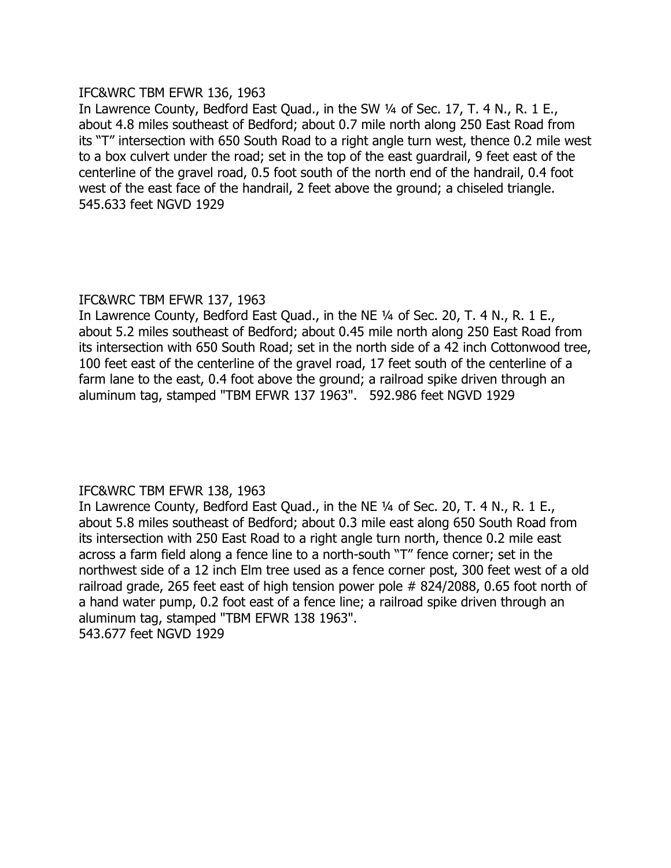# IFC&WRC TBM EFWR 136, 1963

In Lawrence County, Bedford East Quad., in the SW 1/4 of Sec. 17, T. 4 N., R. 1 E., about 4.8 miles southeast of Bedford; about 0.7 mile north along 250 East Road from its "T" intersection with 650 South Road to a right angle turn west, thence 0.2 mile west to a box culvert under the road; set in the top of the east guardrail, 9 feet east of the centerline of the gravel road, 0.5 foot south of the north end of the handrail, 0.4 foot west of the east face of the handrail, 2 feet above the ground; a chiseled triangle. 545.633 feet NGVD 1929

# IFC&WRC TBM EFWR 137, 1963

In Lawrence County, Bedford East Quad., in the NE 1/4 of Sec. 20, T. 4 N., R. 1 E., about 5.2 miles southeast of Bedford; about 0.45 mile north along 250 East Road from its intersection with 650 South Road; set in the north side of a 42 inch Cottonwood tree, 100 feet east of the centerline of the gravel road, 17 feet south of the centerline of a farm lane to the east, 0.4 foot above the ground; a railroad spike driven through an aluminum tag, stamped "TBM EFWR 137 1963". 592.986 feet NGVD 1929

# IFC&WRC TBM EFWR 138, 1963

In Lawrence County, Bedford East Quad., in the NE 1/4 of Sec. 20, T. 4 N., R. 1 E., about 5.8 miles southeast of Bedford; about 0.3 mile east along 650 South Road from its intersection with 250 East Road to a right angle turn north, thence 0.2 mile east across a farm field along a fence line to a north-south "T" fence corner; set in the northwest side of a 12 inch Elm tree used as a fence corner post, 300 feet west of a old railroad grade, 265 feet east of high tension power pole # 824/2088, 0.65 foot north of a hand water pump, 0.2 foot east of a fence line; a railroad spike driven through an aluminum tag, stamped "TBM EFWR 138 1963". 543.677 feet NGVD 1929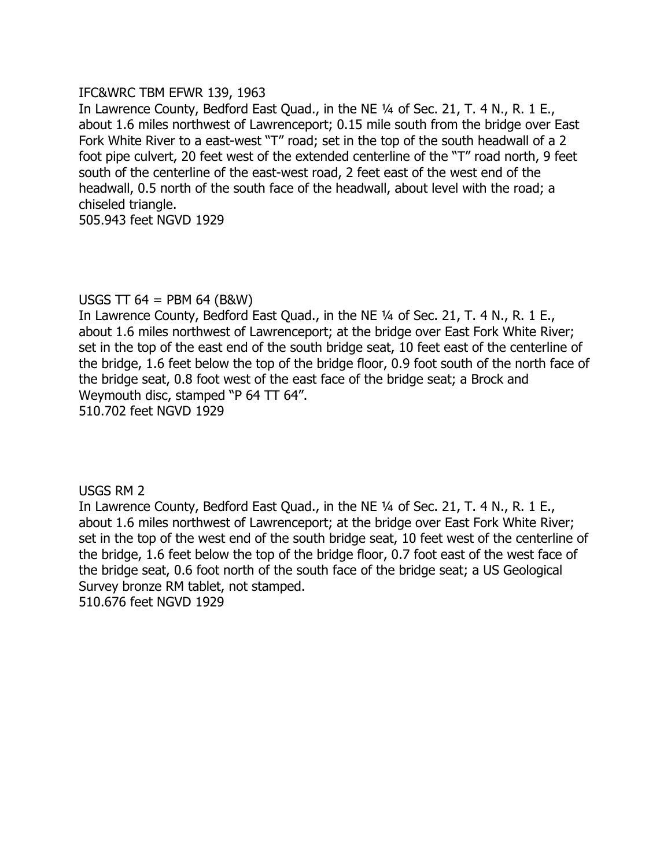# IFC&WRC TBM EFWR 139, 1963

In Lawrence County, Bedford East Quad., in the NE 1/4 of Sec. 21, T. 4 N., R. 1 E., about 1.6 miles northwest of Lawrenceport; 0.15 mile south from the bridge over East Fork White River to a east-west "T" road; set in the top of the south headwall of a 2 foot pipe culvert, 20 feet west of the extended centerline of the "T" road north, 9 feet south of the centerline of the east-west road, 2 feet east of the west end of the headwall, 0.5 north of the south face of the headwall, about level with the road; a chiseled triangle.

505.943 feet NGVD 1929

# USGS TT 64 = PBM 64 (B&W)

In Lawrence County, Bedford East Quad., in the NE 1/4 of Sec. 21, T. 4 N., R. 1 E., about 1.6 miles northwest of Lawrenceport; at the bridge over East Fork White River; set in the top of the east end of the south bridge seat, 10 feet east of the centerline of the bridge, 1.6 feet below the top of the bridge floor, 0.9 foot south of the north face of the bridge seat, 0.8 foot west of the east face of the bridge seat; a Brock and Weymouth disc, stamped "P 64 TT 64". 510.702 feet NGVD 1929

USGS RM 2

In Lawrence County, Bedford East Quad., in the NE 1/4 of Sec. 21, T. 4 N., R. 1 E., about 1.6 miles northwest of Lawrenceport; at the bridge over East Fork White River; set in the top of the west end of the south bridge seat, 10 feet west of the centerline of the bridge, 1.6 feet below the top of the bridge floor, 0.7 foot east of the west face of the bridge seat, 0.6 foot north of the south face of the bridge seat; a US Geological Survey bronze RM tablet, not stamped.

510.676 feet NGVD 1929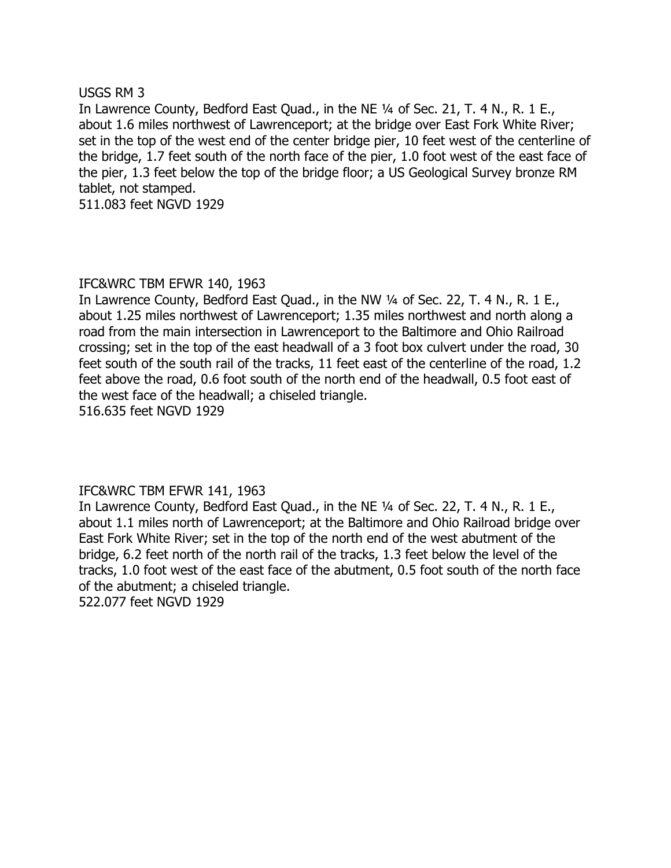### USGS RM 3

In Lawrence County, Bedford East Quad., in the NE 1/4 of Sec. 21, T. 4 N., R. 1 E., about 1.6 miles northwest of Lawrenceport; at the bridge over East Fork White River; set in the top of the west end of the center bridge pier, 10 feet west of the centerline of the bridge, 1.7 feet south of the north face of the pier, 1.0 foot west of the east face of the pier, 1.3 feet below the top of the bridge floor; a US Geological Survey bronze RM tablet, not stamped.

511.083 feet NGVD 1929

# IFC&WRC TBM EFWR 140, 1963

In Lawrence County, Bedford East Quad., in the NW 1/4 of Sec. 22, T. 4 N., R. 1 E., about 1.25 miles northwest of Lawrenceport; 1.35 miles northwest and north along a road from the main intersection in Lawrenceport to the Baltimore and Ohio Railroad crossing; set in the top of the east headwall of a 3 foot box culvert under the road, 30 feet south of the south rail of the tracks, 11 feet east of the centerline of the road, 1.2 feet above the road, 0.6 foot south of the north end of the headwall, 0.5 foot east of the west face of the headwall; a chiseled triangle. 516.635 feet NGVD 1929

# IFC&WRC TBM EFWR 141, 1963

In Lawrence County, Bedford East Quad., in the NE 1/4 of Sec. 22, T. 4 N., R. 1 E., about 1.1 miles north of Lawrenceport; at the Baltimore and Ohio Railroad bridge over East Fork White River; set in the top of the north end of the west abutment of the bridge, 6.2 feet north of the north rail of the tracks, 1.3 feet below the level of the tracks, 1.0 foot west of the east face of the abutment, 0.5 foot south of the north face of the abutment; a chiseled triangle.

522.077 feet NGVD 1929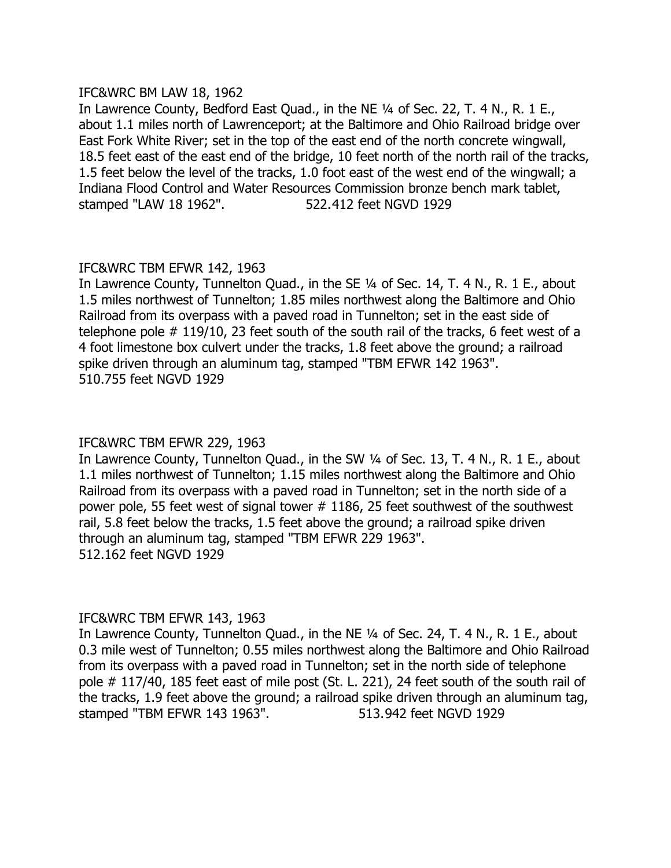### IFC&WRC BM LAW 18, 1962

In Lawrence County, Bedford East Quad., in the NE 1/4 of Sec. 22, T. 4 N., R. 1 E., about 1.1 miles north of Lawrenceport; at the Baltimore and Ohio Railroad bridge over East Fork White River; set in the top of the east end of the north concrete wingwall, 18.5 feet east of the east end of the bridge, 10 feet north of the north rail of the tracks, 1.5 feet below the level of the tracks, 1.0 foot east of the west end of the wingwall; a Indiana Flood Control and Water Resources Commission bronze bench mark tablet, stamped "LAW 18 1962". 522.412 feet NGVD 1929

# IFC&WRC TBM EFWR 142, 1963

In Lawrence County, Tunnelton Quad., in the SE 1/4 of Sec. 14, T. 4 N., R. 1 E., about 1.5 miles northwest of Tunnelton; 1.85 miles northwest along the Baltimore and Ohio Railroad from its overpass with a paved road in Tunnelton; set in the east side of telephone pole # 119/10, 23 feet south of the south rail of the tracks, 6 feet west of a 4 foot limestone box culvert under the tracks, 1.8 feet above the ground; a railroad spike driven through an aluminum tag, stamped "TBM EFWR 142 1963". 510.755 feet NGVD 1929

# IFC&WRC TBM EFWR 229, 1963

In Lawrence County, Tunnelton Quad., in the SW 1/4 of Sec. 13, T. 4 N., R. 1 E., about 1.1 miles northwest of Tunnelton; 1.15 miles northwest along the Baltimore and Ohio Railroad from its overpass with a paved road in Tunnelton; set in the north side of a power pole, 55 feet west of signal tower # 1186, 25 feet southwest of the southwest rail, 5.8 feet below the tracks, 1.5 feet above the ground; a railroad spike driven through an aluminum tag, stamped "TBM EFWR 229 1963". 512.162 feet NGVD 1929

# IFC&WRC TBM EFWR 143, 1963

In Lawrence County, Tunnelton Quad., in the NE 1/4 of Sec. 24, T. 4 N., R. 1 E., about 0.3 mile west of Tunnelton; 0.55 miles northwest along the Baltimore and Ohio Railroad from its overpass with a paved road in Tunnelton; set in the north side of telephone pole # 117/40, 185 feet east of mile post (St. L. 221), 24 feet south of the south rail of the tracks, 1.9 feet above the ground; a railroad spike driven through an aluminum tag, stamped "TBM EFWR 143 1963". 513.942 feet NGVD 1929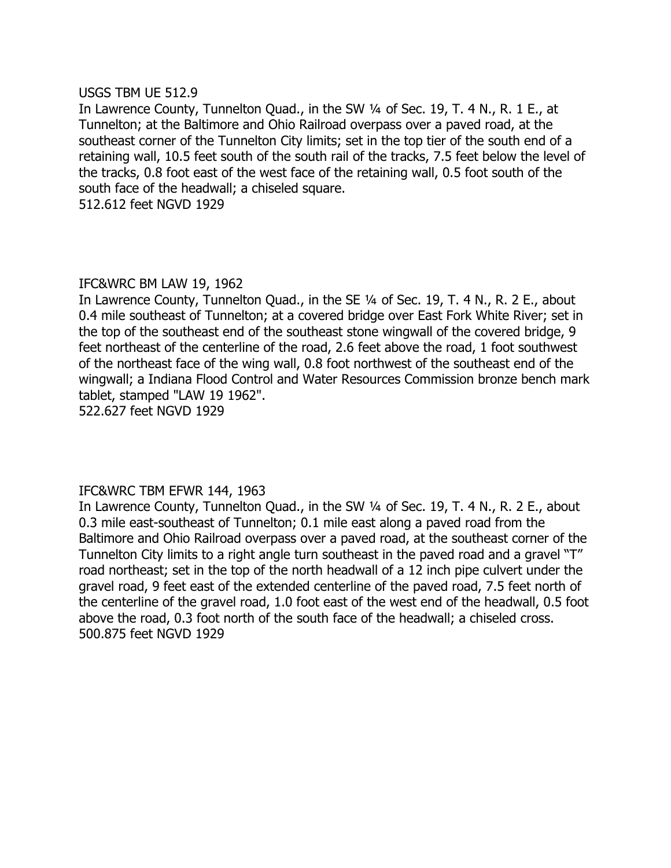### USGS TBM UE 512.9

In Lawrence County, Tunnelton Quad., in the SW 1/4 of Sec. 19, T. 4 N., R. 1 E., at Tunnelton; at the Baltimore and Ohio Railroad overpass over a paved road, at the southeast corner of the Tunnelton City limits; set in the top tier of the south end of a retaining wall, 10.5 feet south of the south rail of the tracks, 7.5 feet below the level of the tracks, 0.8 foot east of the west face of the retaining wall, 0.5 foot south of the south face of the headwall; a chiseled square.

512.612 feet NGVD 1929

### IFC&WRC BM LAW 19, 1962

In Lawrence County, Tunnelton Quad., in the SE 1/4 of Sec. 19, T. 4 N., R. 2 E., about 0.4 mile southeast of Tunnelton; at a covered bridge over East Fork White River; set in the top of the southeast end of the southeast stone wingwall of the covered bridge, 9 feet northeast of the centerline of the road, 2.6 feet above the road, 1 foot southwest of the northeast face of the wing wall, 0.8 foot northwest of the southeast end of the wingwall; a Indiana Flood Control and Water Resources Commission bronze bench mark tablet, stamped "LAW 19 1962". 522.627 feet NGVD 1929

# IFC&WRC TBM EFWR 144, 1963

In Lawrence County, Tunnelton Quad., in the SW 1/4 of Sec. 19, T. 4 N., R. 2 E., about 0.3 mile east-southeast of Tunnelton; 0.1 mile east along a paved road from the Baltimore and Ohio Railroad overpass over a paved road, at the southeast corner of the Tunnelton City limits to a right angle turn southeast in the paved road and a gravel "T" road northeast; set in the top of the north headwall of a 12 inch pipe culvert under the gravel road, 9 feet east of the extended centerline of the paved road, 7.5 feet north of the centerline of the gravel road, 1.0 foot east of the west end of the headwall, 0.5 foot above the road, 0.3 foot north of the south face of the headwall; a chiseled cross. 500.875 feet NGVD 1929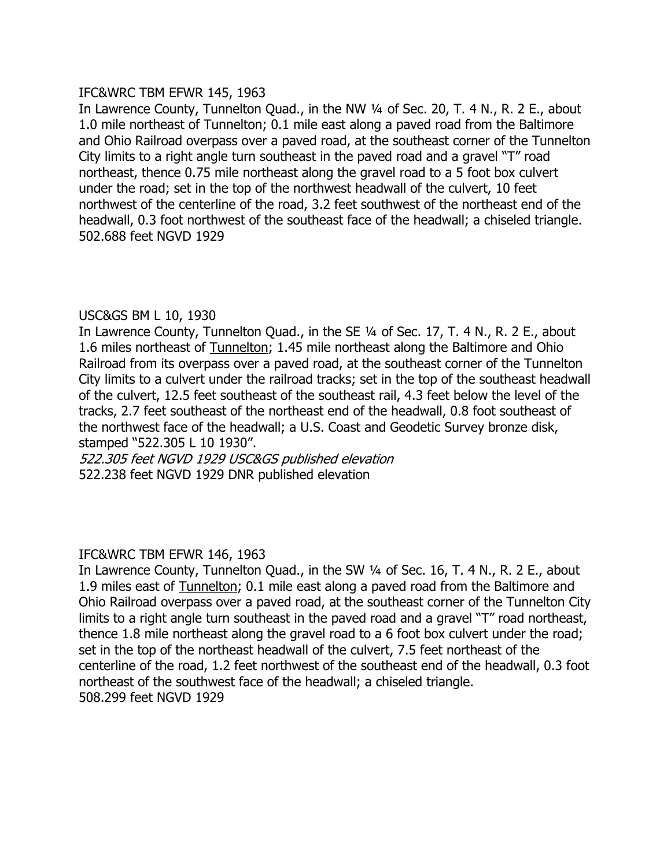# IFC&WRC TBM EFWR 145, 1963

In Lawrence County, Tunnelton Quad., in the NW 1/4 of Sec. 20, T. 4 N., R. 2 E., about 1.0 mile northeast of Tunnelton; 0.1 mile east along a paved road from the Baltimore and Ohio Railroad overpass over a paved road, at the southeast corner of the Tunnelton City limits to a right angle turn southeast in the paved road and a gravel "T" road northeast, thence 0.75 mile northeast along the gravel road to a 5 foot box culvert under the road; set in the top of the northwest headwall of the culvert, 10 feet northwest of the centerline of the road, 3.2 feet southwest of the northeast end of the headwall, 0.3 foot northwest of the southeast face of the headwall; a chiseled triangle. 502.688 feet NGVD 1929

# USC&GS BM L 10, 1930

In Lawrence County, Tunnelton Quad., in the SE 1/4 of Sec. 17, T. 4 N., R. 2 E., about 1.6 miles northeast of Tunnelton; 1.45 mile northeast along the Baltimore and Ohio Railroad from its overpass over a paved road, at the southeast corner of the Tunnelton City limits to a culvert under the railroad tracks; set in the top of the southeast headwall of the culvert, 12.5 feet southeast of the southeast rail, 4.3 feet below the level of the tracks, 2.7 feet southeast of the northeast end of the headwall, 0.8 foot southeast of the northwest face of the headwall; a U.S. Coast and Geodetic Survey bronze disk, stamped "522.305 L 10 1930".

522.305 feet NGVD 1929 USC&GS published elevation 522.238 feet NGVD 1929 DNR published elevation

# IFC&WRC TBM EFWR 146, 1963

In Lawrence County, Tunnelton Quad., in the SW 1/4 of Sec. 16, T. 4 N., R. 2 E., about 1.9 miles east of Tunnelton; 0.1 mile east along a paved road from the Baltimore and Ohio Railroad overpass over a paved road, at the southeast corner of the Tunnelton City limits to a right angle turn southeast in the paved road and a gravel "T" road northeast, thence 1.8 mile northeast along the gravel road to a 6 foot box culvert under the road; set in the top of the northeast headwall of the culvert, 7.5 feet northeast of the centerline of the road, 1.2 feet northwest of the southeast end of the headwall, 0.3 foot northeast of the southwest face of the headwall; a chiseled triangle. 508.299 feet NGVD 1929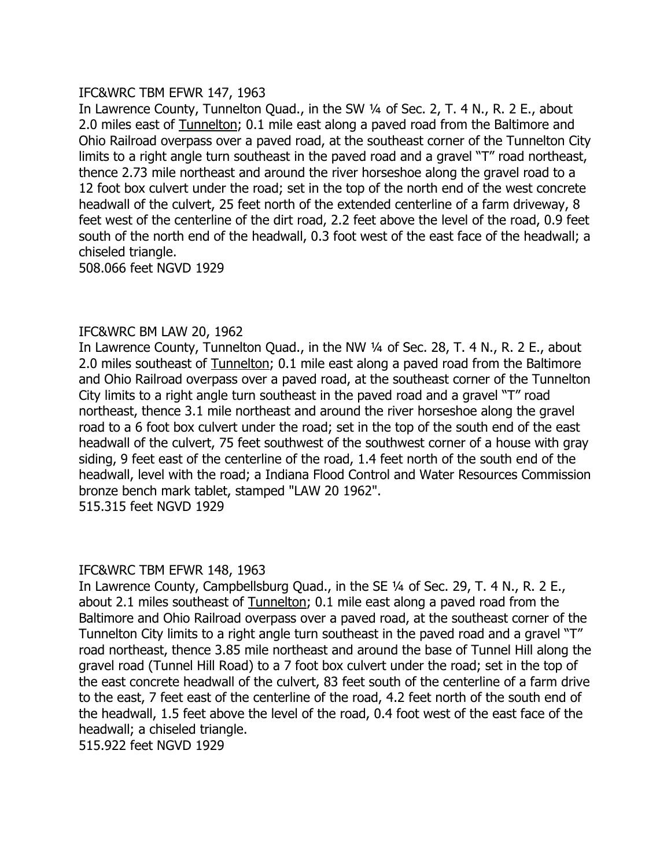# IFC&WRC TBM EFWR 147, 1963

In Lawrence County, Tunnelton Quad., in the SW 1/4 of Sec. 2, T. 4 N., R. 2 E., about 2.0 miles east of Tunnelton; 0.1 mile east along a paved road from the Baltimore and Ohio Railroad overpass over a paved road, at the southeast corner of the Tunnelton City limits to a right angle turn southeast in the paved road and a gravel "T" road northeast, thence 2.73 mile northeast and around the river horseshoe along the gravel road to a 12 foot box culvert under the road; set in the top of the north end of the west concrete headwall of the culvert, 25 feet north of the extended centerline of a farm driveway, 8 feet west of the centerline of the dirt road, 2.2 feet above the level of the road, 0.9 feet south of the north end of the headwall, 0.3 foot west of the east face of the headwall; a chiseled triangle.

508.066 feet NGVD 1929

### IFC&WRC BM LAW 20, 1962

In Lawrence County, Tunnelton Quad., in the NW 1/4 of Sec. 28, T. 4 N., R. 2 E., about 2.0 miles southeast of Tunnelton; 0.1 mile east along a paved road from the Baltimore and Ohio Railroad overpass over a paved road, at the southeast corner of the Tunnelton City limits to a right angle turn southeast in the paved road and a gravel  $T''$  road northeast, thence 3.1 mile northeast and around the river horseshoe along the gravel road to a 6 foot box culvert under the road; set in the top of the south end of the east headwall of the culvert, 75 feet southwest of the southwest corner of a house with gray siding, 9 feet east of the centerline of the road, 1.4 feet north of the south end of the headwall, level with the road; a Indiana Flood Control and Water Resources Commission bronze bench mark tablet, stamped "LAW 20 1962". 515.315 feet NGVD 1929

#### IFC&WRC TBM EFWR 148, 1963

In Lawrence County, Campbellsburg Quad., in the SE 1/4 of Sec. 29, T. 4 N., R. 2 E., about 2.1 miles southeast of Tunnelton; 0.1 mile east along a paved road from the Baltimore and Ohio Railroad overpass over a paved road, at the southeast corner of the Tunnelton City limits to a right angle turn southeast in the paved road and a gravel "T" road northeast, thence 3.85 mile northeast and around the base of Tunnel Hill along the gravel road (Tunnel Hill Road) to a 7 foot box culvert under the road; set in the top of the east concrete headwall of the culvert, 83 feet south of the centerline of a farm drive to the east, 7 feet east of the centerline of the road, 4.2 feet north of the south end of the headwall, 1.5 feet above the level of the road, 0.4 foot west of the east face of the headwall; a chiseled triangle.

515.922 feet NGVD 1929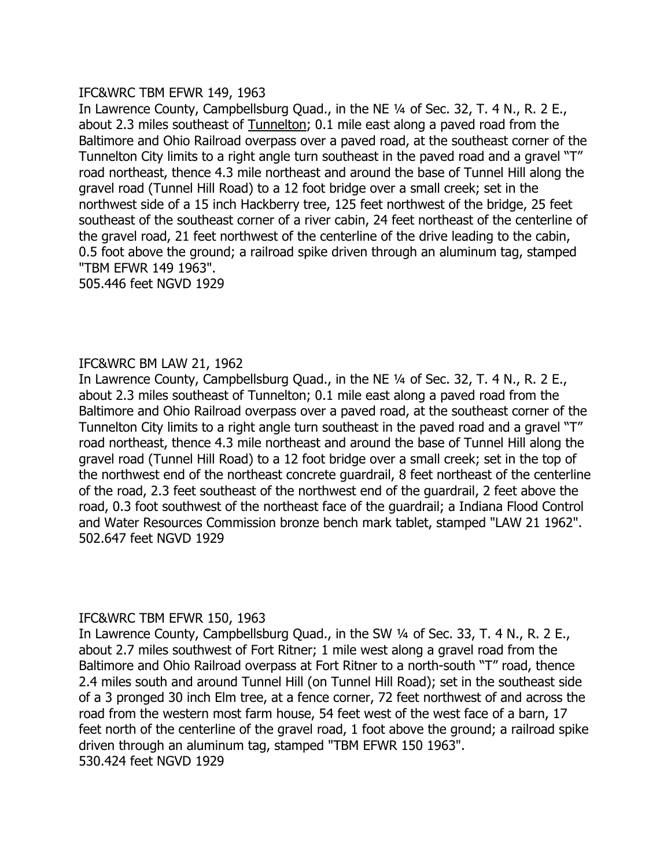# IFC&WRC TBM EFWR 149, 1963

In Lawrence County, Campbellsburg Quad., in the NE 1/4 of Sec. 32, T. 4 N., R. 2 E., about 2.3 miles southeast of Tunnelton; 0.1 mile east along a paved road from the Baltimore and Ohio Railroad overpass over a paved road, at the southeast corner of the Tunnelton City limits to a right angle turn southeast in the paved road and a gravel "T" road northeast, thence 4.3 mile northeast and around the base of Tunnel Hill along the gravel road (Tunnel Hill Road) to a 12 foot bridge over a small creek; set in the northwest side of a 15 inch Hackberry tree, 125 feet northwest of the bridge, 25 feet southeast of the southeast corner of a river cabin, 24 feet northeast of the centerline of the gravel road, 21 feet northwest of the centerline of the drive leading to the cabin, 0.5 foot above the ground; a railroad spike driven through an aluminum tag, stamped "TBM EFWR 149 1963".

505.446 feet NGVD 1929

# IFC&WRC BM LAW 21, 1962

In Lawrence County, Campbellsburg Quad., in the NE 1/4 of Sec. 32, T. 4 N., R. 2 E., about 2.3 miles southeast of Tunnelton; 0.1 mile east along a paved road from the Baltimore and Ohio Railroad overpass over a paved road, at the southeast corner of the Tunnelton City limits to a right angle turn southeast in the paved road and a gravel "T" road northeast, thence 4.3 mile northeast and around the base of Tunnel Hill along the gravel road (Tunnel Hill Road) to a 12 foot bridge over a small creek; set in the top of the northwest end of the northeast concrete guardrail, 8 feet northeast of the centerline of the road, 2.3 feet southeast of the northwest end of the guardrail, 2 feet above the road, 0.3 foot southwest of the northeast face of the guardrail; a Indiana Flood Control and Water Resources Commission bronze bench mark tablet, stamped "LAW 21 1962". 502.647 feet NGVD 1929

# IFC&WRC TBM EFWR 150, 1963

In Lawrence County, Campbellsburg Quad., in the SW 1/4 of Sec. 33, T. 4 N., R. 2 E., about 2.7 miles southwest of Fort Ritner; 1 mile west along a gravel road from the Baltimore and Ohio Railroad overpass at Fort Ritner to a north-south "T" road, thence 2.4 miles south and around Tunnel Hill (on Tunnel Hill Road); set in the southeast side of a 3 pronged 30 inch Elm tree, at a fence corner, 72 feet northwest of and across the road from the western most farm house, 54 feet west of the west face of a barn, 17 feet north of the centerline of the gravel road, 1 foot above the ground; a railroad spike driven through an aluminum tag, stamped "TBM EFWR 150 1963". 530.424 feet NGVD 1929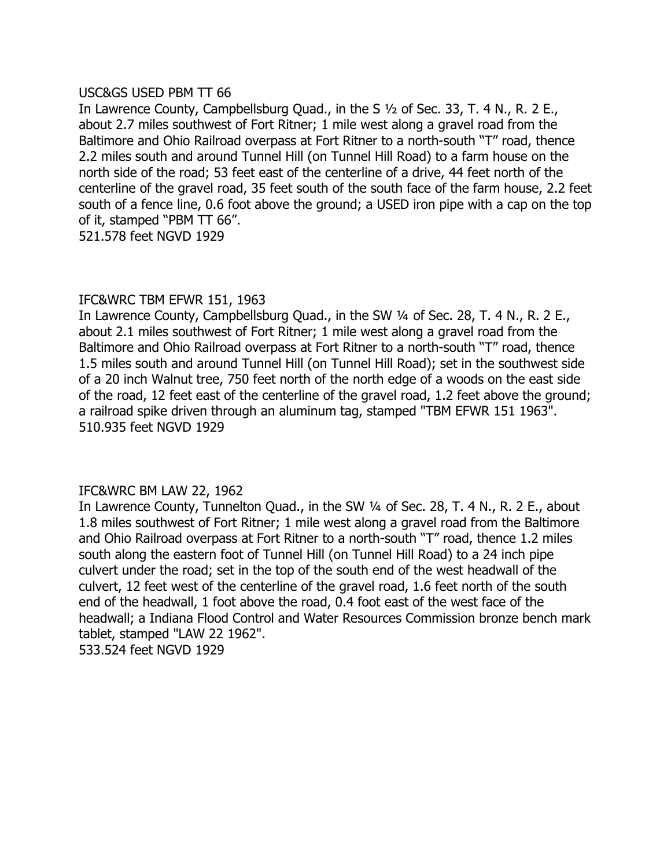# USC&GS USED PBM TT 66

In Lawrence County, Campbellsburg Quad., in the S  $\frac{1}{2}$  of Sec. 33, T. 4 N., R. 2 E., about 2.7 miles southwest of Fort Ritner; 1 mile west along a gravel road from the Baltimore and Ohio Railroad overpass at Fort Ritner to a north-south "T" road, thence 2.2 miles south and around Tunnel Hill (on Tunnel Hill Road) to a farm house on the north side of the road; 53 feet east of the centerline of a drive, 44 feet north of the centerline of the gravel road, 35 feet south of the south face of the farm house, 2.2 feet south of a fence line, 0.6 foot above the ground; a USED iron pipe with a cap on the top of it, stamped "PBM TT 66".

521.578 feet NGVD 1929

# IFC&WRC TBM EFWR 151, 1963

In Lawrence County, Campbellsburg Quad., in the SW 1/4 of Sec. 28, T. 4 N., R. 2 E., about 2.1 miles southwest of Fort Ritner; 1 mile west along a gravel road from the Baltimore and Ohio Railroad overpass at Fort Ritner to a north-south "T" road, thence 1.5 miles south and around Tunnel Hill (on Tunnel Hill Road); set in the southwest side of a 20 inch Walnut tree, 750 feet north of the north edge of a woods on the east side of the road, 12 feet east of the centerline of the gravel road, 1.2 feet above the ground; a railroad spike driven through an aluminum tag, stamped "TBM EFWR 151 1963". 510.935 feet NGVD 1929

# IFC&WRC BM LAW 22, 1962

In Lawrence County, Tunnelton Quad., in the SW 1/4 of Sec. 28, T. 4 N., R. 2 E., about 1.8 miles southwest of Fort Ritner; 1 mile west along a gravel road from the Baltimore and Ohio Railroad overpass at Fort Ritner to a north-south "T" road, thence 1.2 miles south along the eastern foot of Tunnel Hill (on Tunnel Hill Road) to a 24 inch pipe culvert under the road; set in the top of the south end of the west headwall of the culvert, 12 feet west of the centerline of the gravel road, 1.6 feet north of the south end of the headwall, 1 foot above the road, 0.4 foot east of the west face of the headwall; a Indiana Flood Control and Water Resources Commission bronze bench mark tablet, stamped "LAW 22 1962". 533.524 feet NGVD 1929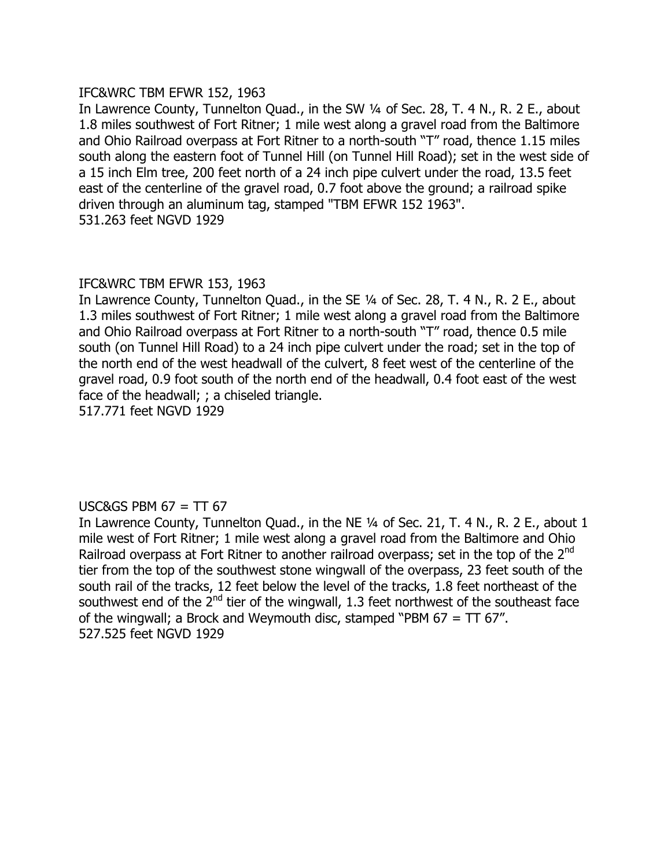# IFC&WRC TBM EFWR 152, 1963

In Lawrence County, Tunnelton Quad., in the SW 1/4 of Sec. 28, T. 4 N., R. 2 E., about 1.8 miles southwest of Fort Ritner; 1 mile west along a gravel road from the Baltimore and Ohio Railroad overpass at Fort Ritner to a north-south "T" road, thence 1.15 miles south along the eastern foot of Tunnel Hill (on Tunnel Hill Road); set in the west side of a 15 inch Elm tree, 200 feet north of a 24 inch pipe culvert under the road, 13.5 feet east of the centerline of the gravel road, 0.7 foot above the ground; a railroad spike driven through an aluminum tag, stamped "TBM EFWR 152 1963". 531.263 feet NGVD 1929

# IFC&WRC TBM EFWR 153, 1963

In Lawrence County, Tunnelton Quad., in the SE 1/4 of Sec. 28, T. 4 N., R. 2 E., about 1.3 miles southwest of Fort Ritner; 1 mile west along a gravel road from the Baltimore and Ohio Railroad overpass at Fort Ritner to a north-south "T" road, thence 0.5 mile south (on Tunnel Hill Road) to a 24 inch pipe culvert under the road; set in the top of the north end of the west headwall of the culvert, 8 feet west of the centerline of the gravel road, 0.9 foot south of the north end of the headwall, 0.4 foot east of the west face of the headwall; ; a chiseled triangle. 517.771 feet NGVD 1929

# USC&GS PBM  $67 = TT 67$

In Lawrence County, Tunnelton Quad., in the NE 1/4 of Sec. 21, T. 4 N., R. 2 E., about 1 mile west of Fort Ritner; 1 mile west along a gravel road from the Baltimore and Ohio Railroad overpass at Fort Ritner to another railroad overpass; set in the top of the 2<sup>nd</sup> tier from the top of the southwest stone wingwall of the overpass, 23 feet south of the south rail of the tracks, 12 feet below the level of the tracks, 1.8 feet northeast of the southwest end of the  $2^{nd}$  tier of the wingwall, 1.3 feet northwest of the southeast face of the wingwall; a Brock and Weymouth disc, stamped "PBM  $67 = TT$   $67$ ". 527.525 feet NGVD 1929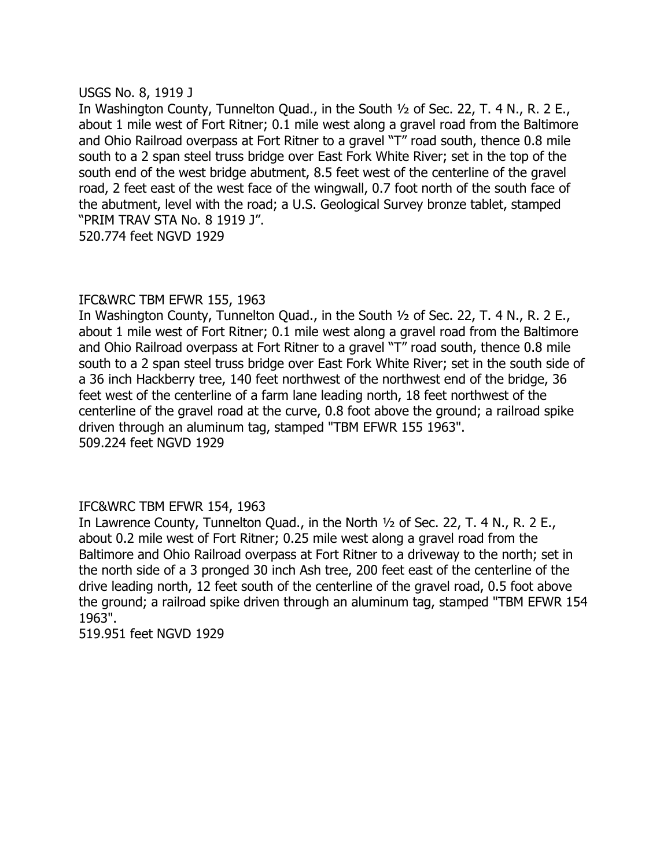# USGS No. 8, 1919 J

In Washington County, Tunnelton Quad., in the South 1/2 of Sec. 22, T. 4 N., R. 2 E., about 1 mile west of Fort Ritner; 0.1 mile west along a gravel road from the Baltimore and Ohio Railroad overpass at Fort Ritner to a gravel "T" road south, thence 0.8 mile south to a 2 span steel truss bridge over East Fork White River; set in the top of the south end of the west bridge abutment, 8.5 feet west of the centerline of the gravel road, 2 feet east of the west face of the wingwall, 0.7 foot north of the south face of the abutment, level with the road; a U.S. Geological Survey bronze tablet, stamped —PRIM TRAV STA No. 8 1919 J". 520.774 feet NGVD 1929

# IFC&WRC TBM EFWR 155, 1963

In Washington County, Tunnelton Quad., in the South 1/2 of Sec. 22, T. 4 N., R. 2 E., about 1 mile west of Fort Ritner; 0.1 mile west along a gravel road from the Baltimore and Ohio Railroad overpass at Fort Ritner to a gravel "T" road south, thence 0.8 mile south to a 2 span steel truss bridge over East Fork White River; set in the south side of a 36 inch Hackberry tree, 140 feet northwest of the northwest end of the bridge, 36 feet west of the centerline of a farm lane leading north, 18 feet northwest of the centerline of the gravel road at the curve, 0.8 foot above the ground; a railroad spike driven through an aluminum tag, stamped "TBM EFWR 155 1963". 509.224 feet NGVD 1929

# IFC&WRC TBM EFWR 154, 1963

In Lawrence County, Tunnelton Quad., in the North 1/2 of Sec. 22, T. 4 N., R. 2 E., about 0.2 mile west of Fort Ritner; 0.25 mile west along a gravel road from the Baltimore and Ohio Railroad overpass at Fort Ritner to a driveway to the north; set in the north side of a 3 pronged 30 inch Ash tree, 200 feet east of the centerline of the drive leading north, 12 feet south of the centerline of the gravel road, 0.5 foot above the ground; a railroad spike driven through an aluminum tag, stamped "TBM EFWR 154 1963".

519.951 feet NGVD 1929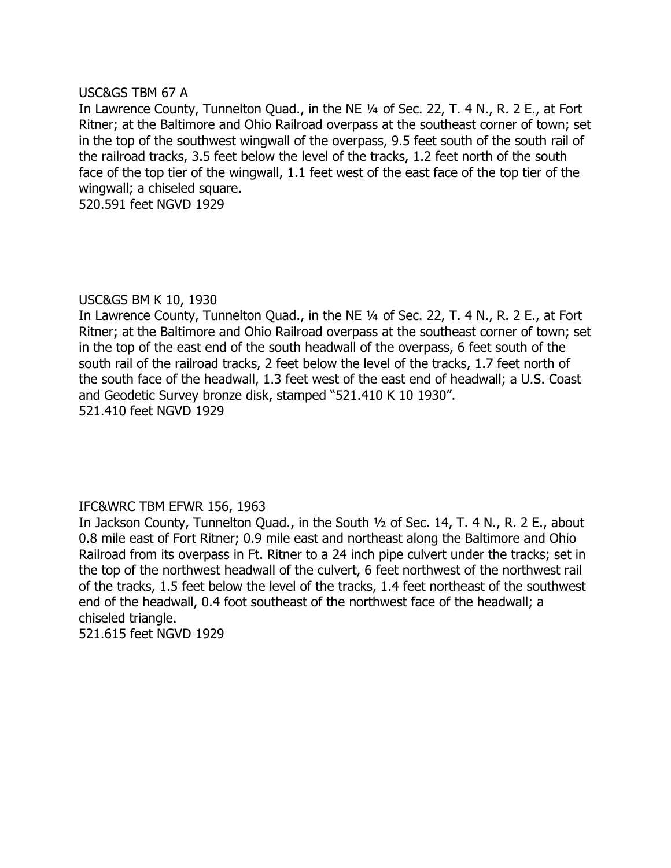# USC&GS TBM 67 A

In Lawrence County, Tunnelton Quad., in the NE 1/4 of Sec. 22, T. 4 N., R. 2 E., at Fort Ritner; at the Baltimore and Ohio Railroad overpass at the southeast corner of town; set in the top of the southwest wingwall of the overpass, 9.5 feet south of the south rail of the railroad tracks, 3.5 feet below the level of the tracks, 1.2 feet north of the south face of the top tier of the wingwall, 1.1 feet west of the east face of the top tier of the wingwall; a chiseled square.

520.591 feet NGVD 1929

### USC&GS BM K 10, 1930

In Lawrence County, Tunnelton Quad., in the NE 1/4 of Sec. 22, T. 4 N., R. 2 E., at Fort Ritner; at the Baltimore and Ohio Railroad overpass at the southeast corner of town; set in the top of the east end of the south headwall of the overpass, 6 feet south of the south rail of the railroad tracks, 2 feet below the level of the tracks, 1.7 feet north of the south face of the headwall, 1.3 feet west of the east end of headwall; a U.S. Coast and Geodetic Survey bronze disk, stamped "521.410 K 10 1930". 521.410 feet NGVD 1929

# IFC&WRC TBM EFWR 156, 1963

In Jackson County, Tunnelton Quad., in the South 1/2 of Sec. 14, T. 4 N., R. 2 E., about 0.8 mile east of Fort Ritner; 0.9 mile east and northeast along the Baltimore and Ohio Railroad from its overpass in Ft. Ritner to a 24 inch pipe culvert under the tracks; set in the top of the northwest headwall of the culvert, 6 feet northwest of the northwest rail of the tracks, 1.5 feet below the level of the tracks, 1.4 feet northeast of the southwest end of the headwall, 0.4 foot southeast of the northwest face of the headwall; a chiseled triangle. 521.615 feet NGVD 1929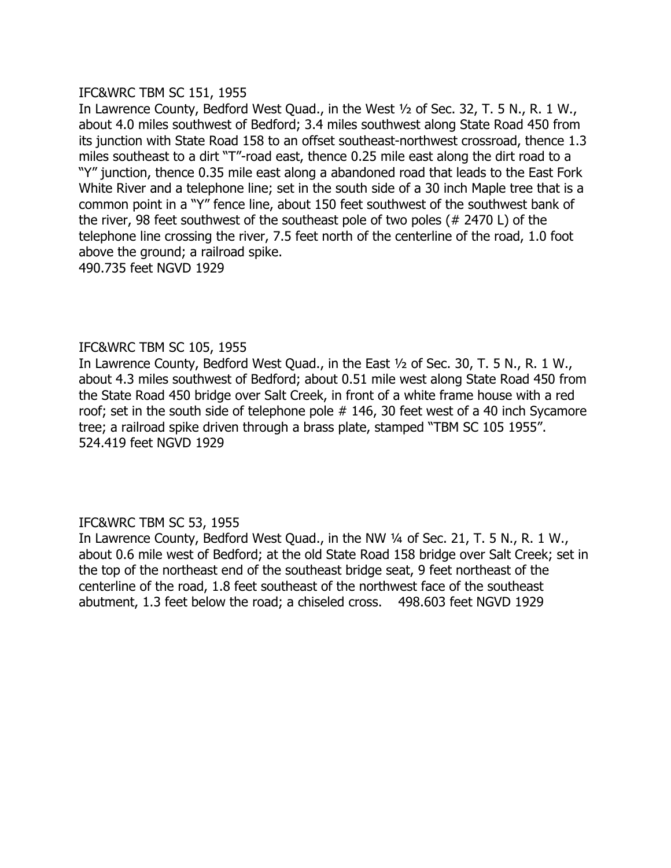# IFC&WRC TBM SC 151, 1955

In Lawrence County, Bedford West Quad., in the West 1/2 of Sec. 32, T. 5 N., R. 1 W., about 4.0 miles southwest of Bedford; 3.4 miles southwest along State Road 450 from its junction with State Road 158 to an offset southeast-northwest crossroad, thence 1.3 miles southeast to a dirt "T"-road east, thence 0.25 mile east along the dirt road to a "Y" junction, thence 0.35 mile east along a abandoned road that leads to the East Fork White River and a telephone line; set in the south side of a 30 inch Maple tree that is a common point in a "Y" fence line, about 150 feet southwest of the southwest bank of the river, 98 feet southwest of the southeast pole of two poles (# 2470 L) of the telephone line crossing the river, 7.5 feet north of the centerline of the road, 1.0 foot above the ground; a railroad spike. 490.735 feet NGVD 1929

# IFC&WRC TBM SC 105, 1955

In Lawrence County, Bedford West Quad., in the East  $\frac{1}{2}$  of Sec. 30, T. 5 N., R. 1 W., about 4.3 miles southwest of Bedford; about 0.51 mile west along State Road 450 from the State Road 450 bridge over Salt Creek, in front of a white frame house with a red roof; set in the south side of telephone pole # 146, 30 feet west of a 40 inch Sycamore tree; a railroad spike driven through a brass plate, stamped "TBM SC 105 1955". 524.419 feet NGVD 1929

# IFC&WRC TBM SC 53, 1955

In Lawrence County, Bedford West Quad., in the NW 1/4 of Sec. 21, T. 5 N., R. 1 W., about 0.6 mile west of Bedford; at the old State Road 158 bridge over Salt Creek; set in the top of the northeast end of the southeast bridge seat, 9 feet northeast of the centerline of the road, 1.8 feet southeast of the northwest face of the southeast abutment, 1.3 feet below the road; a chiseled cross. 498.603 feet NGVD 1929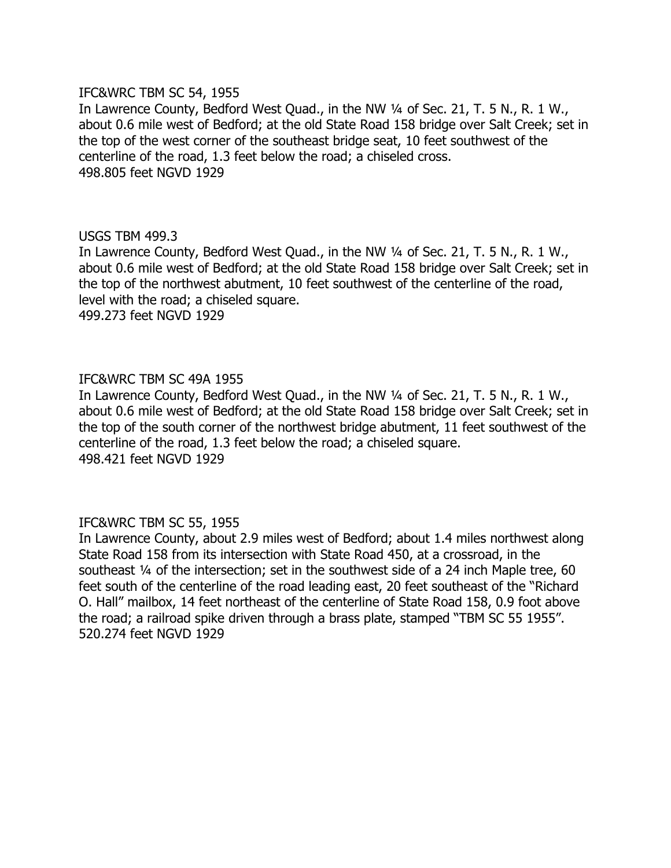### IFC&WRC TBM SC 54, 1955

In Lawrence County, Bedford West Quad., in the NW 1/4 of Sec. 21, T. 5 N., R. 1 W., about 0.6 mile west of Bedford; at the old State Road 158 bridge over Salt Creek; set in the top of the west corner of the southeast bridge seat, 10 feet southwest of the centerline of the road, 1.3 feet below the road; a chiseled cross. 498.805 feet NGVD 1929

### USGS TBM 499.3

In Lawrence County, Bedford West Quad., in the NW 1/4 of Sec. 21, T. 5 N., R. 1 W., about 0.6 mile west of Bedford; at the old State Road 158 bridge over Salt Creek; set in the top of the northwest abutment, 10 feet southwest of the centerline of the road, level with the road; a chiseled square.

499.273 feet NGVD 1929

# IFC&WRC TBM SC 49A 1955

In Lawrence County, Bedford West Quad., in the NW 1/4 of Sec. 21, T. 5 N., R. 1 W., about 0.6 mile west of Bedford; at the old State Road 158 bridge over Salt Creek; set in the top of the south corner of the northwest bridge abutment, 11 feet southwest of the centerline of the road, 1.3 feet below the road; a chiseled square. 498.421 feet NGVD 1929

# IFC&WRC TBM SC 55, 1955

In Lawrence County, about 2.9 miles west of Bedford; about 1.4 miles northwest along State Road 158 from its intersection with State Road 450, at a crossroad, in the southeast 1/4 of the intersection; set in the southwest side of a 24 inch Maple tree, 60 feet south of the centerline of the road leading east, 20 feet southeast of the "Richard O. Hall" mailbox, 14 feet northeast of the centerline of State Road 158, 0.9 foot above the road; a railroad spike driven through a brass plate, stamped "TBM SC 55 1955". 520.274 feet NGVD 1929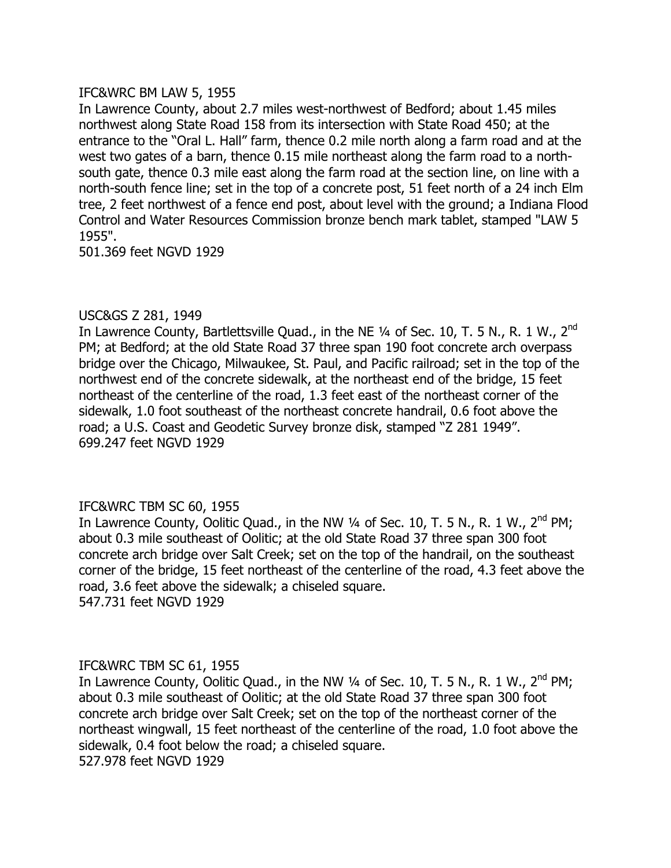# IFC&WRC BM LAW 5, 1955

In Lawrence County, about 2.7 miles west-northwest of Bedford; about 1.45 miles northwest along State Road 158 from its intersection with State Road 450; at the entrance to the "Oral L. Hall" farm, thence 0.2 mile north along a farm road and at the west two gates of a barn, thence 0.15 mile northeast along the farm road to a northsouth gate, thence 0.3 mile east along the farm road at the section line, on line with a north-south fence line; set in the top of a concrete post, 51 feet north of a 24 inch Elm tree, 2 feet northwest of a fence end post, about level with the ground; a Indiana Flood Control and Water Resources Commission bronze bench mark tablet, stamped "LAW 5 1955".

501.369 feet NGVD 1929

# USC&GS Z 281, 1949

In Lawrence County, Bartlettsville Quad., in the NE  $\frac{1}{4}$  of Sec. 10, T. 5 N., R. 1 W., 2<sup>nd</sup> PM; at Bedford; at the old State Road 37 three span 190 foot concrete arch overpass bridge over the Chicago, Milwaukee, St. Paul, and Pacific railroad; set in the top of the northwest end of the concrete sidewalk, at the northeast end of the bridge, 15 feet northeast of the centerline of the road, 1.3 feet east of the northeast corner of the sidewalk, 1.0 foot southeast of the northeast concrete handrail, 0.6 foot above the road; a U.S. Coast and Geodetic Survey bronze disk, stamped "Z 281 1949". 699.247 feet NGVD 1929

# IFC&WRC TBM SC 60, 1955

In Lawrence County, Oolitic Quad., in the NW  $\frac{1}{4}$  of Sec. 10, T. 5 N., R. 1 W., 2<sup>nd</sup> PM; about 0.3 mile southeast of Oolitic; at the old State Road 37 three span 300 foot concrete arch bridge over Salt Creek; set on the top of the handrail, on the southeast corner of the bridge, 15 feet northeast of the centerline of the road, 4.3 feet above the road, 3.6 feet above the sidewalk; a chiseled square. 547.731 feet NGVD 1929

# IFC&WRC TBM SC 61, 1955

In Lawrence County, Oolitic Quad., in the NW  $\frac{1}{4}$  of Sec. 10, T. 5 N., R. 1 W., 2<sup>nd</sup> PM; about 0.3 mile southeast of Oolitic; at the old State Road 37 three span 300 foot concrete arch bridge over Salt Creek; set on the top of the northeast corner of the northeast wingwall, 15 feet northeast of the centerline of the road, 1.0 foot above the sidewalk, 0.4 foot below the road; a chiseled square. 527.978 feet NGVD 1929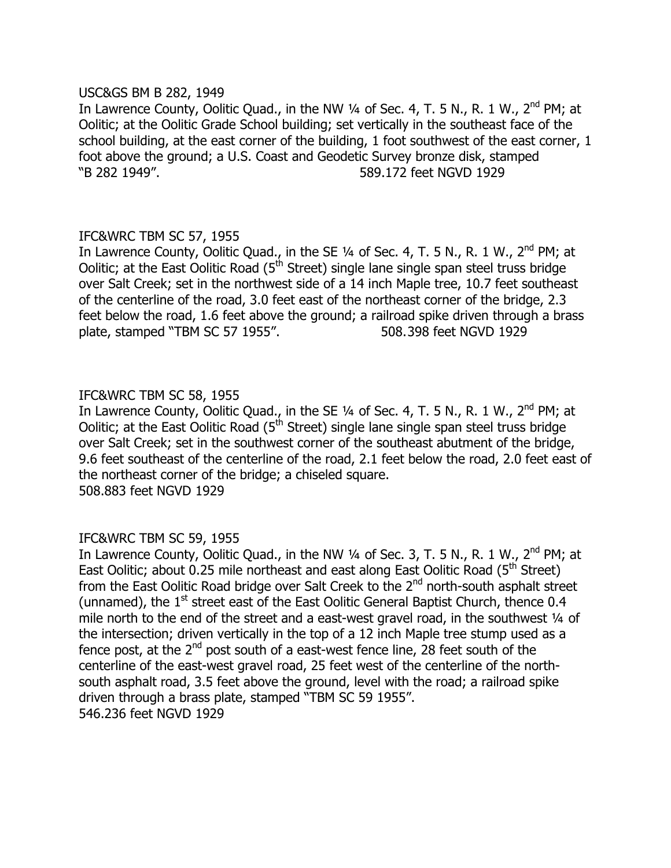### USC&GS BM B 282, 1949

In Lawrence County, Oolitic Quad., in the NW  $\frac{1}{4}$  of Sec. 4, T. 5 N., R. 1 W., 2<sup>nd</sup> PM; at Oolitic; at the Oolitic Grade School building; set vertically in the southeast face of the school building, at the east corner of the building, 1 foot southwest of the east corner, 1 foot above the ground; a U.S. Coast and Geodetic Survey bronze disk, stamped —B 282 1949". 589.172 feet NGVD 1929

# IFC&WRC TBM SC 57, 1955

In Lawrence County, Oolitic Quad., in the SE  $\frac{1}{4}$  of Sec. 4, T. 5 N., R. 1 W., 2<sup>nd</sup> PM; at Oolitic; at the East Oolitic Road ( $5<sup>th</sup>$  Street) single lane single span steel truss bridge over Salt Creek; set in the northwest side of a 14 inch Maple tree, 10.7 feet southeast of the centerline of the road, 3.0 feet east of the northeast corner of the bridge, 2.3 feet below the road, 1.6 feet above the ground; a railroad spike driven through a brass plate, stamped "TBM SC 57 1955". 508.398 feet NGVD 1929

# IFC&WRC TBM SC 58, 1955

In Lawrence County, Oolitic Quad., in the SE  $\frac{1}{4}$  of Sec. 4, T. 5 N., R. 1 W., 2<sup>nd</sup> PM; at Oolitic; at the East Oolitic Road ( $5<sup>th</sup>$  Street) single lane single span steel truss bridge over Salt Creek; set in the southwest corner of the southeast abutment of the bridge, 9.6 feet southeast of the centerline of the road, 2.1 feet below the road, 2.0 feet east of the northeast corner of the bridge; a chiseled square. 508.883 feet NGVD 1929

# IFC&WRC TBM SC 59, 1955

In Lawrence County, Oolitic Quad., in the NW  $1/4$  of Sec. 3, T. 5 N., R. 1 W., 2<sup>nd</sup> PM; at East Oolitic; about  $0.25$  mile northeast and east along East Oolitic Road ( $5<sup>th</sup>$  Street) from the East Oolitic Road bridge over Salt Creek to the  $2^{nd}$  north-south asphalt street (unnamed), the  $1<sup>st</sup>$  street east of the East Oolitic General Baptist Church, thence 0.4 mile north to the end of the street and a east-west gravel road, in the southwest  $\frac{1}{4}$  of the intersection; driven vertically in the top of a 12 inch Maple tree stump used as a fence post, at the  $2^{nd}$  post south of a east-west fence line, 28 feet south of the centerline of the east-west gravel road, 25 feet west of the centerline of the northsouth asphalt road, 3.5 feet above the ground, level with the road; a railroad spike driven through a brass plate, stamped "TBM SC 59 1955". 546.236 feet NGVD 1929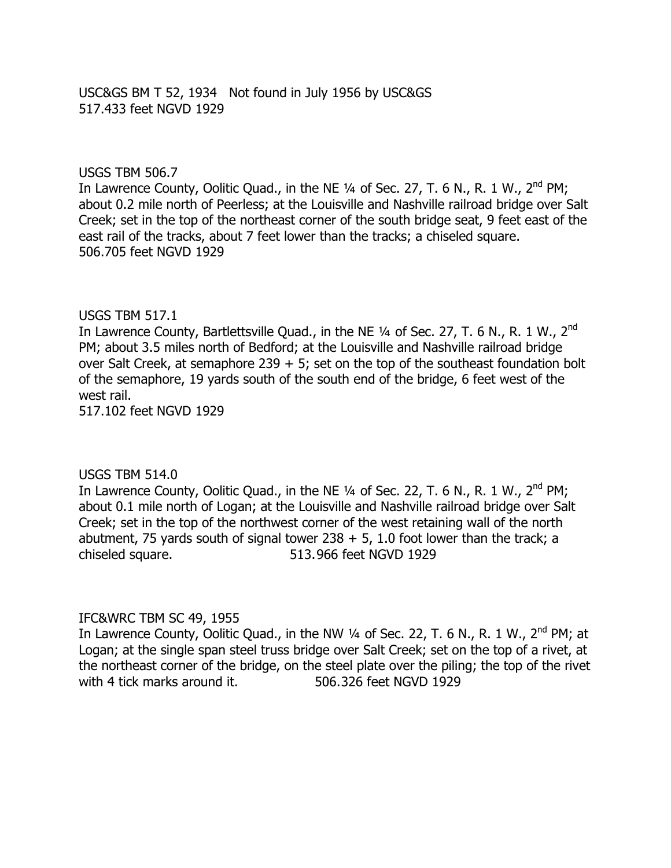USC&GS BM T 52, 1934 Not found in July 1956 by USC&GS 517.433 feet NGVD 1929

### USGS TBM 506.7

In Lawrence County, Oolitic Quad., in the NE  $\frac{1}{4}$  of Sec. 27, T. 6 N., R. 1 W., 2<sup>nd</sup> PM; about 0.2 mile north of Peerless; at the Louisville and Nashville railroad bridge over Salt Creek; set in the top of the northeast corner of the south bridge seat, 9 feet east of the east rail of the tracks, about 7 feet lower than the tracks; a chiseled square. 506.705 feet NGVD 1929

#### USGS TBM 517.1

In Lawrence County, Bartlettsville Quad., in the NE  $\frac{1}{4}$  of Sec. 27, T. 6 N., R. 1 W., 2<sup>nd</sup> PM; about 3.5 miles north of Bedford; at the Louisville and Nashville railroad bridge over Salt Creek, at semaphore 239  $+$  5; set on the top of the southeast foundation bolt of the semaphore, 19 yards south of the south end of the bridge, 6 feet west of the west rail.

517.102 feet NGVD 1929

#### USGS TBM 514.0

In Lawrence County, Oolitic Quad., in the NE  $\frac{1}{4}$  of Sec. 22, T. 6 N., R. 1 W., 2<sup>nd</sup> PM; about 0.1 mile north of Logan; at the Louisville and Nashville railroad bridge over Salt Creek; set in the top of the northwest corner of the west retaining wall of the north abutment, 75 yards south of signal tower  $238 + 5$ , 1.0 foot lower than the track; a chiseled square. 513.966 feet NGVD 1929

#### IFC&WRC TBM SC 49, 1955

In Lawrence County, Oolitic Quad., in the NW  $\frac{1}{4}$  of Sec. 22, T. 6 N., R. 1 W.,  $2^{nd}$  PM; at Logan; at the single span steel truss bridge over Salt Creek; set on the top of a rivet, at the northeast corner of the bridge, on the steel plate over the piling; the top of the rivet with 4 tick marks around it. 506.326 feet NGVD 1929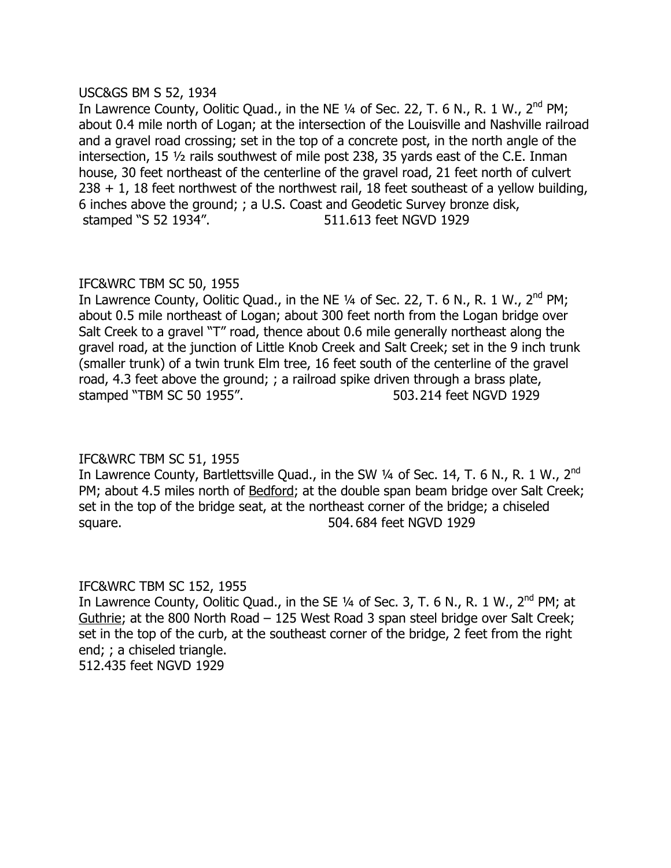### USC&GS BM S 52, 1934

In Lawrence County, Oolitic Quad., in the NE  $\frac{1}{4}$  of Sec. 22, T. 6 N., R. 1 W., 2<sup>nd</sup> PM; about 0.4 mile north of Logan; at the intersection of the Louisville and Nashville railroad and a gravel road crossing; set in the top of a concrete post, in the north angle of the intersection, 15  $\frac{1}{2}$  rails southwest of mile post 238, 35 yards east of the C.E. Inman house, 30 feet northeast of the centerline of the gravel road, 21 feet north of culvert 238 + 1, 18 feet northwest of the northwest rail, 18 feet southeast of a yellow building, 6 inches above the ground; ; a U.S. Coast and Geodetic Survey bronze disk, stamped "S 52 1934". 511.613 feet NGVD 1929

# IFC&WRC TBM SC 50, 1955

In Lawrence County, Oolitic Quad., in the NE  $\frac{1}{4}$  of Sec. 22, T. 6 N., R. 1 W., 2<sup>nd</sup> PM; about 0.5 mile northeast of Logan; about 300 feet north from the Logan bridge over Salt Creek to a gravel "T" road, thence about 0.6 mile generally northeast along the gravel road, at the junction of Little Knob Creek and Salt Creek; set in the 9 inch trunk (smaller trunk) of a twin trunk Elm tree, 16 feet south of the centerline of the gravel road, 4.3 feet above the ground; ; a railroad spike driven through a brass plate, stamped "TBM SC 50 1955". 503.214 feet NGVD 1929

# IFC&WRC TBM SC 51, 1955

In Lawrence County, Bartlettsville Quad., in the SW  $\frac{1}{4}$  of Sec. 14, T. 6 N., R. 1 W., 2<sup>nd</sup> PM; about 4.5 miles north of Bedford; at the double span beam bridge over Salt Creek; set in the top of the bridge seat, at the northeast corner of the bridge; a chiseled square. 504. 684 feet NGVD 1929

# IFC&WRC TBM SC 152, 1955

In Lawrence County, Oolitic Quad., in the SE  $\frac{1}{4}$  of Sec. 3, T. 6 N., R. 1 W., 2<sup>nd</sup> PM; at Guthrie; at the 800 North Road - 125 West Road 3 span steel bridge over Salt Creek; set in the top of the curb, at the southeast corner of the bridge, 2 feet from the right end; ; a chiseled triangle. 512.435 feet NGVD 1929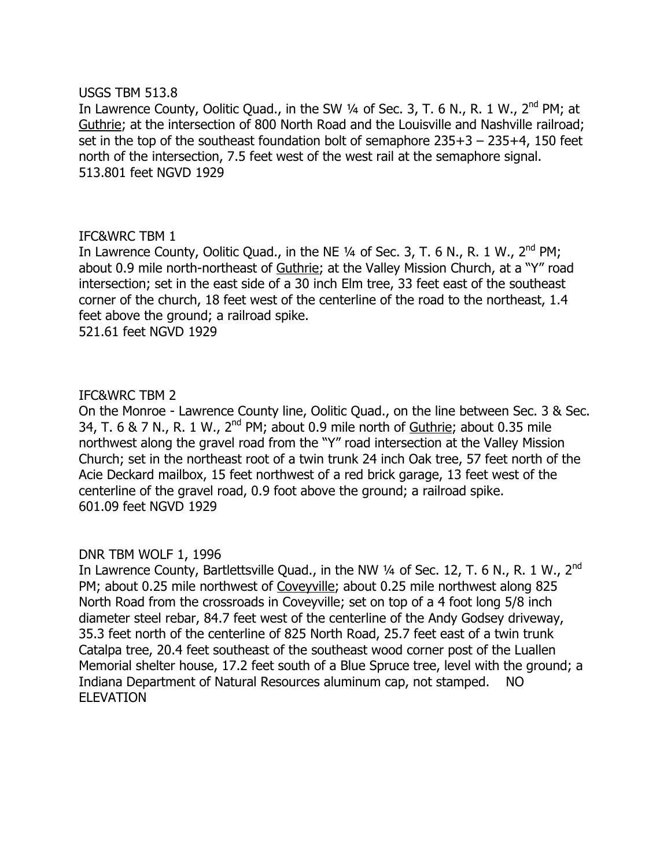#### USGS TBM 513.8

In Lawrence County, Oolitic Quad., in the SW  $\frac{1}{4}$  of Sec. 3, T. 6 N., R. 1 W.,  $2^{nd}$  PM; at Guthrie; at the intersection of 800 North Road and the Louisville and Nashville railroad; set in the top of the southeast foundation bolt of semaphore  $235+3 - 235+4$ , 150 feet north of the intersection, 7.5 feet west of the west rail at the semaphore signal. 513.801 feet NGVD 1929

### IFC&WRC TBM 1

In Lawrence County, Oolitic Quad., in the NE  $1/4$  of Sec. 3, T. 6 N., R. 1 W., 2<sup>nd</sup> PM: about 0.9 mile north-northeast of Guthrie; at the Valley Mission Church, at a "Y" road intersection; set in the east side of a 30 inch Elm tree, 33 feet east of the southeast corner of the church, 18 feet west of the centerline of the road to the northeast, 1.4 feet above the ground; a railroad spike.

521.61 feet NGVD 1929

### IFC&WRC TBM 2

On the Monroe - Lawrence County line, Oolitic Quad., on the line between Sec. 3 & Sec. 34, T. 6 & 7 N., R. 1 W.,  $2^{nd}$  PM; about 0.9 mile north of Guthrie; about 0.35 mile northwest along the gravel road from the "Y" road intersection at the Valley Mission Church; set in the northeast root of a twin trunk 24 inch Oak tree, 57 feet north of the Acie Deckard mailbox, 15 feet northwest of a red brick garage, 13 feet west of the centerline of the gravel road, 0.9 foot above the ground; a railroad spike. 601.09 feet NGVD 1929

# DNR TBM WOLF 1, 1996

In Lawrence County, Bartlettsville Quad., in the NW 1/4 of Sec. 12, T. 6 N., R. 1 W., 2<sup>nd</sup> PM; about 0.25 mile northwest of Coveyville; about 0.25 mile northwest along 825 North Road from the crossroads in Coveyville; set on top of a 4 foot long 5/8 inch diameter steel rebar, 84.7 feet west of the centerline of the Andy Godsey driveway, 35.3 feet north of the centerline of 825 North Road, 25.7 feet east of a twin trunk Catalpa tree, 20.4 feet southeast of the southeast wood corner post of the Luallen Memorial shelter house, 17.2 feet south of a Blue Spruce tree, level with the ground; a Indiana Department of Natural Resources aluminum cap, not stamped. NO ELEVATION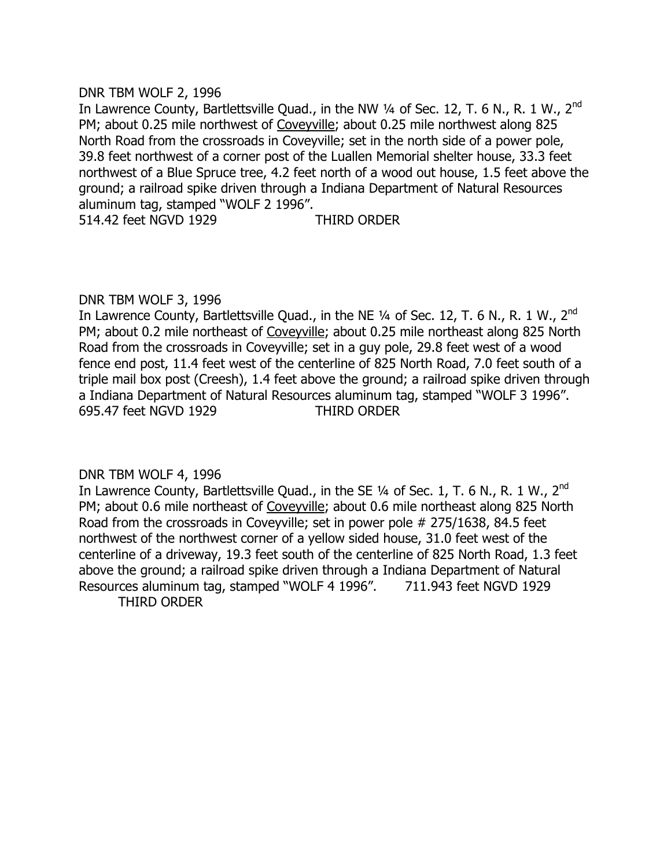### DNR TBM WOLF 2, 1996

In Lawrence County, Bartlettsville Quad., in the NW  $\frac{1}{4}$  of Sec. 12, T. 6 N., R. 1 W., 2<sup>nd</sup> PM; about 0.25 mile northwest of Coveyville; about 0.25 mile northwest along 825 North Road from the crossroads in Coveyville; set in the north side of a power pole, 39.8 feet northwest of a corner post of the Luallen Memorial shelter house, 33.3 feet northwest of a Blue Spruce tree, 4.2 feet north of a wood out house, 1.5 feet above the ground; a railroad spike driven through a Indiana Department of Natural Resources aluminum tag, stamped "WOLF 2 1996".

514.42 feet NGVD 1929 THIRD ORDER

# DNR TBM WOLF 3, 1996

In Lawrence County, Bartlettsville Quad., in the NE  $\frac{1}{4}$  of Sec. 12, T. 6 N., R. 1 W., 2<sup>nd</sup> PM; about 0.2 mile northeast of Coveyville; about 0.25 mile northeast along 825 North Road from the crossroads in Coveyville; set in a guy pole, 29.8 feet west of a wood fence end post, 11.4 feet west of the centerline of 825 North Road, 7.0 feet south of a triple mail box post (Creesh), 1.4 feet above the ground; a railroad spike driven through a Indiana Department of Natural Resources aluminum tag, stamped "WOLF 3 1996". 695.47 feet NGVD 1929 THIRD ORDER

# DNR TBM WOLF 4, 1996

In Lawrence County, Bartlettsville Quad., in the SE  $\frac{1}{4}$  of Sec. 1, T. 6 N., R. 1 W., 2<sup>nd</sup> PM; about 0.6 mile northeast of Coveyville; about 0.6 mile northeast along 825 North Road from the crossroads in Coveyville; set in power pole # 275/1638, 84.5 feet northwest of the northwest corner of a yellow sided house, 31.0 feet west of the centerline of a driveway, 19.3 feet south of the centerline of 825 North Road, 1.3 feet above the ground; a railroad spike driven through a Indiana Department of Natural Resources aluminum tag, stamped "WOLF 4 1996". 711.943 feet NGVD 1929 THIRD ORDER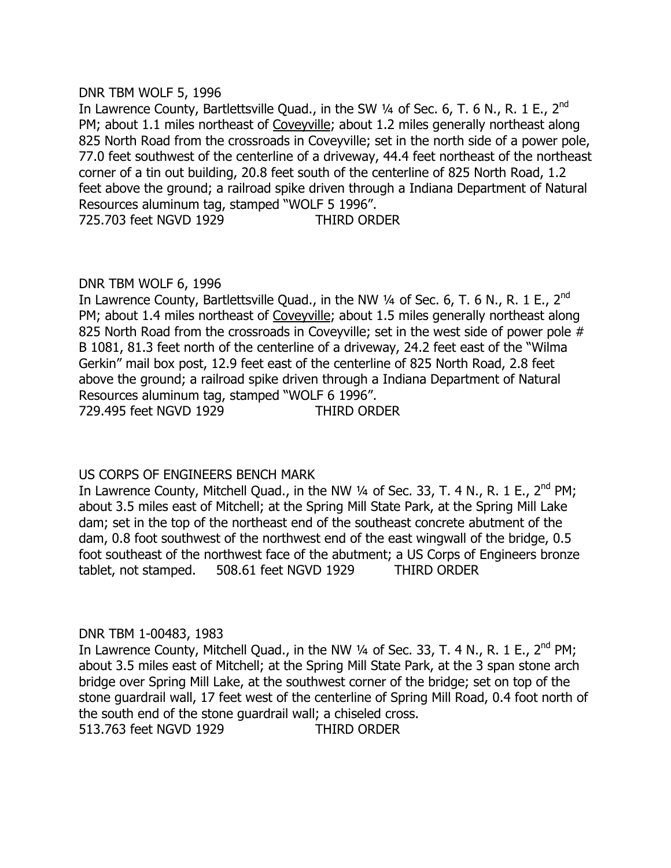### DNR TBM WOLF 5, 1996

In Lawrence County, Bartlettsville Quad., in the SW  $\frac{1}{4}$  of Sec. 6, T. 6 N., R. 1 E., 2<sup>nd</sup> PM; about 1.1 miles northeast of Coveyville; about 1.2 miles generally northeast along 825 North Road from the crossroads in Coveyville; set in the north side of a power pole, 77.0 feet southwest of the centerline of a driveway, 44.4 feet northeast of the northeast corner of a tin out building, 20.8 feet south of the centerline of 825 North Road, 1.2 feet above the ground; a railroad spike driven through a Indiana Department of Natural Resources aluminum tag, stamped "WOLF 5 1996". 725.703 feet NGVD 1929 THIRD ORDER

# DNR TBM WOLF 6, 1996

In Lawrence County, Bartlettsville Quad., in the NW  $\frac{1}{4}$  of Sec. 6, T. 6 N., R. 1 E., 2<sup>nd</sup> PM; about 1.4 miles northeast of Coveyville; about 1.5 miles generally northeast along 825 North Road from the crossroads in Coveyville; set in the west side of power pole # B 1081, 81.3 feet north of the centerline of a driveway, 24.2 feet east of the "Wilma Gerkin" mail box post, 12.9 feet east of the centerline of 825 North Road, 2.8 feet above the ground; a railroad spike driven through a Indiana Department of Natural Resources aluminum tag, stamped "WOLF 6 1996". 729.495 feet NGVD 1929 THIRD ORDER

# US CORPS OF ENGINEERS BENCH MARK

In Lawrence County, Mitchell Quad., in the NW  $\frac{1}{4}$  of Sec. 33, T. 4 N., R. 1 E., 2<sup>nd</sup> PM; about 3.5 miles east of Mitchell; at the Spring Mill State Park, at the Spring Mill Lake dam; set in the top of the northeast end of the southeast concrete abutment of the dam, 0.8 foot southwest of the northwest end of the east wingwall of the bridge, 0.5 foot southeast of the northwest face of the abutment; a US Corps of Engineers bronze tablet, not stamped. 508.61 feet NGVD 1929 THIRD ORDER

# DNR TBM 1-00483, 1983

In Lawrence County, Mitchell Quad., in the NW  $\frac{1}{4}$  of Sec. 33, T. 4 N., R. 1 E., 2<sup>nd</sup> PM; about 3.5 miles east of Mitchell; at the Spring Mill State Park, at the 3 span stone arch bridge over Spring Mill Lake, at the southwest corner of the bridge; set on top of the stone guardrail wall, 17 feet west of the centerline of Spring Mill Road, 0.4 foot north of the south end of the stone guardrail wall; a chiseled cross.

513.763 feet NGVD 1929 THIRD ORDER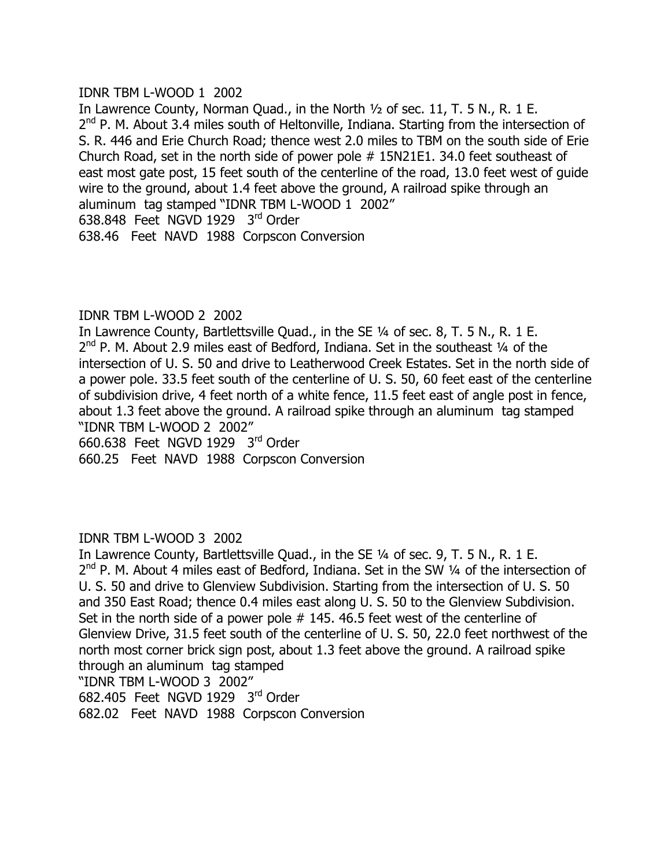### IDNR TBM L-WOOD 1 2002

In Lawrence County, Norman Quad., in the North 1/2 of sec. 11, T. 5 N., R. 1 E.  $2<sup>nd</sup>$  P. M. About 3.4 miles south of Heltonville, Indiana. Starting from the intersection of S. R. 446 and Erie Church Road; thence west 2.0 miles to TBM on the south side of Erie Church Road, set in the north side of power pole # 15N21E1. 34.0 feet southeast of east most gate post, 15 feet south of the centerline of the road, 13.0 feet west of guide wire to the ground, about 1.4 feet above the ground, A railroad spike through an aluminum tag stamped "IDNR TBM L-WOOD 1 2002" 638.848 Feet NGVD 1929 3rd Order 638.46 Feet NAVD 1988 Corpscon Conversion

# IDNR TBM L-WOOD 2 2002

In Lawrence County, Bartlettsville Quad., in the SE 1/4 of sec. 8, T. 5 N., R. 1 E.  $2^{nd}$  P. M. About 2.9 miles east of Bedford, Indiana. Set in the southeast  $\frac{1}{4}$  of the intersection of U. S. 50 and drive to Leatherwood Creek Estates. Set in the north side of a power pole. 33.5 feet south of the centerline of U. S. 50, 60 feet east of the centerline of subdivision drive, 4 feet north of a white fence, 11.5 feet east of angle post in fence, about 1.3 feet above the ground. A railroad spike through an aluminum tag stamped "IDNR TBM L-WOOD 2 2002" 660.638 Feet NGVD 1929 3rd Order 660.25 Feet NAVD 1988 Corpscon Conversion

# IDNR TBM L-WOOD 3 2002

In Lawrence County, Bartlettsville Quad., in the SE 1/4 of sec. 9, T. 5 N., R. 1 E.  $2^{nd}$  P. M. About 4 miles east of Bedford, Indiana. Set in the SW  $\frac{1}{4}$  of the intersection of U. S. 50 and drive to Glenview Subdivision. Starting from the intersection of U. S. 50 and 350 East Road; thence 0.4 miles east along U. S. 50 to the Glenview Subdivision. Set in the north side of a power pole # 145. 46.5 feet west of the centerline of Glenview Drive, 31.5 feet south of the centerline of U. S. 50, 22.0 feet northwest of the north most corner brick sign post, about 1.3 feet above the ground. A railroad spike through an aluminum tag stamped "IDNR TBM L-WOOD 3 2002" 682.405 Feet NGVD 1929 3rd Order 682.02 Feet NAVD 1988 Corpscon Conversion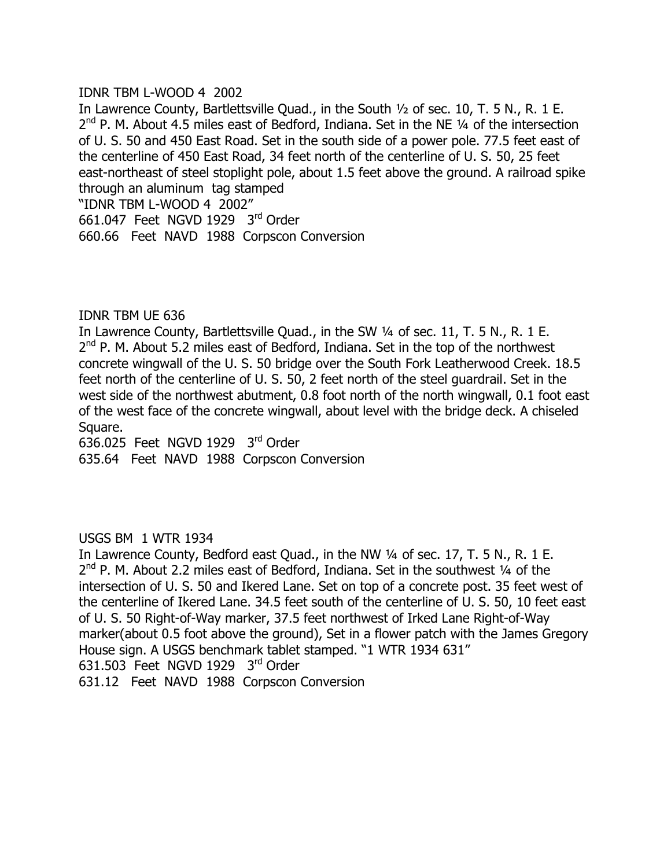### IDNR TBM L-WOOD 4 2002

In Lawrence County, Bartlettsville Quad., in the South 1/2 of sec. 10, T. 5 N., R. 1 E.  $2^{nd}$  P. M. About 4.5 miles east of Bedford, Indiana. Set in the NE  $\frac{1}{4}$  of the intersection of U. S. 50 and 450 East Road. Set in the south side of a power pole. 77.5 feet east of the centerline of 450 East Road, 34 feet north of the centerline of U. S. 50, 25 feet east-northeast of steel stoplight pole, about 1.5 feet above the ground. A railroad spike through an aluminum tag stamped "IDNR TBM L-WOOD 4 2002" 661.047 Feet NGVD 1929 3rd Order 660.66 Feet NAVD 1988 Corpscon Conversion

### IDNR TBM UE 636

In Lawrence County, Bartlettsville Quad., in the SW 1/4 of sec. 11, T. 5 N., R. 1 E.  $2^{nd}$  P. M. About 5.2 miles east of Bedford, Indiana. Set in the top of the northwest concrete wingwall of the U. S. 50 bridge over the South Fork Leatherwood Creek. 18.5 feet north of the centerline of U. S. 50, 2 feet north of the steel guardrail. Set in the west side of the northwest abutment, 0.8 foot north of the north wingwall, 0.1 foot east of the west face of the concrete wingwall, about level with the bridge deck. A chiseled Square.

636.025 Feet NGVD 1929 3rd Order 635.64 Feet NAVD 1988 Corpscon Conversion

# USGS BM 1 WTR 1934

In Lawrence County, Bedford east Quad., in the NW 1/4 of sec. 17, T. 5 N., R. 1 E.  $2<sup>nd</sup>$  P. M. About 2.2 miles east of Bedford, Indiana. Set in the southwest  $\frac{1}{4}$  of the intersection of U. S. 50 and Ikered Lane. Set on top of a concrete post. 35 feet west of the centerline of Ikered Lane. 34.5 feet south of the centerline of U. S. 50, 10 feet east of U. S. 50 Right-of-Way marker, 37.5 feet northwest of Irked Lane Right-of-Way marker(about 0.5 foot above the ground), Set in a flower patch with the James Gregory House sign. A USGS benchmark tablet stamped. "1 WTR 1934 631" 631.503 Feet NGVD 1929 3rd Order 631.12 Feet NAVD 1988 Corpscon Conversion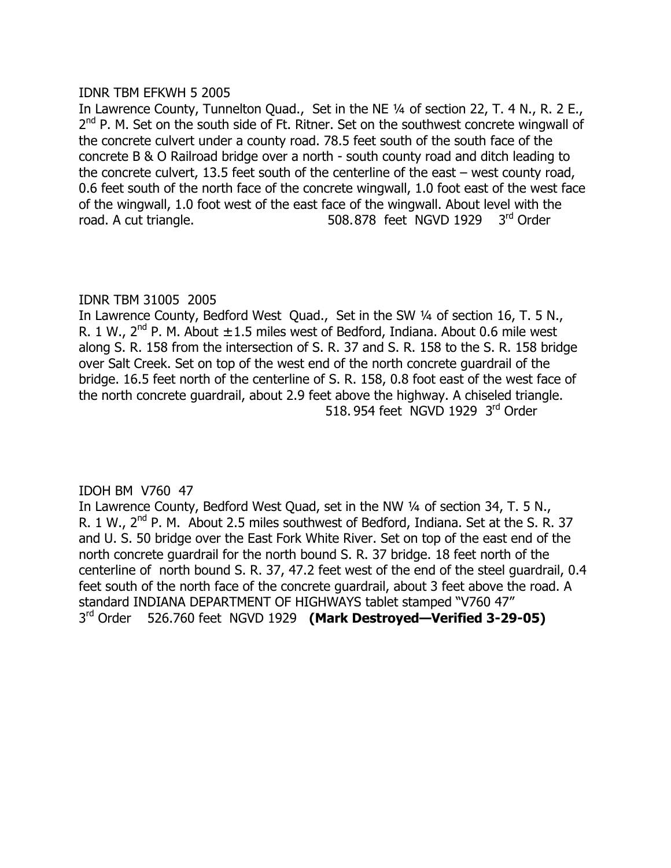# IDNR TBM EFKWH 5 2005

In Lawrence County, Tunnelton Quad., Set in the NE 1/4 of section 22, T. 4 N., R. 2 E.,  $2<sup>nd</sup>$  P. M. Set on the south side of Ft. Ritner. Set on the southwest concrete wingwall of the concrete culvert under a county road. 78.5 feet south of the south face of the concrete B & O Railroad bridge over a north - south county road and ditch leading to the concrete culvert, 13.5 feet south of the centerline of the east  $-$  west county road, 0.6 feet south of the north face of the concrete wingwall, 1.0 foot east of the west face of the wingwall, 1.0 foot west of the east face of the wingwall. About level with the road. A cut triangle. 608.878 feet NGVD 1929 3rd Order

# IDNR TBM 31005 2005

In Lawrence County, Bedford West Quad., Set in the SW 1/4 of section 16, T. 5 N., R. 1 W.,  $2^{nd}$  P. M. About  $\pm$  1.5 miles west of Bedford, Indiana. About 0.6 mile west along S. R. 158 from the intersection of S. R. 37 and S. R. 158 to the S. R. 158 bridge over Salt Creek. Set on top of the west end of the north concrete guardrail of the bridge. 16.5 feet north of the centerline of S. R. 158, 0.8 foot east of the west face of the north concrete guardrail, about 2.9 feet above the highway. A chiseled triangle. 518, 954 feet NGVD 1929 3rd Order

# IDOH BM V760 47

In Lawrence County, Bedford West Quad, set in the NW 1/4 of section 34, T. 5 N., R. 1 W., 2<sup>nd</sup> P. M. About 2.5 miles southwest of Bedford, Indiana. Set at the S. R. 37 and U. S. 50 bridge over the East Fork White River. Set on top of the east end of the north concrete guardrail for the north bound S. R. 37 bridge. 18 feet north of the centerline of north bound S. R. 37, 47.2 feet west of the end of the steel guardrail, 0.4 feet south of the north face of the concrete guardrail, about 3 feet above the road. A standard INDIANA DEPARTMENT OF HIGHWAYS tablet stamped "V760 47" 3rd Order 526.760 feet NGVD 1929 **(Mark Destroyed–Verified 3-29-05)**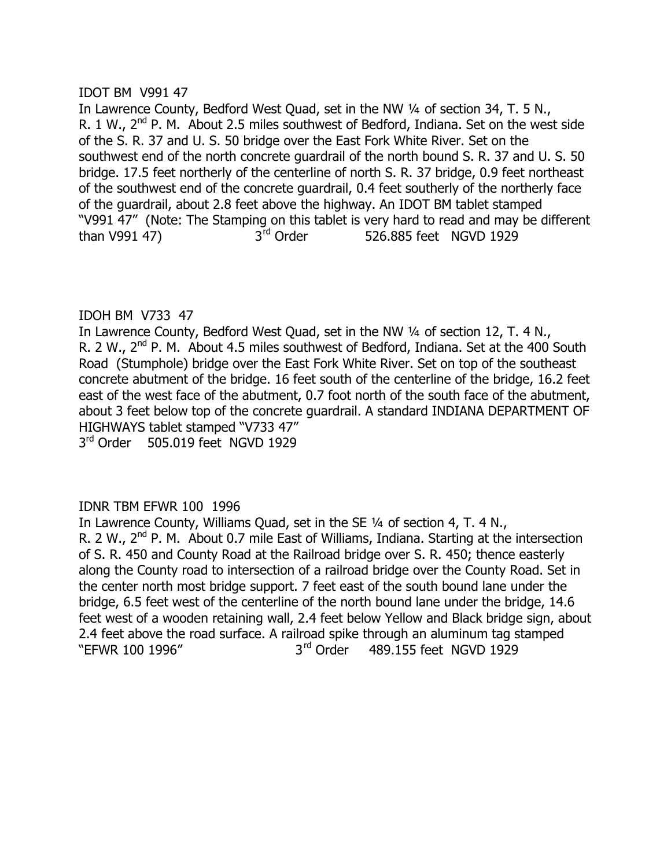# IDOT BM V991 47

In Lawrence County, Bedford West Quad, set in the NW 1/4 of section 34, T. 5 N., R. 1 W.,  $2^{nd}$  P. M. About 2.5 miles southwest of Bedford, Indiana. Set on the west side of the S. R. 37 and U. S. 50 bridge over the East Fork White River. Set on the southwest end of the north concrete guardrail of the north bound S. R. 37 and U. S. 50 bridge. 17.5 feet northerly of the centerline of north S. R. 37 bridge, 0.9 feet northeast of the southwest end of the concrete guardrail, 0.4 feet southerly of the northerly face of the guardrail, about 2.8 feet above the highway. An IDOT BM tablet stamped "V991 47" (Note: The Stamping on this tablet is very hard to read and may be different than V991 47)  $3^{\text{rd}}$  Order  $526.885$  feet NGVD 1929

# IDOH BM V733 47

In Lawrence County, Bedford West Quad, set in the NW 1/4 of section 12, T. 4 N., R. 2 W., 2<sup>nd</sup> P. M. About 4.5 miles southwest of Bedford, Indiana. Set at the 400 South Road (Stumphole) bridge over the East Fork White River. Set on top of the southeast concrete abutment of the bridge. 16 feet south of the centerline of the bridge, 16.2 feet east of the west face of the abutment, 0.7 foot north of the south face of the abutment, about 3 feet below top of the concrete guardrail. A standard INDIANA DEPARTMENT OF HIGHWAYS tablet stamped "V733 47"

3<sup>rd</sup> Order 505.019 feet NGVD 1929

# IDNR TBM EFWR 100 1996

In Lawrence County, Williams Quad, set in the SE 1/4 of section 4, T. 4 N., R. 2 W.,  $2<sup>nd</sup>$  P. M. About 0.7 mile East of Williams, Indiana. Starting at the intersection of S. R. 450 and County Road at the Railroad bridge over S. R. 450; thence easterly along the County road to intersection of a railroad bridge over the County Road. Set in the center north most bridge support. 7 feet east of the south bound lane under the bridge, 6.5 feet west of the centerline of the north bound lane under the bridge, 14.6 feet west of a wooden retaining wall, 2.4 feet below Yellow and Black bridge sign, about 2.4 feet above the road surface. A railroad spike through an aluminum tag stamped "EFWR 100 1996" 3<sup>rd</sup> Order 489.155 feet NGVD 1929